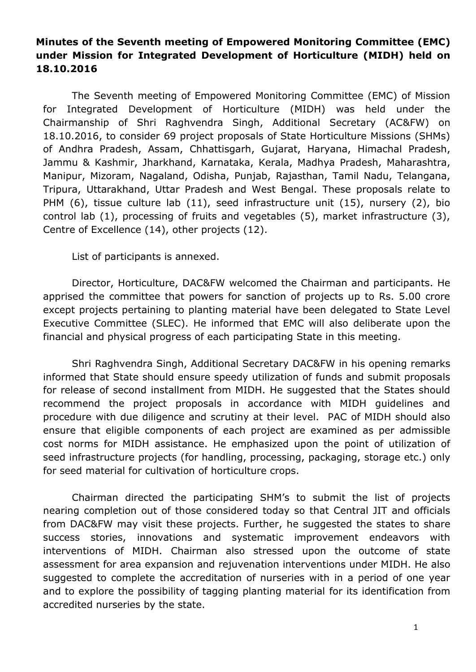# **Minutes of the Seventh meeting of Empowered Monitoring Committee (EMC) under Mission for Integrated Development of Horticulture (MIDH) held on 18.10.2016**

The Seventh meeting of Empowered Monitoring Committee (EMC) of Mission for Integrated Development of Horticulture (MIDH) was held under the Chairmanship of Shri Raghvendra Singh, Additional Secretary (AC&FW) on 18.10.2016, to consider 69 project proposals of State Horticulture Missions (SHMs) of Andhra Pradesh, Assam, Chhattisgarh, Gujarat, Haryana, Himachal Pradesh, Jammu & Kashmir, Jharkhand, Karnataka, Kerala, Madhya Pradesh, Maharashtra, Manipur, Mizoram, Nagaland, Odisha, Punjab, Rajasthan, Tamil Nadu, Telangana, Tripura, Uttarakhand, Uttar Pradesh and West Bengal. These proposals relate to PHM (6), tissue culture lab (11), seed infrastructure unit (15), nursery (2), bio control lab (1), processing of fruits and vegetables (5), market infrastructure (3), Centre of Excellence (14), other projects (12).

List of participants is annexed.

Director, Horticulture, DAC&FW welcomed the Chairman and participants. He apprised the committee that powers for sanction of projects up to Rs. 5.00 crore except projects pertaining to planting material have been delegated to State Level Executive Committee (SLEC). He informed that EMC will also deliberate upon the financial and physical progress of each participating State in this meeting.

Shri Raghvendra Singh, Additional Secretary DAC&FW in his opening remarks informed that State should ensure speedy utilization of funds and submit proposals for release of second installment from MIDH. He suggested that the States should recommend the project proposals in accordance with MIDH guidelines and procedure with due diligence and scrutiny at their level. PAC of MIDH should also ensure that eligible components of each project are examined as per admissible cost norms for MIDH assistance. He emphasized upon the point of utilization of seed infrastructure projects (for handling, processing, packaging, storage etc.) only for seed material for cultivation of horticulture crops.

Chairman directed the participating SHM's to submit the list of projects nearing completion out of those considered today so that Central JIT and officials from DAC&FW may visit these projects. Further, he suggested the states to share success stories, innovations and systematic improvement endeavors with interventions of MIDH. Chairman also stressed upon the outcome of state assessment for area expansion and rejuvenation interventions under MIDH. He also suggested to complete the accreditation of nurseries with in a period of one year and to explore the possibility of tagging planting material for its identification from accredited nurseries by the state.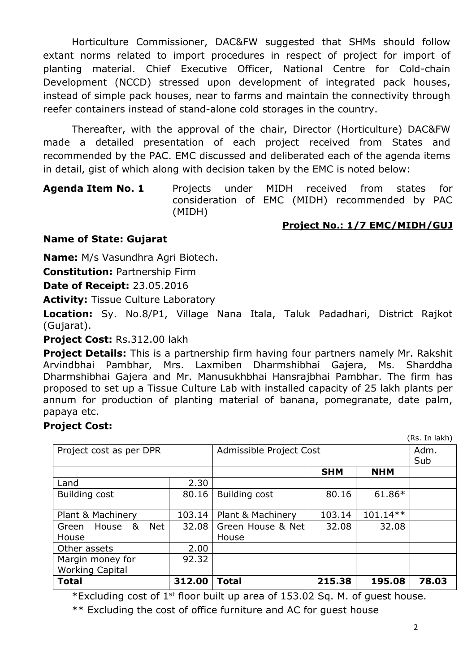Horticulture Commissioner, DAC&FW suggested that SHMs should follow extant norms related to import procedures in respect of project for import of planting material. Chief Executive Officer, National Centre for Cold-chain Development (NCCD) stressed upon development of integrated pack houses, instead of simple pack houses, near to farms and maintain the connectivity through reefer containers instead of stand-alone cold storages in the country.

Thereafter, with the approval of the chair, Director (Horticulture) DAC&FW made a detailed presentation of each project received from States and recommended by the PAC. EMC discussed and deliberated each of the agenda items in detail, gist of which along with decision taken by the EMC is noted below:

## **Agenda Item No. 1** Projects under MIDH received from states for consideration of EMC (MIDH) recommended by PAC (MIDH)

# **Project No.: 1/7 EMC/MIDH/GUJ**

## **Name of State: Gujarat**

**Name:** M/s Vasundhra Agri Biotech.

**Constitution:** Partnership Firm

**Date of Receipt:** 23.05.2016

**Activity:** Tissue Culture Laboratory

**Location:** Sy. No.8/P1, Village Nana Itala, Taluk Padadhari, District Rajkot (Gujarat).

**Project Cost:** Rs.312.00 lakh

**Project Details:** This is a partnership firm having four partners namely Mr. Rakshit Arvindbhai Pambhar, Mrs. Laxmiben Dharmshibhai Gajera, Ms. Sharddha Dharmshibhai Gajera and Mr. Manusukhbhai Hansrajbhai Pambhar. The firm has proposed to set up a Tissue Culture Lab with installed capacity of 25 lakh plants per annum for production of planting material of banana, pomegranate, date palm, papaya etc.

# **Project Cost:**

|                            |        |                         |            |            | (Rs. In lakh) |
|----------------------------|--------|-------------------------|------------|------------|---------------|
| Project cost as per DPR    |        | Admissible Project Cost |            |            | Adm.          |
|                            |        |                         |            |            | Sub           |
|                            |        |                         | <b>SHM</b> | <b>NHM</b> |               |
| Land                       | 2.30   |                         |            |            |               |
| <b>Building cost</b>       | 80.16  | <b>Building cost</b>    | 80.16      | $61.86*$   |               |
|                            |        |                         |            |            |               |
| Plant & Machinery          | 103.14 | Plant & Machinery       | 103.14     | $101.14**$ |               |
| Net<br>House<br>&<br>Green | 32.08  | Green House & Net       | 32.08      | 32.08      |               |
| House                      |        | House                   |            |            |               |
| Other assets               | 2.00   |                         |            |            |               |
| Margin money for           | 92.32  |                         |            |            |               |
| <b>Working Capital</b>     |        |                         |            |            |               |
| <b>Total</b>               | 312.00 | Total                   | 215.38     | 195.08     | 78.03         |

\*Excluding cost of  $1^{st}$  floor built up area of 153.02 Sq. M. of guest house.

\*\* Excluding the cost of office furniture and AC for guest house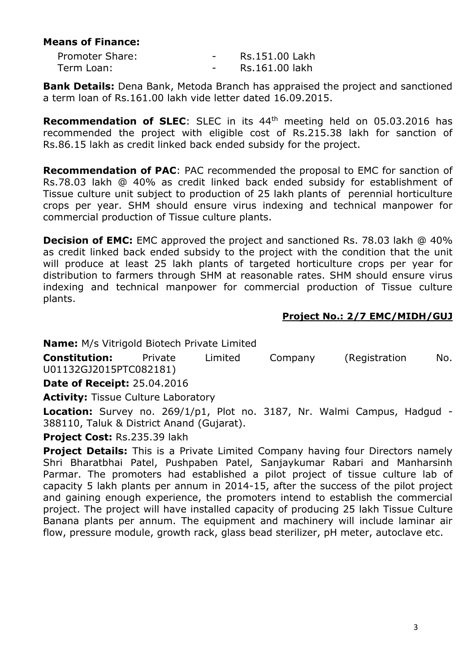#### **Means of Finance:**

| Promoter Share: | $\overline{\phantom{0}}$ | Rs.151.00 Lakh |
|-----------------|--------------------------|----------------|
| Term Loan:      |                          | Rs.161.00 lakh |

**Bank Details:** Dena Bank, Metoda Branch has appraised the project and sanctioned a term loan of Rs.161.00 lakh vide letter dated 16.09.2015.

**Recommendation of SLEC**: SLEC in its 44th meeting held on 05.03.2016 has recommended the project with eligible cost of Rs.215.38 lakh for sanction of Rs.86.15 lakh as credit linked back ended subsidy for the project.

**Recommendation of PAC**: PAC recommended the proposal to EMC for sanction of Rs.78.03 lakh @ 40% as credit linked back ended subsidy for establishment of Tissue culture unit subject to production of 25 lakh plants of perennial horticulture crops per year. SHM should ensure virus indexing and technical manpower for commercial production of Tissue culture plants.

**Decision of EMC:** EMC approved the project and sanctioned Rs. 78.03 lakh @ 40% as credit linked back ended subsidy to the project with the condition that the unit will produce at least 25 lakh plants of targeted horticulture crops per year for distribution to farmers through SHM at reasonable rates. SHM should ensure virus indexing and technical manpower for commercial production of Tissue culture plants.

#### **Project No.: 2/7 EMC/MIDH/GUJ**

**Name:** M/s Vitrigold Biotech Private Limited **Constitution:** Private Limited Company (Registration No. U01132GJ2015PTC082181)

**Date of Receipt:** 25.04.2016

**Activity:** Tissue Culture Laboratory

**Location:** Survey no. 269/1/p1, Plot no. 3187, Nr. Walmi Campus, Hadgud - 388110, Taluk & District Anand (Gujarat).

**Project Cost:** Rs.235.39 lakh

**Project Details:** This is a Private Limited Company having four Directors namely Shri Bharatbhai Patel, Pushpaben Patel, Sanjaykumar Rabari and Manharsinh Parmar. The promoters had established a pilot project of tissue culture lab of capacity 5 lakh plants per annum in 2014-15, after the success of the pilot project and gaining enough experience, the promoters intend to establish the commercial project. The project will have installed capacity of producing 25 lakh Tissue Culture Banana plants per annum. The equipment and machinery will include laminar air flow, pressure module, growth rack, glass bead sterilizer, pH meter, autoclave etc.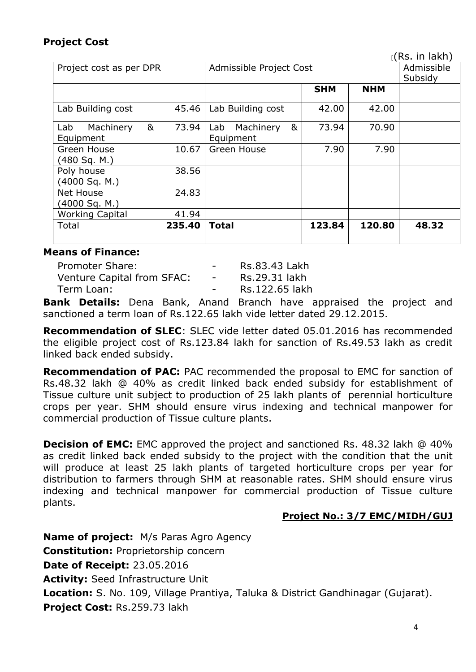# **Project Cost**

|                         |        |                       |                         |            | r(Rs. in lakh) |
|-------------------------|--------|-----------------------|-------------------------|------------|----------------|
| Project cost as per DPR |        |                       | Admissible Project Cost |            |                |
|                         |        |                       |                         |            | Subsidy        |
|                         |        |                       | <b>SHM</b>              | <b>NHM</b> |                |
|                         |        |                       |                         |            |                |
| Lab Building cost       | 45.46  | Lab Building cost     | 42.00                   | 42.00      |                |
| &<br>Machinery<br>Lab   | 73.94  | &<br>Lab<br>Machinery | 73.94                   | 70.90      |                |
| Equipment               |        | Equipment             |                         |            |                |
| Green House             | 10.67  | Green House           | 7.90                    | 7.90       |                |
| (480 Sq. M.)            |        |                       |                         |            |                |
| Poly house              | 38.56  |                       |                         |            |                |
| (4000 Sq. M.)           |        |                       |                         |            |                |
| Net House               | 24.83  |                       |                         |            |                |
| (4000 Sq. M.)           |        |                       |                         |            |                |
| <b>Working Capital</b>  | 41.94  |                       |                         |            |                |
| Total                   | 235.40 | <b>Total</b>          | 123.84                  | 120.80     | 48.32          |
|                         |        |                       |                         |            |                |

#### **Means of Finance:**

| Promoter Share:            | $\sim$ 100 $\sim$ | Rs.83.43 Lakh  |
|----------------------------|-------------------|----------------|
| Venture Capital from SFAC: | $\sim$ 10 $\pm$   | Rs.29.31 lakh  |
| Term Loan:                 |                   | Rs.122.65 lakh |

**Bank Details:** Dena Bank, Anand Branch have appraised the project and sanctioned a term loan of Rs.122.65 lakh vide letter dated 29.12.2015.

**Recommendation of SLEC**: SLEC vide letter dated 05.01.2016 has recommended the eligible project cost of Rs.123.84 lakh for sanction of Rs.49.53 lakh as credit linked back ended subsidy.

**Recommendation of PAC:** PAC recommended the proposal to EMC for sanction of Rs.48.32 lakh @ 40% as credit linked back ended subsidy for establishment of Tissue culture unit subject to production of 25 lakh plants of perennial horticulture crops per year. SHM should ensure virus indexing and technical manpower for commercial production of Tissue culture plants.

**Decision of EMC:** EMC approved the project and sanctioned Rs. 48.32 lakh @ 40% as credit linked back ended subsidy to the project with the condition that the unit will produce at least 25 lakh plants of targeted horticulture crops per year for distribution to farmers through SHM at reasonable rates. SHM should ensure virus indexing and technical manpower for commercial production of Tissue culture plants.

#### **Project No.: 3/7 EMC/MIDH/GUJ**

**Name of project:** M/s Paras Agro Agency **Constitution:** Proprietorship concern **Date of Receipt:** 23.05.2016 **Activity:** Seed Infrastructure Unit **Location:** S. No. 109, Village Prantiya, Taluka & District Gandhinagar (Gujarat). **Project Cost:** Rs.259.73 lakh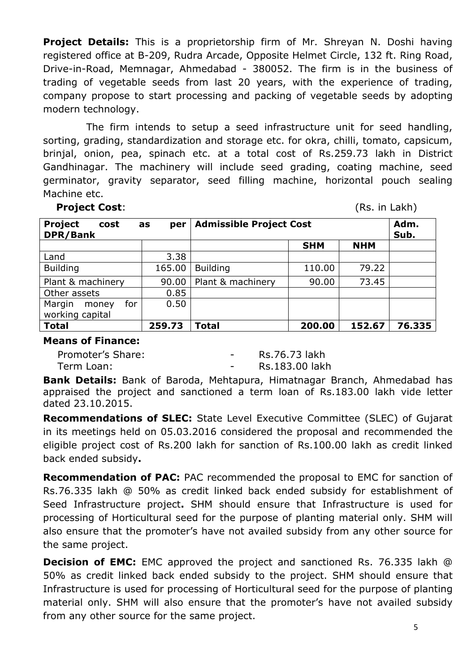**Project Details:** This is a proprietorship firm of Mr. Shreyan N. Doshi having registered office at B-209, Rudra Arcade, Opposite Helmet Circle, 132 ft. Ring Road, Drive-in-Road, Memnagar, Ahmedabad - 380052. The firm is in the business of trading of vegetable seeds from last 20 years, with the experience of trading, company propose to start processing and packing of vegetable seeds by adopting modern technology.

The firm intends to setup a seed infrastructure unit for seed handling, sorting, grading, standardization and storage etc. for okra, chilli, tomato, capsicum, brinjal, onion, pea, spinach etc. at a total cost of Rs.259.73 lakh in District Gandhinagar. The machinery will include seed grading, coating machine, seed germinator, gravity separator, seed filling machine, horizontal pouch sealing Machine etc.

 **Project Cost**: (Rs. in Lakh)

| <b>Project</b><br>cost<br>DPR/Bank        | per<br>as | <b>Admissible Project Cost</b> |            |            | Adm.<br>Sub. |
|-------------------------------------------|-----------|--------------------------------|------------|------------|--------------|
|                                           |           |                                | <b>SHM</b> | <b>NHM</b> |              |
| Land                                      | 3.38      |                                |            |            |              |
| <b>Building</b>                           | 165.00    | <b>Building</b>                | 110.00     | 79.22      |              |
| Plant & machinery                         | 90.00     | Plant & machinery              | 90.00      | 73.45      |              |
| Other assets                              | 0.85      |                                |            |            |              |
| Margin<br>for<br>money<br>working capital | 0.50      |                                |            |            |              |
| <b>Total</b>                              | 259.73    | Total                          | 200.00     | 152.67     | 76.335       |

#### **Means of Finance:**

Promoter's Share: The Contract of the Rs.76.73 lakh Term Loan: Term Loan: Term Loan:

**Bank Details:** Bank of Baroda, Mehtapura, Himatnagar Branch, Ahmedabad has appraised the project and sanctioned a term loan of Rs.183.00 lakh vide letter dated 23.10.2015.

**Recommendations of SLEC:** State Level Executive Committee (SLEC) of Gujarat in its meetings held on 05.03.2016 considered the proposal and recommended the eligible project cost of Rs.200 lakh for sanction of Rs.100.00 lakh as credit linked back ended subsidy**.**

**Recommendation of PAC:** PAC recommended the proposal to EMC for sanction of Rs.76.335 lakh @ 50% as credit linked back ended subsidy for establishment of Seed Infrastructure project**.** SHM should ensure that Infrastructure is used for processing of Horticultural seed for the purpose of planting material only. SHM will also ensure that the promoter's have not availed subsidy from any other source for the same project.

**Decision of EMC:** EMC approved the project and sanctioned Rs. 76.335 lakh @ 50% as credit linked back ended subsidy to the project. SHM should ensure that Infrastructure is used for processing of Horticultural seed for the purpose of planting material only. SHM will also ensure that the promoter's have not availed subsidy from any other source for the same project.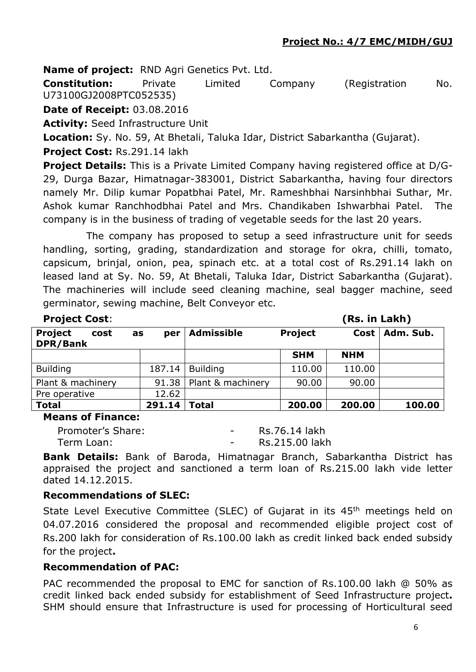**Name of project:** RND Agri Genetics Pvt. Ltd.

**Constitution:** Private Limited Company (Registration No. U73100GJ2008PTC052535)

**Date of Receipt:** 03.08.2016

**Activity:** Seed Infrastructure Unit

**Location:** Sy. No. 59, At Bhetali, Taluka Idar, District Sabarkantha (Gujarat).

**Project Cost:** Rs.291.14 lakh

**Project Details:** This is a Private Limited Company having registered office at D/G-29, Durga Bazar, Himatnagar-383001, District Sabarkantha, having four directors namely Mr. Dilip kumar Popatbhai Patel, Mr. Rameshbhai Narsinhbhai Suthar, Mr. Ashok kumar Ranchhodbhai Patel and Mrs. Chandikaben Ishwarbhai Patel. The company is in the business of trading of vegetable seeds for the last 20 years.

The company has proposed to setup a seed infrastructure unit for seeds handling, sorting, grading, standardization and storage for okra, chilli, tomato, capsicum, brinjal, onion, pea, spinach etc. at a total cost of Rs.291.14 lakh on leased land at Sy. No. 59, At Bhetali, Taluka Idar, District Sabarkantha (Gujarat). The machineries will include seed cleaning machine, seal bagger machine, seed germinator, sewing machine, Belt Conveyor etc.

| <b>Project Cost:</b>               |           |                   |                | (Rs. in Lakh) |           |
|------------------------------------|-----------|-------------------|----------------|---------------|-----------|
| <b>Project</b><br>cost<br>DPR/Bank | per<br>as | <b>Admissible</b> | <b>Project</b> | Cost          | Adm. Sub. |
|                                    |           |                   | <b>SHM</b>     | <b>NHM</b>    |           |
| <b>Building</b>                    | 187.14    | <b>Building</b>   | 110.00         | 110.00        |           |
| Plant & machinery                  | 91.38     | Plant & machinery | 90.00          | 90.00         |           |
| Pre operative                      | 12.62     |                   |                |               |           |
| <b>Total</b>                       | 291.14    | <b>Total</b>      | 200.00         | 200.00        | 100.00    |

**Means of Finance:** 

| Promoter's Share: | $\overline{\phantom{a}}$ | Rs.76.14 lakh  |
|-------------------|--------------------------|----------------|
| Term Loan:        | $\overline{\phantom{0}}$ | Rs.215.00 lakh |

**Bank Details:** Bank of Baroda, Himatnagar Branch, Sabarkantha District has appraised the project and sanctioned a term loan of Rs.215.00 lakh vide letter dated 14.12.2015.

#### **Recommendations of SLEC:**

State Level Executive Committee (SLEC) of Gujarat in its 45<sup>th</sup> meetings held on 04.07.2016 considered the proposal and recommended eligible project cost of Rs.200 lakh for consideration of Rs.100.00 lakh as credit linked back ended subsidy for the project**.**

#### **Recommendation of PAC:**

PAC recommended the proposal to EMC for sanction of Rs.100.00 lakh @ 50% as credit linked back ended subsidy for establishment of Seed Infrastructure project**.**  SHM should ensure that Infrastructure is used for processing of Horticultural seed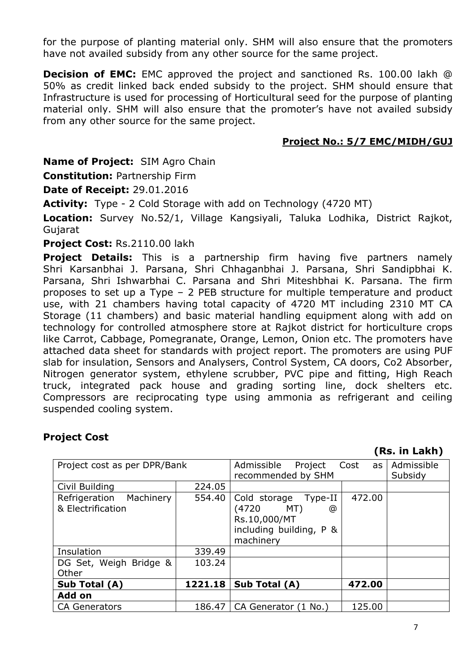for the purpose of planting material only. SHM will also ensure that the promoters have not availed subsidy from any other source for the same project.

**Decision of EMC:** EMC approved the project and sanctioned Rs. 100.00 lakh @ 50% as credit linked back ended subsidy to the project. SHM should ensure that Infrastructure is used for processing of Horticultural seed for the purpose of planting material only. SHM will also ensure that the promoter's have not availed subsidy from any other source for the same project.

#### **Project No.: 5/7 EMC/MIDH/GUJ**

**Name of Project:** SIM Agro Chain

**Constitution:** Partnership Firm

**Date of Receipt:** 29.01.2016

**Activity:** Type - 2 Cold Storage with add on Technology (4720 MT)

**Location:** Survey No.52/1, Village Kangsiyali, Taluka Lodhika, District Rajkot, Gujarat

#### **Project Cost:** Rs.2110.00 lakh

**Project Details:** This is a partnership firm having five partners namely Shri Karsanbhai J. Parsana, Shri Chhaganbhai J. Parsana, Shri Sandipbhai K. Parsana, Shri Ishwarbhai C. Parsana and Shri Miteshbhai K. Parsana. The firm proposes to set up a Type – 2 PEB structure for multiple temperature and product use, with 21 chambers having total capacity of 4720 MT including 2310 MT CA Storage (11 chambers) and basic material handling equipment along with add on technology for controlled atmosphere store at Rajkot district for horticulture crops like Carrot, Cabbage, Pomegranate, Orange, Lemon, Onion etc. The promoters have attached data sheet for standards with project report. The promoters are using PUF slab for insulation, Sensors and Analysers, Control System, CA doors, Co2 Absorber, Nitrogen generator system, ethylene scrubber, PVC pipe and fitting, High Reach truck, integrated pack house and grading sorting line, dock shelters etc. Compressors are reciprocating type using ammonia as refrigerant and ceiling suspended cooling system.

#### **Project Cost**

#### **(Rs. in Lakh)**

| Project cost as per DPR/Bank | Admissible<br>Project | Cost<br>as l                  | Admissible |         |
|------------------------------|-----------------------|-------------------------------|------------|---------|
|                              |                       | recommended by SHM            |            | Subsidy |
| Civil Building               | 224.05                |                               |            |         |
| Refrigeration<br>Machinery   | 554.40                | Type-II<br>Cold storage       | 472.00     |         |
| & Electrification            |                       | (4720<br>MT)<br>@             |            |         |
|                              |                       | Rs.10,000/MT                  |            |         |
|                              |                       | including building, P &       |            |         |
|                              |                       | machinery                     |            |         |
| Insulation                   | 339.49                |                               |            |         |
| DG Set, Weigh Bridge &       | 103.24                |                               |            |         |
| Other                        |                       |                               |            |         |
| Sub Total (A)                | 1221.18               | Sub Total (A)                 | 472.00     |         |
| Add on                       |                       |                               |            |         |
| <b>CA Generators</b>         |                       | 186.47   CA Generator (1 No.) | 125.00     |         |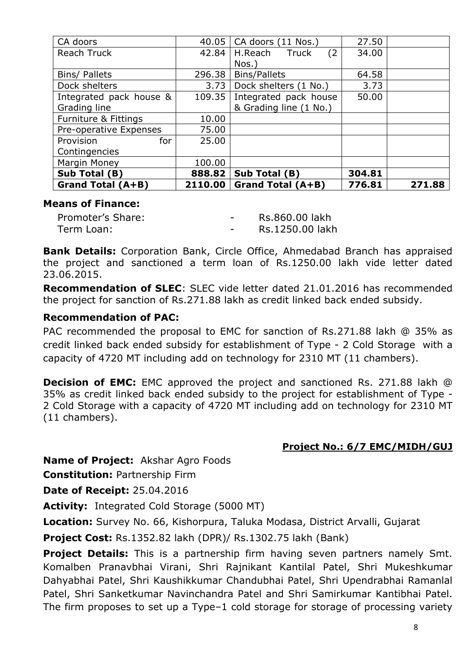| CA doors                 | 40.05   | CA doors (11 Nos.)     | 27.50  |        |
|--------------------------|---------|------------------------|--------|--------|
| Reach Truck              | 42.84   | (2)<br>H.Reach Truck   | 34.00  |        |
|                          |         | Nos.)                  |        |        |
| Bins/ Pallets            | 296.38  | <b>Bins/Pallets</b>    | 64.58  |        |
| Dock shelters            | 3.73    | Dock shelters (1 No.)  | 3.73   |        |
| Integrated pack house &  | 109.35  | Integrated pack house  | 50.00  |        |
| Grading line             |         | & Grading line (1 No.) |        |        |
| Furniture & Fittings     | 10.00   |                        |        |        |
| Pre-operative Expenses   | 75.00   |                        |        |        |
| Provision<br>for         | 25.00   |                        |        |        |
| Contingencies            |         |                        |        |        |
| Margin Money             | 100.00  |                        |        |        |
| Sub Total (B)            | 888.82  | Sub Total (B)          | 304.81 |        |
| <b>Grand Total (A+B)</b> | 2110.00 | Grand Total (A+B)      | 776.81 | 271.88 |

#### **Means of Finance:**

| Promoter's Share: | $\overline{\phantom{0}}$ | Rs.860.00 lakh  |
|-------------------|--------------------------|-----------------|
| Term Loan:        |                          | Rs.1250.00 lakh |

**Bank Details:** Corporation Bank, Circle Office, Ahmedabad Branch has appraised the project and sanctioned a term loan of Rs.1250.00 lakh vide letter dated 23.06.2015.

**Recommendation of SLEC**: SLEC vide letter dated 21.01.2016 has recommended the project for sanction of Rs.271.88 lakh as credit linked back ended subsidy.

#### **Recommendation of PAC:**

PAC recommended the proposal to EMC for sanction of Rs.271.88 lakh @ 35% as credit linked back ended subsidy for establishment of Type - 2 Cold Storage with a capacity of 4720 MT including add on technology for 2310 MT (11 chambers).

**Decision of EMC:** EMC approved the project and sanctioned Rs. 271.88 lakh @ 35% as credit linked back ended subsidy to the project for establishment of Type - 2 Cold Storage with a capacity of 4720 MT including add on technology for 2310 MT (11 chambers).

#### **Project No.: 6/7 EMC/MIDH/GUJ**

**Name of Project:** Akshar Agro Foods

**Constitution:** Partnership Firm

**Date of Receipt:** 25.04.2016

**Activity:** Integrated Cold Storage (5000 MT)

**Location:** Survey No. 66, Kishorpura, Taluka Modasa, District Arvalli, Gujarat

**Project Cost:** Rs.1352.82 lakh (DPR)/ Rs.1302.75 lakh (Bank)

**Project Details:** This is a partnership firm having seven partners namely Smt. Komalben Pranavbhai Virani, Shri Rajnikant Kantilal Patel, Shri Mukeshkumar Dahyabhai Patel, Shri Kaushikkumar Chandubhai Patel, Shri Upendrabhai Ramanlal Patel, Shri Sanketkumar Navinchandra Patel and Shri Samirkumar Kantibhai Patel. The firm proposes to set up a Type–1 cold storage for storage of processing variety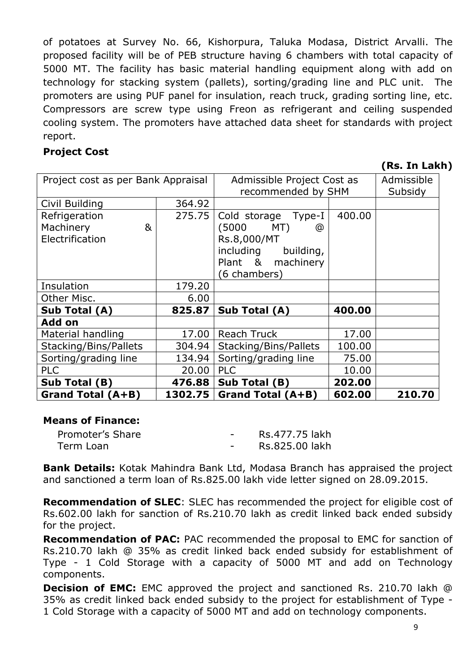of potatoes at Survey No. 66, Kishorpura, Taluka Modasa, District Arvalli. The proposed facility will be of PEB structure having 6 chambers with total capacity of 5000 MT. The facility has basic material handling equipment along with add on technology for stacking system (pallets), sorting/grading line and PLC unit. The promoters are using PUF panel for insulation, reach truck, grading sorting line, etc. Compressors are screw type using Freon as refrigerant and ceiling suspended cooling system. The promoters have attached data sheet for standards with project report.

## **Project Cost**

**(Rs. In Lakh)**

| Project cost as per Bank Appraisal |         | Admissible Project Cost as |                    | Admissible |
|------------------------------------|---------|----------------------------|--------------------|------------|
|                                    |         |                            | recommended by SHM |            |
| Civil Building                     | 364.92  |                            |                    |            |
| Refrigeration                      | 275.75  | Cold storage Type-I        | 400.00             |            |
| Machinery<br>&                     |         | (5000)<br>MT)<br>@         |                    |            |
| Electrification                    |         | Rs.8,000/MT                |                    |            |
|                                    |         | including<br>building,     |                    |            |
|                                    |         | Plant & machinery          |                    |            |
|                                    |         | (6 chambers)               |                    |            |
| Insulation                         | 179.20  |                            |                    |            |
| Other Misc.                        | 6.00    |                            |                    |            |
| Sub Total (A)                      | 825.87  | Sub Total (A)              | 400.00             |            |
| Add on                             |         |                            |                    |            |
| Material handling                  | 17.00   | <b>Reach Truck</b>         | 17.00              |            |
| Stacking/Bins/Pallets              | 304.94  | Stacking/Bins/Pallets      | 100.00             |            |
| Sorting/grading line               | 134.94  | Sorting/grading line       | 75.00              |            |
| <b>PLC</b>                         | 20.00   | <b>PLC</b>                 | 10.00              |            |
| Sub Total (B)                      | 476.88  | Sub Total (B)              | 202.00             |            |
| <b>Grand Total (A+B)</b>           | 1302.75 | <b>Grand Total (A+B)</b>   | 602.00             | 210.70     |

# **Means of Finance:**

| Promoter's Share | $\sim$ | Rs.477.75 lakh |
|------------------|--------|----------------|
| Term Loan        |        | Rs.825.00 lakh |

**Bank Details:** Kotak Mahindra Bank Ltd, Modasa Branch has appraised the project and sanctioned a term loan of Rs.825.00 lakh vide letter signed on 28.09.2015.

**Recommendation of SLEC**: SLEC has recommended the project for eligible cost of Rs.602.00 lakh for sanction of Rs.210.70 lakh as credit linked back ended subsidy for the project.

**Recommendation of PAC:** PAC recommended the proposal to EMC for sanction of Rs.210.70 lakh @ 35% as credit linked back ended subsidy for establishment of Type - 1 Cold Storage with a capacity of 5000 MT and add on Technology components.

**Decision of EMC:** EMC approved the project and sanctioned Rs. 210.70 lakh @ 35% as credit linked back ended subsidy to the project for establishment of Type - 1 Cold Storage with a capacity of 5000 MT and add on technology components.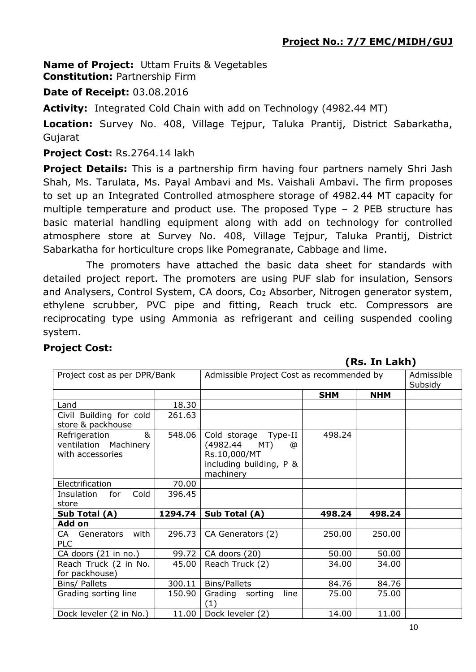**Name of Project:** Uttam Fruits & Vegetables **Constitution:** Partnership Firm

## **Date of Receipt:** 03.08.2016

**Activity:** Integrated Cold Chain with add on Technology (4982.44 MT)

**Location:** Survey No. 408, Village Tejpur, Taluka Prantij, District Sabarkatha, Gujarat

#### **Project Cost:** Rs.2764.14 lakh

**Project Details:** This is a partnership firm having four partners namely Shri Jash Shah, Ms. Tarulata, Ms. Payal Ambavi and Ms. Vaishali Ambavi. The firm proposes to set up an Integrated Controlled atmosphere storage of 4982.44 MT capacity for multiple temperature and product use. The proposed Type – 2 PEB structure has basic material handling equipment along with add on technology for controlled atmosphere store at Survey No. 408, Village Tejpur, Taluka Prantij, District Sabarkatha for horticulture crops like Pomegranate, Cabbage and lime.

The promoters have attached the basic data sheet for standards with detailed project report. The promoters are using PUF slab for insulation, Sensors and Analysers, Control System, CA doors, Co<sup>2</sup> Absorber, Nitrogen generator system, ethylene scrubber, PVC pipe and fitting, Reach truck etc. Compressors are reciprocating type using Ammonia as refrigerant and ceiling suspended cooling system.

#### **Project Cost:**

#### **(Rs. In Lakh)**

| Project cost as per DPR/Bank                                    |         | Admissible Project Cost as recommended by                                                            |            |            | Admissible<br>Subsidy |
|-----------------------------------------------------------------|---------|------------------------------------------------------------------------------------------------------|------------|------------|-----------------------|
|                                                                 |         |                                                                                                      | <b>SHM</b> | <b>NHM</b> |                       |
| Land                                                            | 18.30   |                                                                                                      |            |            |                       |
| Civil Building for cold<br>store & packhouse                    | 261.63  |                                                                                                      |            |            |                       |
| &<br>Refrigeration<br>ventilation Machinery<br>with accessories | 548.06  | Cold storage Type-II<br>(4982.44<br>MT)<br>@<br>Rs.10,000/MT<br>including building, P &<br>machinery | 498.24     |            |                       |
| Electrification                                                 | 70.00   |                                                                                                      |            |            |                       |
| Cold<br>Insulation<br>for<br>store                              | 396.45  |                                                                                                      |            |            |                       |
| Sub Total (A)                                                   | 1294.74 | Sub Total (A)                                                                                        | 498.24     | 498.24     |                       |
| Add on                                                          |         |                                                                                                      |            |            |                       |
| with<br>Generators<br>CA -<br><b>PLC</b>                        | 296.73  | CA Generators (2)                                                                                    | 250.00     | 250.00     |                       |
| CA doors (21 in no.)                                            | 99.72   | CA doors (20)                                                                                        | 50.00      | 50.00      |                       |
| Reach Truck (2 in No.<br>for packhouse)                         | 45.00   | Reach Truck (2)                                                                                      | 34.00      | 34.00      |                       |
| Bins/ Pallets                                                   | 300.11  | <b>Bins/Pallets</b>                                                                                  | 84.76      | 84.76      |                       |
| Grading sorting line                                            | 150.90  | Grading sorting<br>line<br>(1)                                                                       | 75.00      | 75.00      |                       |
| Dock leveler (2 in No.)                                         | 11.00   | Dock leveler (2)                                                                                     | 14.00      | 11.00      |                       |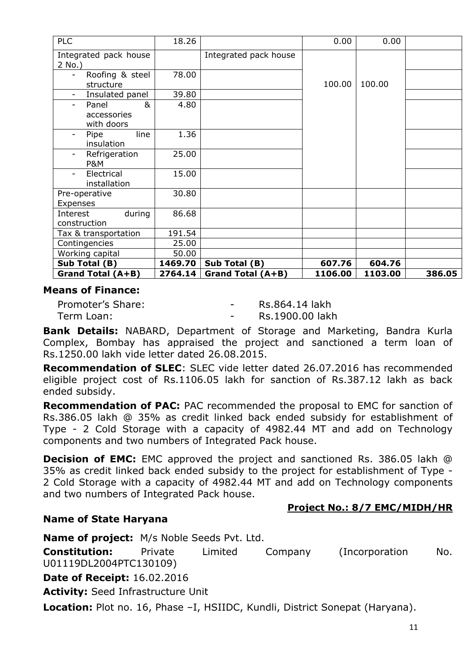| <b>PLC</b>                                             | 18.26   |                          | 0.00    | 0.00    |        |
|--------------------------------------------------------|---------|--------------------------|---------|---------|--------|
| Integrated pack house<br>2 No.)                        |         | Integrated pack house    |         |         |        |
| Roofing & steel<br>structure                           | 78.00   |                          | 100.00  | 100.00  |        |
| Insulated panel                                        | 39.80   |                          |         |         |        |
| &<br>Panel<br>accessories<br>with doors                | 4.80    |                          |         |         |        |
| line<br>Pipe<br>$\overline{\phantom{a}}$<br>insulation | 1.36    |                          |         |         |        |
| Refrigeration<br><b>P&amp;M</b>                        | 25.00   |                          |         |         |        |
| Electrical<br>installation                             | 15.00   |                          |         |         |        |
| Pre-operative<br>Expenses                              | 30.80   |                          |         |         |        |
| Interest<br>during<br>construction                     | 86.68   |                          |         |         |        |
| Tax & transportation                                   | 191.54  |                          |         |         |        |
| Contingencies                                          | 25.00   |                          |         |         |        |
| Working capital                                        | 50.00   |                          |         |         |        |
| Sub Total (B)                                          | 1469.70 | Sub Total (B)            | 607.76  | 604.76  |        |
| Grand Total (A+B)                                      | 2764.14 | <b>Grand Total (A+B)</b> | 1106.00 | 1103.00 | 386.05 |

#### **Means of Finance:**

Promoter's Share: The Contract Contract Russell Res. 864.14 lakh Term Loan: Term Loan: Term Loan: Rs.1900.00 lakh

**Bank Details:** NABARD, Department of Storage and Marketing, Bandra Kurla Complex, Bombay has appraised the project and sanctioned a term loan of Rs.1250.00 lakh vide letter dated 26.08.2015.

**Recommendation of SLEC**: SLEC vide letter dated 26.07.2016 has recommended eligible project cost of Rs.1106.05 lakh for sanction of Rs.387.12 lakh as back ended subsidy.

**Recommendation of PAC:** PAC recommended the proposal to EMC for sanction of Rs.386.05 lakh @ 35% as credit linked back ended subsidy for establishment of Type - 2 Cold Storage with a capacity of 4982.44 MT and add on Technology components and two numbers of Integrated Pack house.

**Decision of EMC:** EMC approved the project and sanctioned Rs. 386.05 lakh @ 35% as credit linked back ended subsidy to the project for establishment of Type - 2 Cold Storage with a capacity of 4982.44 MT and add on Technology components and two numbers of Integrated Pack house.

# **Project No.: 8/7 EMC/MIDH/HR**

#### **Name of State Haryana**

**Name of project:** M/s Noble Seeds Pvt. Ltd. **Constitution:** Private Limited Company (Incorporation No. U01119DL2004PTC130109) **Date of Receipt:** 16.02.2016 **Activity:** Seed Infrastructure Unit

**Location:** Plot no. 16, Phase –I, HSIIDC, Kundli, District Sonepat (Haryana).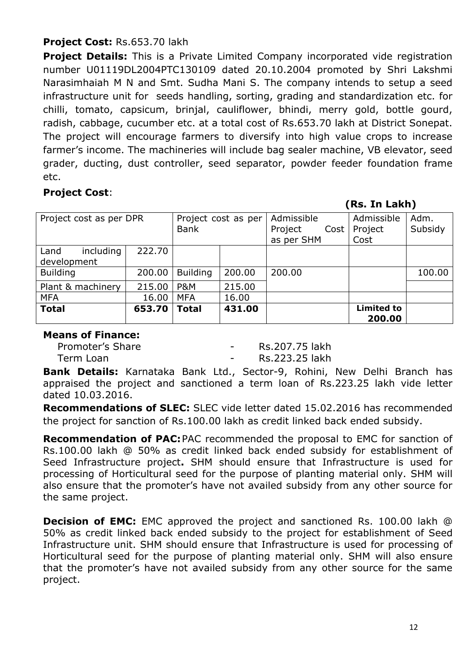# **Project Cost:** Rs.653.70 lakh

**Project Details:** This is a Private Limited Company incorporated vide registration number U01119DL2004PTC130109 dated 20.10.2004 promoted by Shri Lakshmi Narasimhaiah M N and Smt. Sudha Mani S. The company intends to setup a seed infrastructure unit for seeds handling, sorting, grading and standardization etc. for chilli, tomato, capsicum, brinjal, cauliflower, bhindi, merry gold, bottle gourd, radish, cabbage, cucumber etc. at a total cost of Rs.653.70 lakh at District Sonepat. The project will encourage farmers to diversify into high value crops to increase farmer's income. The machineries will include bag sealer machine, VB elevator, seed grader, ducting, dust controller, seed separator, powder feeder foundation frame etc.

# **Project Cost**:

**(Rs. In Lakh)**

| Project cost as per DPR          |        | Project cost as per<br><b>Bank</b> |        | Admissible<br>Project<br>Cost<br>as per SHM |  | Admissible<br>Project<br>Cost | Adm.<br>Subsidy |
|----------------------------------|--------|------------------------------------|--------|---------------------------------------------|--|-------------------------------|-----------------|
| including<br>Land<br>development | 222.70 |                                    |        |                                             |  |                               |                 |
| <b>Building</b>                  | 200.00 | <b>Building</b>                    | 200.00 | 200.00                                      |  |                               | 100.00          |
| Plant & machinery                | 215.00 | <b>P&amp;M</b>                     | 215.00 |                                             |  |                               |                 |
| <b>MFA</b>                       | 16.00  | <b>MFA</b>                         | 16.00  |                                             |  |                               |                 |
| <b>Total</b>                     | 653.70 | Total                              | 431.00 |                                             |  | <b>Limited to</b><br>200.00   |                 |

## **Means of Finance:**

| Promoter's Share | Rs.207.75 lakh |
|------------------|----------------|
| Term Loan        | Rs.223.25 lakh |

**Bank Details:** Karnataka Bank Ltd., Sector-9, Rohini, New Delhi Branch has appraised the project and sanctioned a term loan of Rs.223.25 lakh vide letter dated 10.03.2016.

**Recommendations of SLEC:** SLEC vide letter dated 15.02.2016 has recommended the project for sanction of Rs.100.00 lakh as credit linked back ended subsidy.

**Recommendation of PAC:**PAC recommended the proposal to EMC for sanction of Rs.100.00 lakh @ 50% as credit linked back ended subsidy for establishment of Seed Infrastructure project**.** SHM should ensure that Infrastructure is used for processing of Horticultural seed for the purpose of planting material only. SHM will also ensure that the promoter's have not availed subsidy from any other source for the same project.

**Decision of EMC:** EMC approved the project and sanctioned Rs. 100.00 lakh @ 50% as credit linked back ended subsidy to the project for establishment of Seed Infrastructure unit. SHM should ensure that Infrastructure is used for processing of Horticultural seed for the purpose of planting material only. SHM will also ensure that the promoter's have not availed subsidy from any other source for the same project.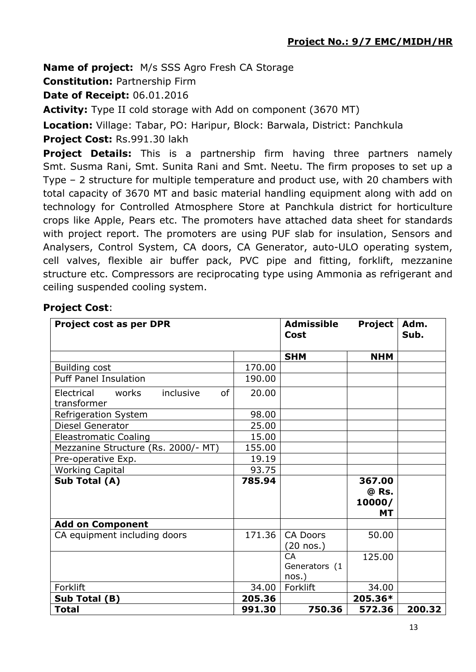**Name of project:** M/s SSS Agro Fresh CA Storage

**Constitution:** Partnership Firm

**Date of Receipt:** 06.01.2016

**Activity:** Type II cold storage with Add on component (3670 MT)

**Location:** Village: Tabar, PO: Haripur, Block: Barwala, District: Panchkula

**Project Cost:** Rs.991.30 lakh

**Project Details:** This is a partnership firm having three partners namely Smt. Susma Rani, Smt. Sunita Rani and Smt. Neetu. The firm proposes to set up a Type – 2 structure for multiple temperature and product use, with 20 chambers with total capacity of 3670 MT and basic material handling equipment along with add on technology for Controlled Atmosphere Store at Panchkula district for horticulture crops like Apple, Pears etc. The promoters have attached data sheet for standards with project report. The promoters are using PUF slab for insulation, Sensors and Analysers, Control System, CA doors, CA Generator, auto-ULO operating system, cell valves, flexible air buffer pack, PVC pipe and fitting, forklift, mezzanine structure etc. Compressors are reciprocating type using Ammonia as refrigerant and ceiling suspended cooling system.

# **Project Cost**:

| <b>Project cost as per DPR</b>                               |        | <b>Admissible</b><br><b>Cost</b>       | Project                                | Adm.<br>Sub. |
|--------------------------------------------------------------|--------|----------------------------------------|----------------------------------------|--------------|
|                                                              |        | <b>SHM</b>                             | <b>NHM</b>                             |              |
| Building cost                                                | 170.00 |                                        |                                        |              |
| <b>Puff Panel Insulation</b>                                 | 190.00 |                                        |                                        |              |
| Electrical<br>works<br>inclusive<br><b>of</b><br>transformer | 20.00  |                                        |                                        |              |
| Refrigeration System                                         | 98.00  |                                        |                                        |              |
| Diesel Generator                                             | 25.00  |                                        |                                        |              |
| <b>Eleastromatic Coaling</b>                                 | 15.00  |                                        |                                        |              |
| Mezzanine Structure (Rs. 2000/- MT)                          | 155.00 |                                        |                                        |              |
| Pre-operative Exp.                                           | 19.19  |                                        |                                        |              |
| <b>Working Capital</b>                                       | 93.75  |                                        |                                        |              |
| Sub Total (A)                                                | 785.94 |                                        | 367.00<br>@ Rs.<br>10000/<br><b>MT</b> |              |
| <b>Add on Component</b>                                      |        |                                        |                                        |              |
| CA equipment including doors                                 | 171.36 | <b>CA Doors</b><br>$(20$ nos.)         | 50.00                                  |              |
|                                                              |        | <b>CA</b><br>Generators (1<br>$nos.$ ) | 125.00                                 |              |
| Forklift                                                     | 34.00  | Forklift                               | 34.00                                  |              |
| Sub Total (B)                                                | 205.36 |                                        | 205.36*                                |              |
| <b>Total</b>                                                 | 991.30 | 750.36                                 | 572.36                                 | 200.32       |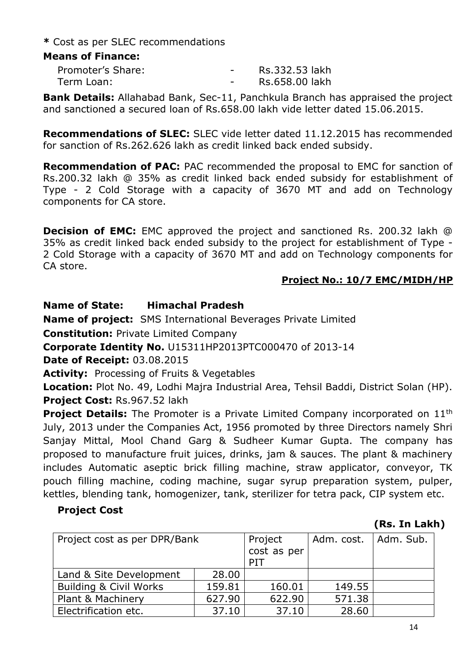**\*** Cost as per SLEC recommendations

## **Means of Finance:**

| Promoter's Share: | $\sim$ | Rs.332.53 lakh |
|-------------------|--------|----------------|
| Term Loan:        |        | Rs.658.00 lakh |

**Bank Details:** Allahabad Bank, Sec-11, Panchkula Branch has appraised the project and sanctioned a secured loan of Rs.658.00 lakh vide letter dated 15.06.2015.

**Recommendations of SLEC:** SLEC vide letter dated 11.12.2015 has recommended for sanction of Rs.262.626 lakh as credit linked back ended subsidy.

**Recommendation of PAC:** PAC recommended the proposal to EMC for sanction of Rs.200.32 lakh @ 35% as credit linked back ended subsidy for establishment of Type - 2 Cold Storage with a capacity of 3670 MT and add on Technology components for CA store.

**Decision of EMC:** EMC approved the project and sanctioned Rs. 200.32 lakh @ 35% as credit linked back ended subsidy to the project for establishment of Type - 2 Cold Storage with a capacity of 3670 MT and add on Technology components for CA store.

## **Project No.: 10/7 EMC/MIDH/HP**

## **Name of State: Himachal Pradesh**

**Name of project:** SMS International Beverages Private Limited

**Constitution:** Private Limited Company

**Corporate Identity No.** U15311HP2013PTC000470 of 2013-14

**Date of Receipt:** 03.08.2015

**Activity:** Processing of Fruits & Vegetables

**Location:** Plot No. 49, Lodhi Majra Industrial Area, Tehsil Baddi, District Solan (HP). **Project Cost:** Rs.967.52 lakh

**Project Details:** The Promoter is a Private Limited Company incorporated on 11<sup>th</sup> July, 2013 under the Companies Act, 1956 promoted by three Directors namely Shri Sanjay Mittal, Mool Chand Garg & Sudheer Kumar Gupta. The company has proposed to manufacture fruit juices, drinks, jam & sauces. The plant & machinery includes Automatic aseptic brick filling machine, straw applicator, conveyor, TK pouch filling machine, coding machine, sugar syrup preparation system, pulper, kettles, blending tank, homogenizer, tank, sterilizer for tetra pack, CIP system etc.

#### **Project Cost**

# **(Rs. In Lakh)**

| Project cost as per DPR/Bank      | Project | Adm. cost.   Adm. Sub. |        |  |
|-----------------------------------|---------|------------------------|--------|--|
|                                   |         | cost as per            |        |  |
|                                   |         | PIT                    |        |  |
| Land & Site Development           | 28.00   |                        |        |  |
| <b>Building &amp; Civil Works</b> | 159.81  | 160.01                 | 149.55 |  |
| Plant & Machinery                 | 627.90  | 622.90                 | 571.38 |  |
| Electrification etc.              | 37.10   | 37.10                  | 28.60  |  |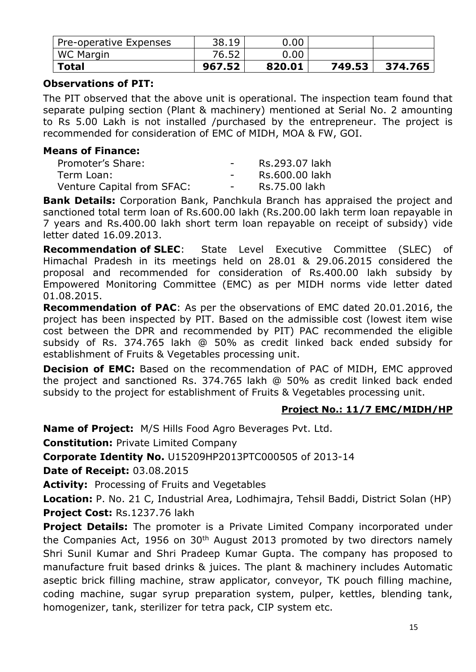| <b>Total</b>           | 967.52 | 820.01   | 749.53 | 374.765 |
|------------------------|--------|----------|--------|---------|
| WC Margin              | 76.52  | 0.00     |        |         |
| Pre-operative Expenses | 38.19  | $0.00\,$ |        |         |

## **Observations of PIT:**

The PIT observed that the above unit is operational. The inspection team found that separate pulping section (Plant & machinery) mentioned at Serial No. 2 amounting to Rs 5.00 Lakh is not installed /purchased by the entrepreneur. The project is recommended for consideration of EMC of MIDH, MOA & FW, GOI.

#### **Means of Finance:**

| Promoter's Share:          | $\sim$        | Rs.293.07 lakh |
|----------------------------|---------------|----------------|
| Term Loan:                 | $\sim$ $\sim$ | Rs.600.00 lakh |
| Venture Capital from SFAC: | $\sim$ $\sim$ | Rs.75.00 lakh  |

**Bank Details:** Corporation Bank, Panchkula Branch has appraised the project and sanctioned total term loan of Rs.600.00 lakh (Rs.200.00 lakh term loan repayable in 7 years and Rs.400.00 lakh short term loan repayable on receipt of subsidy) vide letter dated 16.09.2013.

**Recommendation of SLEC**: State Level Executive Committee (SLEC) of Himachal Pradesh in its meetings held on 28.01 & 29.06.2015 considered the proposal and recommended for consideration of Rs.400.00 lakh subsidy by Empowered Monitoring Committee (EMC) as per MIDH norms vide letter dated 01.08.2015.

**Recommendation of PAC**: As per the observations of EMC dated 20.01.2016, the project has been inspected by PIT. Based on the admissible cost (lowest item wise cost between the DPR and recommended by PIT) PAC recommended the eligible subsidy of Rs. 374.765 lakh @ 50% as credit linked back ended subsidy for establishment of Fruits & Vegetables processing unit.

**Decision of EMC:** Based on the recommendation of PAC of MIDH, EMC approved the project and sanctioned Rs. 374.765 lakh @ 50% as credit linked back ended subsidy to the project for establishment of Fruits & Vegetables processing unit.

# **Project No.: 11/7 EMC/MIDH/HP**

**Name of Project:** M/S Hills Food Agro Beverages Pvt. Ltd.

**Constitution:** Private Limited Company

**Corporate Identity No.** U15209HP2013PTC000505 of 2013-14

**Date of Receipt:** 03.08.2015

**Activity:** Processing of Fruits and Vegetables

**Location:** P. No. 21 C, Industrial Area, Lodhimajra, Tehsil Baddi, District Solan (HP) **Project Cost:** Rs.1237.76 lakh

**Project Details:** The promoter is a Private Limited Company incorporated under the Companies Act, 1956 on  $30<sup>th</sup>$  August 2013 promoted by two directors namely Shri Sunil Kumar and Shri Pradeep Kumar Gupta. The company has proposed to manufacture fruit based drinks & juices. The plant & machinery includes Automatic aseptic brick filling machine, straw applicator, conveyor, TK pouch filling machine, coding machine, sugar syrup preparation system, pulper, kettles, blending tank, homogenizer, tank, sterilizer for tetra pack, CIP system etc.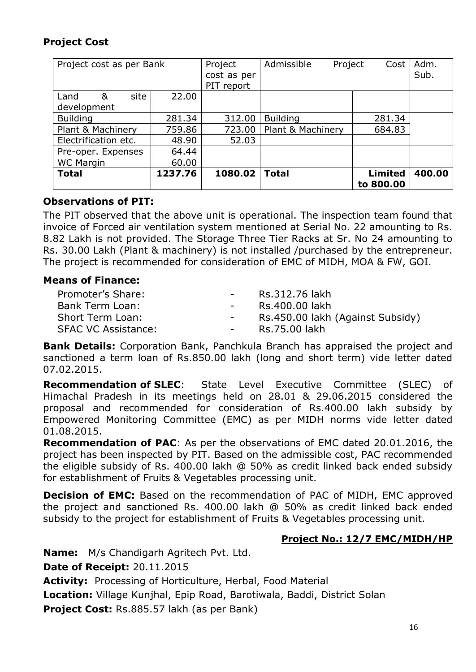# **Project Cost**

| Project cost as per Bank |         | Project     | Admissible        | Project | Cost           | Adm.   |
|--------------------------|---------|-------------|-------------------|---------|----------------|--------|
|                          |         | cost as per |                   |         |                | Sub.   |
|                          |         | PIT report  |                   |         |                |        |
| site<br>&<br>Land        | 22.00   |             |                   |         |                |        |
| development              |         |             |                   |         |                |        |
| <b>Building</b>          | 281.34  | 312.00      | <b>Building</b>   |         | 281.34         |        |
| Plant & Machinery        | 759.86  | 723.00      | Plant & Machinery |         | 684.83         |        |
| Electrification etc.     | 48.90   | 52.03       |                   |         |                |        |
| Pre-oper. Expenses       | 64.44   |             |                   |         |                |        |
| <b>WC Margin</b>         | 60.00   |             |                   |         |                |        |
| <b>Total</b>             | 1237.76 | 1080.02     | <b>Total</b>      |         | <b>Limited</b> | 400.00 |
|                          |         |             |                   |         | to 800.00      |        |

## **Observations of PIT:**

The PIT observed that the above unit is operational. The inspection team found that invoice of Forced air ventilation system mentioned at Serial No. 22 amounting to Rs. 8.82 Lakh is not provided. The Storage Three Tier Racks at Sr. No 24 amounting to Rs. 30.00 Lakh (Plant & machinery) is not installed /purchased by the entrepreneur. The project is recommended for consideration of EMC of MIDH, MOA & FW, GOI.

#### **Means of Finance:**

| Promoter's Share:          | $\sim$ 100 $\mu$ | Rs.312.76 lakh                   |
|----------------------------|------------------|----------------------------------|
| Bank Term Loan:            |                  | Rs.400.00 lakh                   |
| Short Term Loan:           |                  | Rs.450.00 lakh (Against Subsidy) |
| <b>SFAC VC Assistance:</b> |                  | Rs.75.00 lakh                    |

**Bank Details:** Corporation Bank, Panchkula Branch has appraised the project and sanctioned a term loan of Rs.850.00 lakh (long and short term) vide letter dated 07.02.2015.

**Recommendation of SLEC**: State Level Executive Committee (SLEC) of Himachal Pradesh in its meetings held on 28.01 & 29.06.2015 considered the proposal and recommended for consideration of Rs.400.00 lakh subsidy by Empowered Monitoring Committee (EMC) as per MIDH norms vide letter dated 01.08.2015.

**Recommendation of PAC**: As per the observations of EMC dated 20.01.2016, the project has been inspected by PIT. Based on the admissible cost, PAC recommended the eligible subsidy of Rs. 400.00 lakh @ 50% as credit linked back ended subsidy for establishment of Fruits & Vegetables processing unit.

**Decision of EMC:** Based on the recommendation of PAC of MIDH, EMC approved the project and sanctioned Rs. 400.00 lakh @ 50% as credit linked back ended subsidy to the project for establishment of Fruits & Vegetables processing unit.

#### **Project No.: 12/7 EMC/MIDH/HP**

**Name:** M/s Chandigarh Agritech Pvt. Ltd. **Date of Receipt:** 20.11.2015 **Activity:** Processing of Horticulture, Herbal, Food Material **Location:** Village Kunjhal, Epip Road, Barotiwala, Baddi, District Solan **Project Cost:** Rs.885.57 lakh (as per Bank)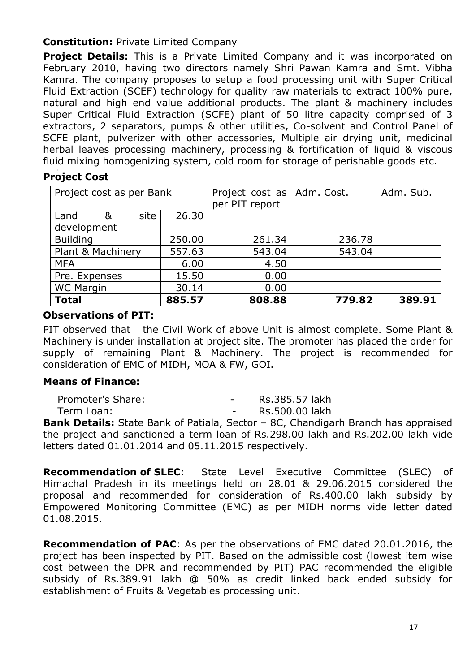# **Constitution:** Private Limited Company

**Project Details:** This is a Private Limited Company and it was incorporated on February 2010, having two directors namely Shri Pawan Kamra and Smt. Vibha Kamra. The company proposes to setup a food processing unit with Super Critical Fluid Extraction (SCEF) technology for quality raw materials to extract 100% pure, natural and high end value additional products. The plant & machinery includes Super Critical Fluid Extraction (SCFE) plant of 50 litre capacity comprised of 3 extractors, 2 separators, pumps & other utilities, Co-solvent and Control Panel of SCFE plant, pulverizer with other accessories, Multiple air drying unit, medicinal herbal leaves processing machinery, processing & fortification of liquid & viscous fluid mixing homogenizing system, cold room for storage of perishable goods etc.

# **Project Cost**

| Project cost as per Bank |        | Project cost as   Adm. Cost. |        | Adm. Sub. |
|--------------------------|--------|------------------------------|--------|-----------|
|                          |        | per PIT report               |        |           |
| site<br>&<br>Land        | 26,30  |                              |        |           |
| development              |        |                              |        |           |
| <b>Building</b>          | 250.00 | 261.34                       | 236.78 |           |
| Plant & Machinery        | 557.63 | 543.04                       | 543.04 |           |
| <b>MFA</b>               | 6.00   | 4.50                         |        |           |
| Pre. Expenses            | 15.50  | 0.00                         |        |           |
| <b>WC Margin</b>         | 30.14  | 0.00                         |        |           |
| <b>Total</b>             | 885.57 | 808.88                       | 779.82 | 389.91    |

## **Observations of PIT:**

PIT observed that the Civil Work of above Unit is almost complete. Some Plant & Machinery is under installation at project site. The promoter has placed the order for supply of remaining Plant & Machinery. The project is recommended for consideration of EMC of MIDH, MOA & FW, GOI.

# **Means of Finance:**

| Promoter's Share: | Rs.385.57 lakh |
|-------------------|----------------|
| Term Loan:        | Rs.500.00 lakh |

**Bank Details:** State Bank of Patiala, Sector – 8C, Chandigarh Branch has appraised the project and sanctioned a term loan of Rs.298.00 lakh and Rs.202.00 lakh vide letters dated 01.01.2014 and 05.11.2015 respectively.

**Recommendation of SLEC**: State Level Executive Committee (SLEC) of Himachal Pradesh in its meetings held on 28.01 & 29.06.2015 considered the proposal and recommended for consideration of Rs.400.00 lakh subsidy by Empowered Monitoring Committee (EMC) as per MIDH norms vide letter dated 01.08.2015.

**Recommendation of PAC**: As per the observations of EMC dated 20.01.2016, the project has been inspected by PIT. Based on the admissible cost (lowest item wise cost between the DPR and recommended by PIT) PAC recommended the eligible subsidy of Rs.389.91 lakh @ 50% as credit linked back ended subsidy for establishment of Fruits & Vegetables processing unit.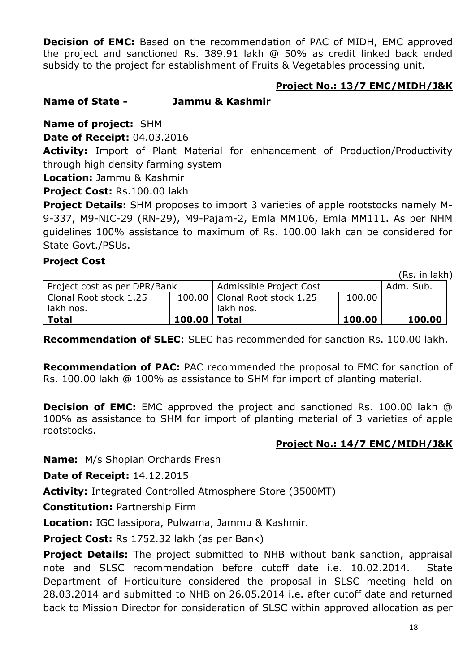**Decision of EMC:** Based on the recommendation of PAC of MIDH, EMC approved the project and sanctioned Rs. 389.91 lakh @ 50% as credit linked back ended subsidy to the project for establishment of Fruits & Vegetables processing unit.

## **Project No.: 13/7 EMC/MIDH/J&K**

# **Name of State - Jammu & Kashmir**

**Name of project:** SHM

**Date of Receipt:** 04.03.2016

Activity: Import of Plant Material for enhancement of Production/Productivity through high density farming system

**Location:** Jammu & Kashmir

**Project Cost:** Rs.100.00 lakh

**Project Details:** SHM proposes to import 3 varieties of apple rootstocks namely M-9-337, M9-NIC-29 (RN-29), M9-Pajam-2, Emla MM106, Emla MM111. As per NHM guidelines 100% assistance to maximum of Rs. 100.00 lakh can be considered for State Govt./PSUs.

#### **Project Cost**

(Rs. in lakh)

| Project cost as per DPR/Bank |                  | Admissible Project Cost         |        | Adm. Sub. |
|------------------------------|------------------|---------------------------------|--------|-----------|
| Clonal Root stock 1.25       |                  | 100.00   Clonal Root stock 1.25 | 100.00 |           |
| lakh nos.                    |                  | lakh nos.                       |        |           |
| <b>Total</b>                 | $100.00$   Total |                                 | 100.00 | 100.00    |

**Recommendation of SLEC**: SLEC has recommended for sanction Rs. 100.00 lakh.

**Recommendation of PAC:** PAC recommended the proposal to EMC for sanction of Rs. 100.00 lakh @ 100% as assistance to SHM for import of planting material.

**Decision of EMC:** EMC approved the project and sanctioned Rs. 100.00 lakh @ 100% as assistance to SHM for import of planting material of 3 varieties of apple rootstocks.

#### **Project No.: 14/7 EMC/MIDH/J&K**

**Name:** M/s Shopian Orchards Fresh

**Date of Receipt:** 14.12.2015

**Activity:** Integrated Controlled Atmosphere Store (3500MT)

**Constitution:** Partnership Firm

**Location:** IGC lassipora, Pulwama, Jammu & Kashmir.

**Project Cost:** Rs 1752.32 lakh (as per Bank)

**Project Details:** The project submitted to NHB without bank sanction, appraisal note and SLSC recommendation before cutoff date i.e. 10.02.2014. State Department of Horticulture considered the proposal in SLSC meeting held on 28.03.2014 and submitted to NHB on 26.05.2014 i.e. after cutoff date and returned back to Mission Director for consideration of SLSC within approved allocation as per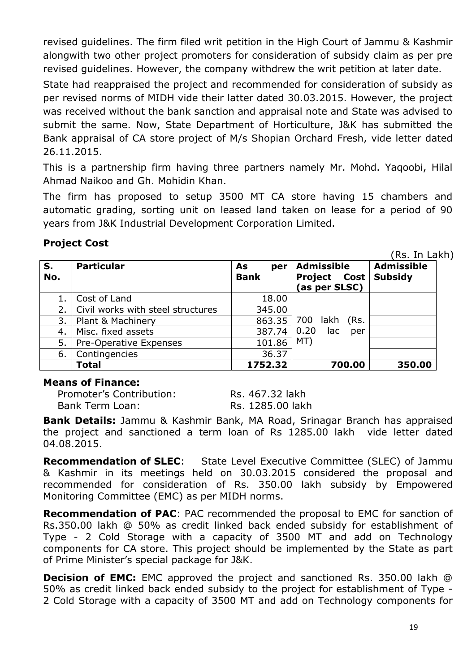revised guidelines. The firm filed writ petition in the High Court of Jammu & Kashmir alongwith two other project promoters for consideration of subsidy claim as per pre revised guidelines. However, the company withdrew the writ petition at later date.

State had reappraised the project and recommended for consideration of subsidy as per revised norms of MIDH vide their latter dated 30.03.2015. However, the project was received without the bank sanction and appraisal note and State was advised to submit the same. Now, State Department of Horticulture, J&K has submitted the Bank appraisal of CA store project of M/s Shopian Orchard Fresh, vide letter dated 26.11.2015.

This is a partnership firm having three partners namely Mr. Mohd. Yaqoobi, Hilal Ahmad Naikoo and Gh. Mohidin Khan.

The firm has proposed to setup 3500 MT CA store having 15 chambers and automatic grading, sorting unit on leased land taken on lease for a period of 90 years from J&K Industrial Development Corporation Limited.

# **Project Cost**

(Rs. In Lakh)

| S.<br>No. | <b>Particular</b>                 | As<br>per<br><b>Bank</b> | <b>Admissible</b><br><b>Project Cost</b><br>(as per SLSC) | <b>Admissible</b><br><b>Subsidy</b> |
|-----------|-----------------------------------|--------------------------|-----------------------------------------------------------|-------------------------------------|
|           | Cost of Land                      | 18.00                    |                                                           |                                     |
| 2.        | Civil works with steel structures | 345.00                   |                                                           |                                     |
| 3.        | Plant & Machinery                 | 863.35                   | 700<br>lakh (Rs.                                          |                                     |
| 4.        | Misc. fixed assets                | 387.74                   | 0.20<br>lac<br>per                                        |                                     |
| 5.        | Pre-Operative Expenses            | 101.86                   | MT)                                                       |                                     |
| 6.        | Contingencies                     | 36.37                    |                                                           |                                     |
|           | <b>Total</b>                      | 1752.32                  | 700.00                                                    | 350.00                              |

#### **Means of Finance:**

Promoter's Contribution: Rs. 467.32 lakh Bank Term Loan: Rs. 1285.00 lakh

**Bank Details:** Jammu & Kashmir Bank, MA Road, Srinagar Branch has appraised the project and sanctioned a term loan of Rs 1285.00 lakh vide letter dated 04.08.2015.

**Recommendation of SLEC**: State Level Executive Committee (SLEC) of Jammu & Kashmir in its meetings held on 30.03.2015 considered the proposal and recommended for consideration of Rs. 350.00 lakh subsidy by Empowered Monitoring Committee (EMC) as per MIDH norms.

**Recommendation of PAC**: PAC recommended the proposal to EMC for sanction of Rs.350.00 lakh @ 50% as credit linked back ended subsidy for establishment of Type - 2 Cold Storage with a capacity of 3500 MT and add on Technology components for CA store. This project should be implemented by the State as part of Prime Minister's special package for J&K.

**Decision of EMC:** EMC approved the project and sanctioned Rs. 350.00 lakh @ 50% as credit linked back ended subsidy to the project for establishment of Type - 2 Cold Storage with a capacity of 3500 MT and add on Technology components for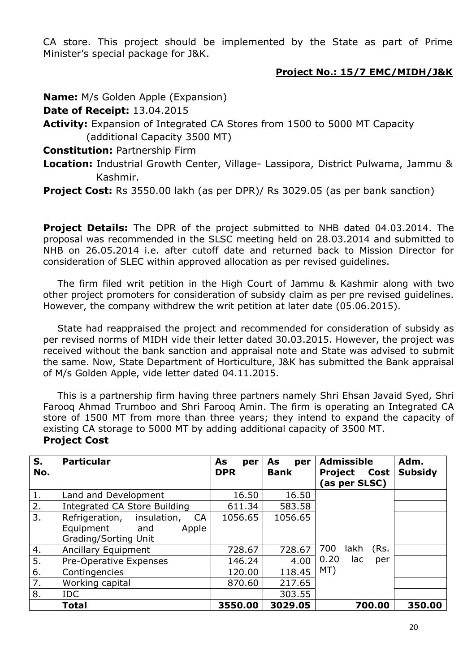CA store. This project should be implemented by the State as part of Prime Minister's special package for J&K.

#### **Project No.: 15/7 EMC/MIDH/J&K**

**Name:** M/s Golden Apple (Expansion)

**Date of Receipt:** 13.04.2015

**Activity:** Expansion of Integrated CA Stores from 1500 to 5000 MT Capacity (additional Capacity 3500 MT)

## **Constitution:** Partnership Firm

**Location:** Industrial Growth Center, Village- Lassipora, District Pulwama, Jammu & Kashmir.

**Project Cost:** Rs 3550.00 lakh (as per DPR)/ Rs 3029.05 (as per bank sanction)

**Project Details:** The DPR of the project submitted to NHB dated 04.03.2014. The proposal was recommended in the SLSC meeting held on 28.03.2014 and submitted to NHB on 26.05.2014 i.e. after cutoff date and returned back to Mission Director for consideration of SLEC within approved allocation as per revised guidelines.

The firm filed writ petition in the High Court of Jammu & Kashmir along with two other project promoters for consideration of subsidy claim as per pre revised guidelines. However, the company withdrew the writ petition at later date (05.06.2015).

State had reappraised the project and recommended for consideration of subsidy as per revised norms of MIDH vide their letter dated 30.03.2015. However, the project was received without the bank sanction and appraisal note and State was advised to submit the same. Now, State Department of Horticulture, J&K has submitted the Bank appraisal of M/s Golden Apple, vide letter dated 04.11.2015.

This is a partnership firm having three partners namely Shri Ehsan Javaid Syed, Shri Farooq Ahmad Trumboo and Shri Farooq Amin. The firm is operating an Integrated CA store of 1500 MT from more than three years; they intend to expand the capacity of existing CA storage to 5000 MT by adding additional capacity of 3500 MT. **Project Cost**

| S.<br>No.        | <b>Particular</b>                                                                        | As<br>per<br><b>DPR</b> | As<br>per<br><b>Bank</b> | <b>Admissible</b><br>Project<br>Cost<br>(as per SLSC) | Adm.<br><b>Subsidy</b> |
|------------------|------------------------------------------------------------------------------------------|-------------------------|--------------------------|-------------------------------------------------------|------------------------|
| 1.               | Land and Development                                                                     | 16.50                   | 16.50                    |                                                       |                        |
| 2.               | Integrated CA Store Building                                                             | 611.34                  | 583.58                   |                                                       |                        |
| 3.               | insulation,<br>Refrigeration,<br>CA<br>Equipment<br>Apple<br>and<br>Grading/Sorting Unit | 1056.65                 | 1056.65                  |                                                       |                        |
| 4.               | Ancillary Equipment                                                                      | 728.67                  | 728.67                   | (Rs.<br>700<br>lakh                                   |                        |
| $\overline{5}$ . | Pre-Operative Expenses                                                                   | 146.24                  | 4.00                     | 0.20<br>lac<br>per                                    |                        |
| 6.               | Contingencies                                                                            | 120.00                  | 118.45                   | MT)                                                   |                        |
| 7.               | Working capital                                                                          | 870.60                  | 217.65                   |                                                       |                        |
| 8.               | <b>IDC</b>                                                                               |                         | 303.55                   |                                                       |                        |
|                  | <b>Total</b>                                                                             | 3550.00                 | 3029.05                  | 700.00                                                | 350.00                 |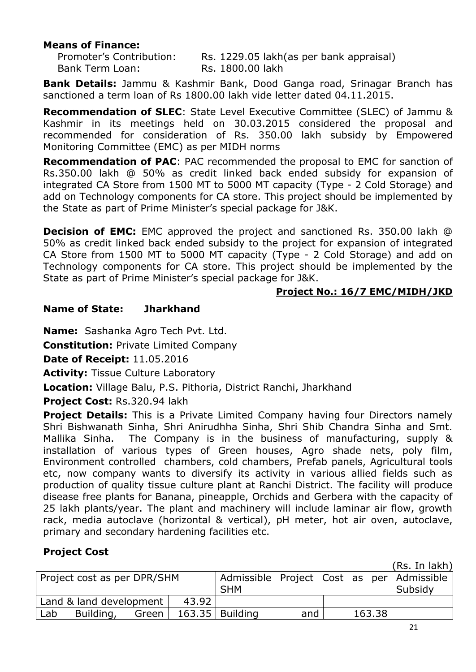#### **Means of Finance:**

Bank Term Loan: Rs. 1800.00 lakh

Promoter's Contribution: Rs. 1229.05 lakh(as per bank appraisal)

**Bank Details:** Jammu & Kashmir Bank, Dood Ganga road, Srinagar Branch has sanctioned a term loan of Rs 1800.00 lakh vide letter dated 04.11.2015.

**Recommendation of SLEC**: State Level Executive Committee (SLEC) of Jammu & Kashmir in its meetings held on 30.03.2015 considered the proposal and recommended for consideration of Rs. 350.00 lakh subsidy by Empowered Monitoring Committee (EMC) as per MIDH norms

**Recommendation of PAC**: PAC recommended the proposal to EMC for sanction of Rs.350.00 lakh @ 50% as credit linked back ended subsidy for expansion of integrated CA Store from 1500 MT to 5000 MT capacity (Type - 2 Cold Storage) and add on Technology components for CA store. This project should be implemented by the State as part of Prime Minister's special package for J&K.

**Decision of EMC:** EMC approved the project and sanctioned Rs. 350.00 lakh @ 50% as credit linked back ended subsidy to the project for expansion of integrated CA Store from 1500 MT to 5000 MT capacity (Type - 2 Cold Storage) and add on Technology components for CA store. This project should be implemented by the State as part of Prime Minister's special package for J&K.

#### **Project No.: 16/7 EMC/MIDH/JKD**

## **Name of State: Jharkhand**

**Name:** Sashanka Agro Tech Pvt. Ltd.

**Constitution:** Private Limited Company

**Date of Receipt:** 11.05.2016

**Activity:** Tissue Culture Laboratory

**Location:** Village Balu, P.S. Pithoria, District Ranchi, Jharkhand

**Project Cost:** Rs.320.94 lakh

**Project Details:** This is a Private Limited Company having four Directors namely Shri Bishwanath Sinha, Shri Anirudhha Sinha, Shri Shib Chandra Sinha and Smt. Mallika Sinha. The Company is in the business of manufacturing, supply & installation of various types of Green houses, Agro shade nets, poly film, Environment controlled chambers, cold chambers, Prefab panels, Agricultural tools etc, now company wants to diversify its activity in various allied fields such as production of quality tissue culture plant at Ranchi District. The facility will produce disease free plants for Banana, pineapple, Orchids and Gerbera with the capacity of 25 lakh plants/year. The plant and machinery will include laminar air flow, growth rack, media autoclave (horizontal & vertical), pH meter, hot air oven, autoclave, primary and secondary hardening facilities etc.

# **Project Cost**

(Rs. In lakh) Project cost as per DPR/SHM | Admissible Project Cost as per SHM Admissible Subsidy Land  $&$  land development | 43.92 Lab Building, Green 163.35 Building and 163.38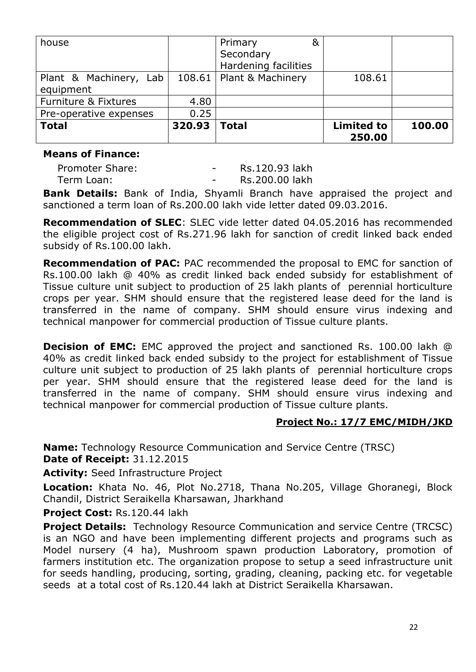| house                               |        | &<br>Primary<br>Secondary<br>Hardening facilities |                             |        |
|-------------------------------------|--------|---------------------------------------------------|-----------------------------|--------|
| Plant & Machinery, Lab<br>equipment |        | 108.61   Plant & Machinery                        | 108.61                      |        |
| <b>Furniture &amp; Fixtures</b>     | 4.80   |                                                   |                             |        |
| Pre-operative expenses              | 0.25   |                                                   |                             |        |
| <b>Total</b>                        | 320.93 | <b>Total</b>                                      | <b>Limited to</b><br>250.00 | 100.00 |

#### **Means of Finance:**

Promoter Share:  $\overline{\phantom{a}}$  - Rs.120.93 lakh Term Loan: Term Loan: Term Loan: Rs.200.00 lakh

**Bank Details:** Bank of India, Shyamli Branch have appraised the project and sanctioned a term loan of Rs.200.00 lakh vide letter dated 09.03.2016.

**Recommendation of SLEC**: SLEC vide letter dated 04.05.2016 has recommended the eligible project cost of Rs.271.96 lakh for sanction of credit linked back ended subsidy of Rs.100.00 lakh.

**Recommendation of PAC:** PAC recommended the proposal to EMC for sanction of Rs.100.00 lakh @ 40% as credit linked back ended subsidy for establishment of Tissue culture unit subject to production of 25 lakh plants of perennial horticulture crops per year. SHM should ensure that the registered lease deed for the land is transferred in the name of company. SHM should ensure virus indexing and technical manpower for commercial production of Tissue culture plants.

**Decision of EMC:** EMC approved the project and sanctioned Rs. 100.00 lakh @ 40% as credit linked back ended subsidy to the project for establishment of Tissue culture unit subject to production of 25 lakh plants of perennial horticulture crops per year. SHM should ensure that the registered lease deed for the land is transferred in the name of company. SHM should ensure virus indexing and technical manpower for commercial production of Tissue culture plants.

#### **Project No.: 17/7 EMC/MIDH/JKD**

**Name:** Technology Resource Communication and Service Centre (TRSC) **Date of Receipt:** 31.12.2015

**Activity:** Seed Infrastructure Project

**Location:** Khata No. 46, Plot No.2718, Thana No.205, Village Ghoranegi, Block Chandil, District Seraikella Kharsawan, Jharkhand

#### **Project Cost:** Rs.120.44 lakh

**Project Details:** Technology Resource Communication and service Centre (TRCSC) is an NGO and have been implementing different projects and programs such as Model nursery (4 ha), Mushroom spawn production Laboratory, promotion of farmers institution etc. The organization propose to setup a seed infrastructure unit for seeds handling, producing, sorting, grading, cleaning, packing etc. for vegetable seeds at a total cost of Rs.120.44 lakh at District Seraikella Kharsawan.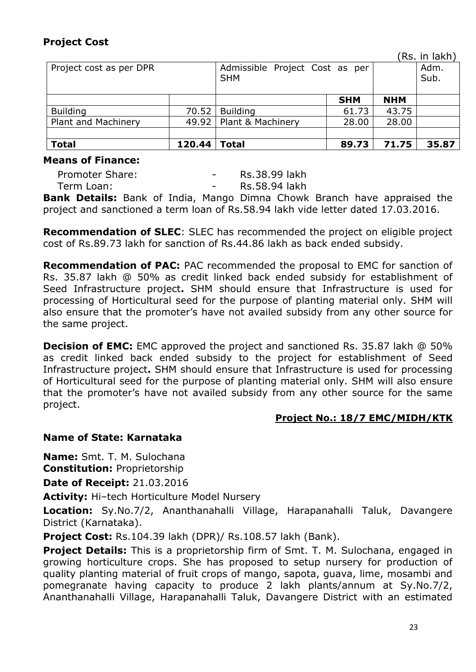# **Project Cost**

(Rs. in lakh)

| Project cost as per DPR |        | Admissible Project Cost as per<br><b>SHM</b> |            |            | Adm.<br>Sub. |
|-------------------------|--------|----------------------------------------------|------------|------------|--------------|
|                         |        |                                              | <b>SHM</b> | <b>NHM</b> |              |
| <b>Building</b>         | 70.52  | <b>Building</b>                              | 61.73      | 43.75      |              |
| Plant and Machinery     | 49.92  | Plant & Machinery                            | 28.00      | 28.00      |              |
|                         |        |                                              |            |            |              |
| <b>Total</b>            | 120.44 | <b>Total</b>                                 | 89.73      | 71.75      | 35.87        |

#### **Means of Finance:**

Promoter Share: The Contract Rs.38.99 lakh Term Loan: Term Loan: Term Loan:

**Bank Details:** Bank of India, Mango Dimna Chowk Branch have appraised the project and sanctioned a term loan of Rs.58.94 lakh vide letter dated 17.03.2016.

**Recommendation of SLEC**: SLEC has recommended the project on eligible project cost of Rs.89.73 lakh for sanction of Rs.44.86 lakh as back ended subsidy.

**Recommendation of PAC:** PAC recommended the proposal to EMC for sanction of Rs. 35.87 lakh @ 50% as credit linked back ended subsidy for establishment of Seed Infrastructure project**.** SHM should ensure that Infrastructure is used for processing of Horticultural seed for the purpose of planting material only. SHM will also ensure that the promoter's have not availed subsidy from any other source for the same project.

**Decision of EMC:** EMC approved the project and sanctioned Rs. 35.87 lakh @ 50% as credit linked back ended subsidy to the project for establishment of Seed Infrastructure project**.** SHM should ensure that Infrastructure is used for processing of Horticultural seed for the purpose of planting material only. SHM will also ensure that the promoter's have not availed subsidy from any other source for the same project.

#### **Project No.: 18/7 EMC/MIDH/KTK**

# **Name of State: Karnataka**

**Name:** Smt. T. M. Sulochana **Constitution:** Proprietorship

**Date of Receipt:** 21.03.2016

**Activity:** Hi–tech Horticulture Model Nursery

**Location:** Sy.No.7/2, Ananthanahalli Village, Harapanahalli Taluk, Davangere District (Karnataka).

**Project Cost:** Rs.104.39 lakh (DPR)/ Rs.108.57 lakh (Bank).

**Project Details:** This is a proprietorship firm of Smt. T. M. Sulochana, engaged in growing horticulture crops. She has proposed to setup nursery for production of quality planting material of fruit crops of mango, sapota, guava, lime, mosambi and pomegranate having capacity to produce 2 lakh plants/annum at Sy.No.7/2, Ananthanahalli Village, Harapanahalli Taluk, Davangere District with an estimated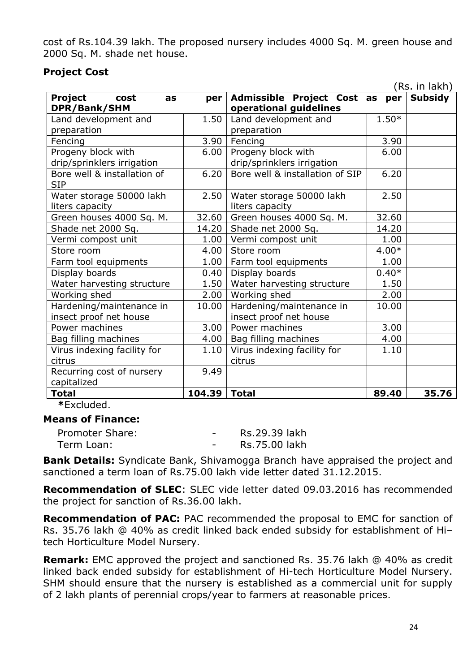cost of Rs.104.39 lakh. The proposed nursery includes 4000 Sq. M. green house and 2000 Sq. M. shade net house.

# **Project Cost**

|                                                    |        |                                                    |         | (Rs. in lakh)  |
|----------------------------------------------------|--------|----------------------------------------------------|---------|----------------|
| Project<br>cost<br>as                              | per    | Admissible Project Cost as                         | per     | <b>Subsidy</b> |
| DPR/Bank/SHM                                       |        | operational guidelines                             |         |                |
| Land development and                               | 1.50   | Land development and                               | $1.50*$ |                |
| preparation                                        |        | preparation                                        |         |                |
| Fencing                                            | 3.90   | Fencing                                            | 3.90    |                |
| Progeny block with                                 | 6.00   | Progeny block with                                 | 6.00    |                |
| drip/sprinklers irrigation                         |        | drip/sprinklers irrigation                         |         |                |
| Bore well & installation of<br><b>SIP</b>          | 6.20   | Bore well & installation of SIP                    | 6.20    |                |
| Water storage 50000 lakh<br>liters capacity        | 2.50   | Water storage 50000 lakh<br>liters capacity        | 2.50    |                |
| Green houses 4000 Sq. M.                           | 32.60  | Green houses 4000 Sq. M.                           | 32.60   |                |
| Shade net 2000 Sq.                                 | 14.20  | Shade net 2000 Sq.                                 | 14.20   |                |
| Vermi compost unit                                 | 1.00   | Vermi compost unit                                 | 1.00    |                |
| Store room                                         | 4.00   | Store room                                         | $4.00*$ |                |
| Farm tool equipments                               | 1.00   | Farm tool equipments                               | 1.00    |                |
| Display boards                                     | 0.40   | Display boards                                     | $0.40*$ |                |
| Water harvesting structure                         | 1.50   | Water harvesting structure                         | 1.50    |                |
| Working shed                                       | 2.00   | Working shed                                       | 2.00    |                |
| Hardening/maintenance in<br>insect proof net house | 10.00  | Hardening/maintenance in<br>insect proof net house | 10.00   |                |
| Power machines                                     | 3.00   | Power machines                                     | 3.00    |                |
| Bag filling machines                               | 4.00   | Bag filling machines                               | 4.00    |                |
| Virus indexing facility for                        | 1.10   | Virus indexing facility for                        | 1.10    |                |
| citrus                                             |        | citrus                                             |         |                |
| Recurring cost of nursery                          | 9.49   |                                                    |         |                |
| capitalized                                        |        |                                                    |         |                |
| <b>Total</b>                                       | 104.39 | <b>Total</b>                                       | 89.40   | 35.76          |
| *Fycluded                                          |        |                                                    |         |                |

**\***Excluded.

#### **Means of Finance:**

| Promoter Share: | Rs.29.39 lakh |
|-----------------|---------------|
| Term Loan:      | Rs.75.00 lakh |

**Bank Details:** Syndicate Bank, Shivamogga Branch have appraised the project and sanctioned a term loan of Rs.75.00 lakh vide letter dated 31.12.2015.

**Recommendation of SLEC**: SLEC vide letter dated 09.03.2016 has recommended the project for sanction of Rs.36.00 lakh.

**Recommendation of PAC:** PAC recommended the proposal to EMC for sanction of Rs. 35.76 lakh @ 40% as credit linked back ended subsidy for establishment of Hi– tech Horticulture Model Nursery.

**Remark:** EMC approved the project and sanctioned Rs. 35.76 lakh @ 40% as credit linked back ended subsidy for establishment of Hi-tech Horticulture Model Nursery. SHM should ensure that the nursery is established as a commercial unit for supply of 2 lakh plants of perennial crops/year to farmers at reasonable prices.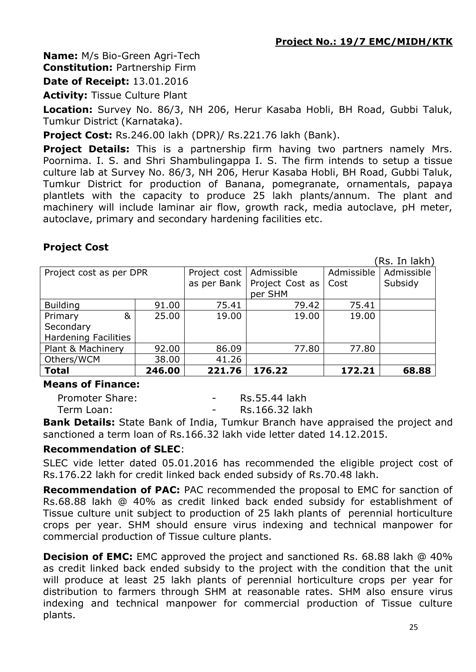**Name:** M/s Bio-Green Agri-Tech **Constitution:** Partnership Firm

**Date of Receipt:** 13.01.2016

**Activity:** Tissue Culture Plant

**Location:** Survey No. 86/3, NH 206, Herur Kasaba Hobli, BH Road, Gubbi Taluk, Tumkur District (Karnataka).

**Project Cost:** Rs.246.00 lakh (DPR)/ Rs.221.76 lakh (Bank).

**Project Details:** This is a partnership firm having two partners namely Mrs. Poornima. I. S. and Shri Shambulingappa I. S. The firm intends to setup a tissue culture lab at Survey No. 86/3, NH 206, Herur Kasaba Hobli, BH Road, Gubbi Taluk, Tumkur District for production of Banana, pomegranate, ornamentals, papaya plantlets with the capacity to produce 25 lakh plants/annum. The plant and machinery will include laminar air flow, growth rack, media autoclave, pH meter, autoclave, primary and secondary hardening facilities etc.

# **Project Cost**

(Rs. In lakh)

| Project cost as per DPR     |        | Project cost   Admissible |                 | Admissible | Admissible |
|-----------------------------|--------|---------------------------|-----------------|------------|------------|
|                             |        | as per Bank               | Project Cost as | Cost       | Subsidy    |
|                             |        |                           | per SHM         |            |            |
| <b>Building</b>             | 91.00  | 75.41                     | 79.42           | 75.41      |            |
| &<br>Primary                | 25.00  | 19.00                     | 19.00           | 19.00      |            |
| Secondary                   |        |                           |                 |            |            |
| <b>Hardening Facilities</b> |        |                           |                 |            |            |
| Plant & Machinery           | 92.00  | 86.09                     | 77.80           | 77.80      |            |
| Others/WCM                  | 38.00  | 41.26                     |                 |            |            |
| <b>Total</b>                | 246.00 | 221.76                    | 176.22          | 172.21     | 68.88      |

#### **Means of Finance:**

Promoter Share:  $-$  Rs.55.44 lakh Term Loan: Term Loan: Term Loan:

**Bank Details:** State Bank of India, Tumkur Branch have appraised the project and sanctioned a term loan of Rs.166.32 lakh vide letter dated 14.12.2015.

# **Recommendation of SLEC**:

SLEC vide letter dated 05.01.2016 has recommended the eligible project cost of Rs.176.22 lakh for credit linked back ended subsidy of Rs.70.48 lakh.

**Recommendation of PAC:** PAC recommended the proposal to EMC for sanction of Rs.68.88 lakh @ 40% as credit linked back ended subsidy for establishment of Tissue culture unit subject to production of 25 lakh plants of perennial horticulture crops per year. SHM should ensure virus indexing and technical manpower for commercial production of Tissue culture plants.

**Decision of EMC:** EMC approved the project and sanctioned Rs. 68.88 lakh @ 40% as credit linked back ended subsidy to the project with the condition that the unit will produce at least 25 lakh plants of perennial horticulture crops per year for distribution to farmers through SHM at reasonable rates. SHM also ensure virus indexing and technical manpower for commercial production of Tissue culture plants.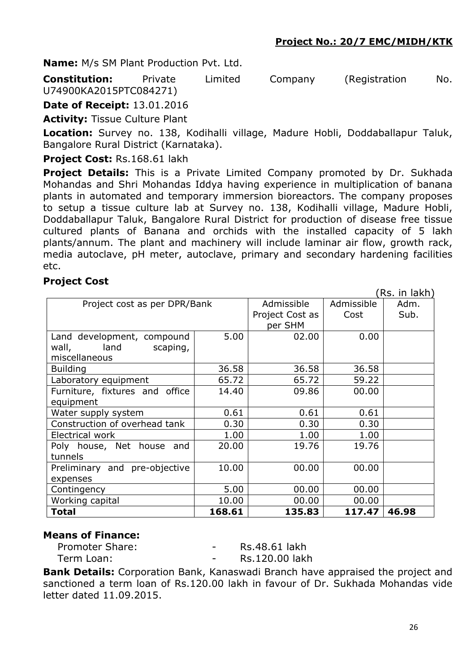**Name:** M/s SM Plant Production Pvt. Ltd.

**Constitution:** Private Limited Company (Registration No. U74900KA2015PTC084271)

**Date of Receipt:** 13.01.2016

**Activity:** Tissue Culture Plant

**Location:** Survey no. 138, Kodihalli village, Madure Hobli, Doddaballapur Taluk, Bangalore Rural District (Karnataka).

**Project Cost:** Rs.168.61 lakh

**Project Details:** This is a Private Limited Company promoted by Dr. Sukhada Mohandas and Shri Mohandas Iddya having experience in multiplication of banana plants in automated and temporary immersion bioreactors. The company proposes to setup a tissue culture lab at Survey no. 138, Kodihalli village, Madure Hobli, Doddaballapur Taluk, Bangalore Rural District for production of disease free tissue cultured plants of Banana and orchids with the installed capacity of 5 lakh plants/annum. The plant and machinery will include laminar air flow, growth rack, media autoclave, pH meter, autoclave, primary and secondary hardening facilities etc.

#### **Project Cost**

|                                |        |            |            | (Rs. in lakh) |
|--------------------------------|--------|------------|------------|---------------|
| Project cost as per DPR/Bank   |        | Admissible | Admissible | Adm.          |
|                                |        |            | Cost       | Sub.          |
|                                |        | per SHM    |            |               |
| Land development, compound     | 5.00   | 02.00      | 0.00       |               |
| land<br>wall,<br>scaping,      |        |            |            |               |
| miscellaneous                  |        |            |            |               |
| <b>Building</b>                | 36.58  | 36.58      | 36.58      |               |
| Laboratory equipment           | 65.72  | 65.72      | 59.22      |               |
| Furniture, fixtures and office | 14.40  | 09.86      | 00.00      |               |
| equipment                      |        |            |            |               |
| Water supply system            | 0.61   | 0.61       | 0.61       |               |
| Construction of overhead tank  | 0.30   | 0.30       | 0.30       |               |
| Electrical work                | 1.00   | 1.00       | 1.00       |               |
| Poly house, Net house and      | 20.00  | 19.76      | 19.76      |               |
| tunnels                        |        |            |            |               |
| Preliminary and pre-objective  | 10.00  | 00.00      | 00.00      |               |
| expenses                       |        |            |            |               |
| Contingency                    | 5.00   | 00.00      | 00.00      |               |
| Working capital                | 10.00  | 00.00      | 00.00      |               |
| Total                          | 168.61 | 135.83     | 117.47     | 46.98         |

#### **Means of Finance:**

Promoter Share:  $-$  Rs.48.61 lakh Term Loan: Term Loan: Term Loan: Rs.120.00 lakh

**Bank Details:** Corporation Bank, Kanaswadi Branch have appraised the project and sanctioned a term loan of Rs.120.00 lakh in favour of Dr. Sukhada Mohandas vide letter dated 11.09.2015.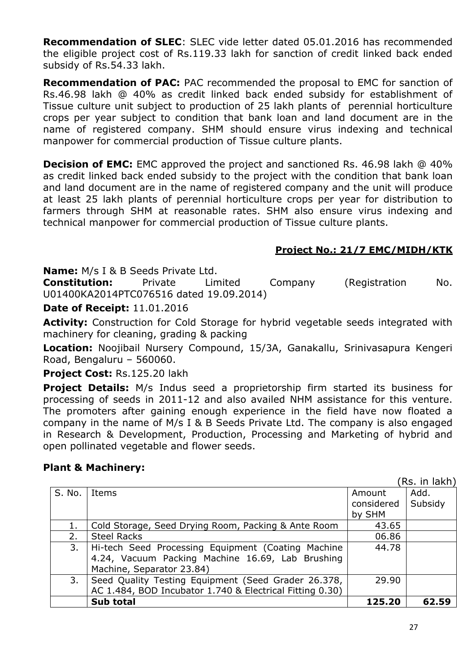**Recommendation of SLEC**: SLEC vide letter dated 05.01.2016 has recommended the eligible project cost of Rs.119.33 lakh for sanction of credit linked back ended subsidy of Rs.54.33 lakh.

**Recommendation of PAC:** PAC recommended the proposal to EMC for sanction of Rs.46.98 lakh @ 40% as credit linked back ended subsidy for establishment of Tissue culture unit subject to production of 25 lakh plants of perennial horticulture crops per year subject to condition that bank loan and land document are in the name of registered company. SHM should ensure virus indexing and technical manpower for commercial production of Tissue culture plants.

**Decision of EMC:** EMC approved the project and sanctioned Rs. 46.98 lakh @ 40% as credit linked back ended subsidy to the project with the condition that bank loan and land document are in the name of registered company and the unit will produce at least 25 lakh plants of perennial horticulture crops per year for distribution to farmers through SHM at reasonable rates. SHM also ensure virus indexing and technical manpower for commercial production of Tissue culture plants.

#### **Project No.: 21/7 EMC/MIDH/KTK**

**Name:** M/s I & B Seeds Private Ltd.

**Constitution:** Private Limited Company (Registration No. U01400KA2014PTC076516 dated 19.09.2014)

**Date of Receipt:** 11.01.2016

**Activity:** Construction for Cold Storage for hybrid vegetable seeds integrated with machinery for cleaning, grading & packing

**Location:** Noojibail Nursery Compound, 15/3A, Ganakallu, Srinivasapura Kengeri Road, Bengaluru – 560060.

**Project Cost:** Rs.125.20 lakh

**Project Details:** M/s Indus seed a proprietorship firm started its business for processing of seeds in 2011-12 and also availed NHM assistance for this venture. The promoters after gaining enough experience in the field have now floated a company in the name of M/s I & B Seeds Private Ltd. The company is also engaged in Research & Development, Production, Processing and Marketing of hybrid and open pollinated vegetable and flower seeds.

#### **Plant & Machinery:**

(Rs. in lakh)

|        |                                                          |            | ווחשו ווו וערו |
|--------|----------------------------------------------------------|------------|----------------|
| S. No. | Items                                                    | Amount     | Add.           |
|        |                                                          | considered | Subsidy        |
|        |                                                          | by SHM     |                |
| 1.     | Cold Storage, Seed Drying Room, Packing & Ante Room      | 43.65      |                |
| 2.     | <b>Steel Racks</b>                                       | 06.86      |                |
| 3.     | Hi-tech Seed Processing Equipment (Coating Machine       | 44.78      |                |
|        | 4.24, Vacuum Packing Machine 16.69, Lab Brushing         |            |                |
|        | Machine, Separator 23.84)                                |            |                |
| 3.     | Seed Quality Testing Equipment (Seed Grader 26.378,      | 29.90      |                |
|        | AC 1.484, BOD Incubator 1.740 & Electrical Fitting 0.30) |            |                |
|        | <b>Sub total</b>                                         | 125.20     | 62.59          |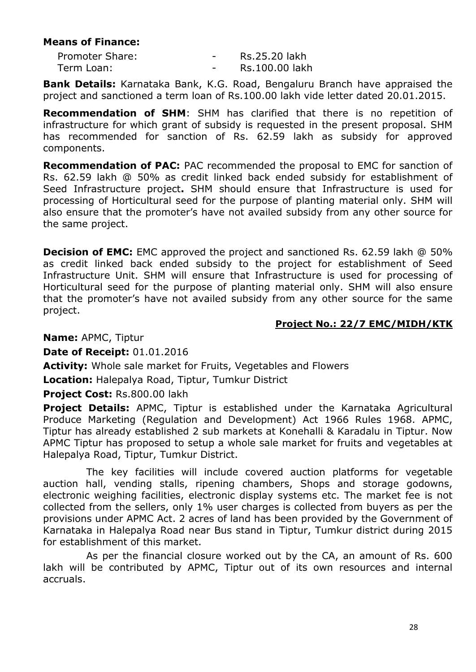## **Means of Finance:**

| Promoter Share: | -                        | Rs.25.20 lakh  |
|-----------------|--------------------------|----------------|
| Term Loan:      | $\overline{\phantom{0}}$ | Rs.100.00 lakh |

**Bank Details:** Karnataka Bank, K.G. Road, Bengaluru Branch have appraised the project and sanctioned a term loan of Rs.100.00 lakh vide letter dated 20.01.2015.

**Recommendation of SHM**: SHM has clarified that there is no repetition of infrastructure for which grant of subsidy is requested in the present proposal. SHM has recommended for sanction of Rs. 62.59 lakh as subsidy for approved components.

**Recommendation of PAC:** PAC recommended the proposal to EMC for sanction of Rs. 62.59 lakh @ 50% as credit linked back ended subsidy for establishment of Seed Infrastructure project**.** SHM should ensure that Infrastructure is used for processing of Horticultural seed for the purpose of planting material only. SHM will also ensure that the promoter's have not availed subsidy from any other source for the same project.

**Decision of EMC:** EMC approved the project and sanctioned Rs. 62.59 lakh @ 50% as credit linked back ended subsidy to the project for establishment of Seed Infrastructure Unit. SHM will ensure that Infrastructure is used for processing of Horticultural seed for the purpose of planting material only. SHM will also ensure that the promoter's have not availed subsidy from any other source for the same project.

#### **Project No.: 22/7 EMC/MIDH/KTK**

**Name:** APMC, Tiptur

**Date of Receipt:** 01.01.2016

**Activity:** Whole sale market for Fruits, Vegetables and Flowers

**Location:** Halepalya Road, Tiptur, Tumkur District

**Project Cost:** Rs.800.00 lakh

**Project Details:** APMC, Tiptur is established under the Karnataka Agricultural Produce Marketing (Regulation and Development) Act 1966 Rules 1968. APMC, Tiptur has already established 2 sub markets at Konehalli & Karadalu in Tiptur. Now APMC Tiptur has proposed to setup a whole sale market for fruits and vegetables at Halepalya Road, Tiptur, Tumkur District.

The key facilities will include covered auction platforms for vegetable auction hall, vending stalls, ripening chambers, Shops and storage godowns, electronic weighing facilities, electronic display systems etc. The market fee is not collected from the sellers, only 1% user charges is collected from buyers as per the provisions under APMC Act. 2 acres of land has been provided by the Government of Karnataka in Halepalya Road near Bus stand in Tiptur, Tumkur district during 2015 for establishment of this market.

As per the financial closure worked out by the CA, an amount of Rs. 600 lakh will be contributed by APMC, Tiptur out of its own resources and internal accruals.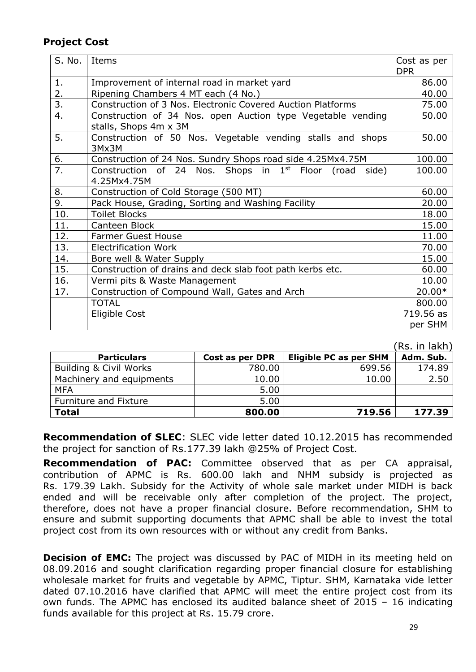# **Project Cost**

| S. No.           | Items                                                                                | Cost as per<br><b>DPR</b> |
|------------------|--------------------------------------------------------------------------------------|---------------------------|
| 1.               | Improvement of internal road in market yard                                          | 86.00                     |
| 2.               | Ripening Chambers 4 MT each (4 No.)                                                  | 40.00                     |
| $\overline{3}$ . | Construction of 3 Nos. Electronic Covered Auction Platforms                          | 75.00                     |
| $\overline{4}$ . | Construction of 34 Nos. open Auction type Vegetable vending<br>stalls, Shops 4m x 3M | 50.00                     |
| 5.               | Construction of 50 Nos. Vegetable vending stalls and shops<br>3Mx3M                  | 50.00                     |
| 6.               | Construction of 24 Nos. Sundry Shops road side 4.25Mx4.75M                           | 100.00                    |
| 7.               | Construction of 24 Nos. Shops in $1st$ Floor (road side)                             | 100.00                    |
|                  | 4.25Mx4.75M                                                                          |                           |
| 8.               | Construction of Cold Storage (500 MT)                                                | 60.00                     |
| $\overline{9}$ . | Pack House, Grading, Sorting and Washing Facility                                    | 20.00                     |
| 10.              | <b>Toilet Blocks</b>                                                                 | 18.00                     |
| 11.              | Canteen Block                                                                        | 15.00                     |
| 12.              | <b>Farmer Guest House</b>                                                            | 11.00                     |
| 13.              | <b>Electrification Work</b>                                                          | 70.00                     |
| 14.              | Bore well & Water Supply                                                             | 15.00                     |
| 15.              | Construction of drains and deck slab foot path kerbs etc.                            | 60.00                     |
| 16.              | Vermi pits & Waste Management                                                        | 10.00                     |
| 17.              | Construction of Compound Wall, Gates and Arch                                        | 20.00*                    |
|                  | <b>TOTAL</b>                                                                         | 800.00                    |
|                  | Eligible Cost                                                                        | 719.56 as                 |
|                  |                                                                                      | per SHM                   |

|                                   |                 |                               | (Rs. in lakh) |
|-----------------------------------|-----------------|-------------------------------|---------------|
| <b>Particulars</b>                | Cost as per DPR | <b>Eligible PC as per SHM</b> | Adm. Sub.     |
| <b>Building &amp; Civil Works</b> | 780.00          | 699.56                        | 174.89        |
| Machinery and equipments          | 10.00           | 10.00                         | 2.50          |
| <b>MFA</b>                        | 5.00            |                               |               |
| Furniture and Fixture             | 5.00            |                               |               |
| <b>Total</b>                      | 800.00          | 719.56                        | 177.39        |

**Recommendation of SLEC**: SLEC vide letter dated 10.12.2015 has recommended the project for sanction of Rs.177.39 lakh @25% of Project Cost.

**Recommendation of PAC:** Committee observed that as per CA appraisal, contribution of APMC is Rs. 600.00 lakh and NHM subsidy is projected as Rs. 179.39 Lakh. Subsidy for the Activity of whole sale market under MIDH is back ended and will be receivable only after completion of the project. The project, therefore, does not have a proper financial closure. Before recommendation, SHM to ensure and submit supporting documents that APMC shall be able to invest the total project cost from its own resources with or without any credit from Banks.

**Decision of EMC:** The project was discussed by PAC of MIDH in its meeting held on 08.09.2016 and sought clarification regarding proper financial closure for establishing wholesale market for fruits and vegetable by APMC, Tiptur. SHM, Karnataka vide letter dated 07.10.2016 have clarified that APMC will meet the entire project cost from its own funds. The APMC has enclosed its audited balance sheet of 2015 – 16 indicating funds available for this project at Rs. 15.79 crore.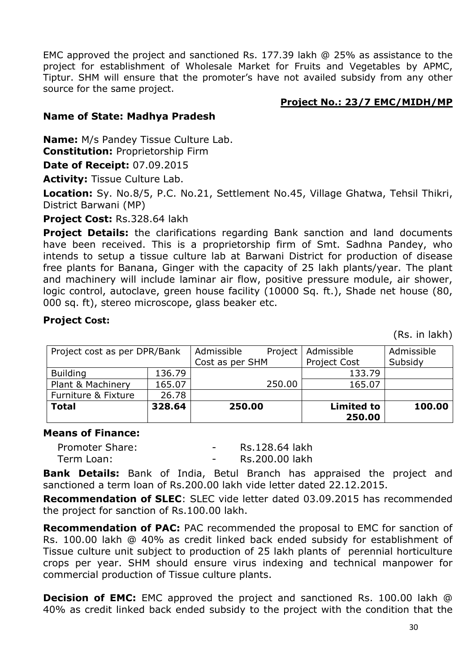EMC approved the project and sanctioned Rs. 177.39 lakh @ 25% as assistance to the project for establishment of Wholesale Market for Fruits and Vegetables by APMC, Tiptur. SHM will ensure that the promoter's have not availed subsidy from any other source for the same project.

#### **Project No.: 23/7 EMC/MIDH/MP**

## **Name of State: Madhya Pradesh**

**Name:** M/s Pandey Tissue Culture Lab.

**Constitution:** Proprietorship Firm

**Date of Receipt:** 07.09.2015

**Activity:** Tissue Culture Lab.

**Location:** Sy. No.8/5, P.C. No.21, Settlement No.45, Village Ghatwa, Tehsil Thikri, District Barwani (MP)

**Project Cost:** Rs.328.64 lakh

**Project Details:** the clarifications regarding Bank sanction and land documents have been received. This is a proprietorship firm of Smt. Sadhna Pandey, who intends to setup a tissue culture lab at Barwani District for production of disease free plants for Banana, Ginger with the capacity of 25 lakh plants/year. The plant and machinery will include laminar air flow, positive pressure module, air shower, logic control, autoclave, green house facility (10000 Sq. ft.), Shade net house (80, 000 sq. ft), stereo microscope, glass beaker etc.

#### **Project Cost:**

(Rs. in lakh)

| Project cost as per DPR/Bank |        | Admissible<br>Project | Admissible                  | Admissible |
|------------------------------|--------|-----------------------|-----------------------------|------------|
|                              |        | Cost as per SHM       | <b>Project Cost</b>         | Subsidy    |
| <b>Building</b>              | 136.79 |                       | 133.79                      |            |
| Plant & Machinery            | 165.07 | 250.00                | 165.07                      |            |
| Furniture & Fixture          | 26.78  |                       |                             |            |
| <b>Total</b>                 | 328.64 | 250.00                | <b>Limited to</b><br>250.00 | 100.00     |

#### **Means of Finance:**

| <b>Promoter Share:</b> | Rs.128.64 lakh |
|------------------------|----------------|
| Term Loan:             | Rs.200.00 lakh |

**Bank Details:** Bank of India, Betul Branch has appraised the project and sanctioned a term loan of Rs.200.00 lakh vide letter dated 22.12.2015.

**Recommendation of SLEC**: SLEC vide letter dated 03.09.2015 has recommended the project for sanction of Rs.100.00 lakh.

**Recommendation of PAC:** PAC recommended the proposal to EMC for sanction of Rs. 100.00 lakh @ 40% as credit linked back ended subsidy for establishment of Tissue culture unit subject to production of 25 lakh plants of perennial horticulture crops per year. SHM should ensure virus indexing and technical manpower for commercial production of Tissue culture plants.

**Decision of EMC:** EMC approved the project and sanctioned Rs. 100.00 lakh @ 40% as credit linked back ended subsidy to the project with the condition that the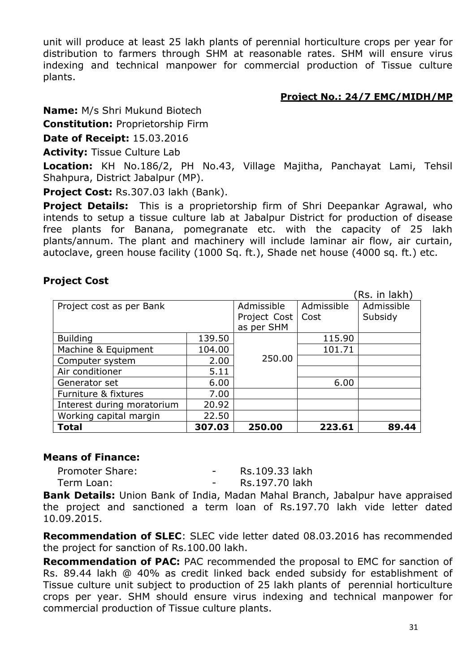unit will produce at least 25 lakh plants of perennial horticulture crops per year for distribution to farmers through SHM at reasonable rates. SHM will ensure virus indexing and technical manpower for commercial production of Tissue culture plants.

#### **Project No.: 24/7 EMC/MIDH/MP**

**Name:** M/s Shri Mukund Biotech

**Constitution:** Proprietorship Firm

**Date of Receipt:** 15.03.2016

**Activity:** Tissue Culture Lab

**Location:** KH No.186/2, PH No.43, Village Majitha, Panchayat Lami, Tehsil Shahpura, District Jabalpur (MP).

**Project Cost:** Rs.307.03 lakh (Bank).

**Project Details:** This is a proprietorship firm of Shri Deepankar Agrawal, who intends to setup a tissue culture lab at Jabalpur District for production of disease free plants for Banana, pomegranate etc. with the capacity of 25 lakh plants/annum. The plant and machinery will include laminar air flow, air curtain, autoclave, green house facility (1000 Sq. ft.), Shade net house (4000 sq. ft.) etc.

#### **Project Cost**

|                            |            |              |            | (Rs. in lakh) |
|----------------------------|------------|--------------|------------|---------------|
| Project cost as per Bank   | Admissible | Admissible   | Admissible |               |
|                            |            | Project Cost | Cost       | Subsidy       |
|                            |            | as per SHM   |            |               |
| <b>Building</b>            | 139.50     |              | 115.90     |               |
| Machine & Equipment        | 104.00     |              | 101.71     |               |
| Computer system            | 2.00       | 250.00       |            |               |
| Air conditioner            | 5.11       |              |            |               |
| Generator set              | 6.00       |              | 6.00       |               |
| Furniture & fixtures       | 7.00       |              |            |               |
| Interest during moratorium | 20.92      |              |            |               |
| Working capital margin     | 22.50      |              |            |               |
| <b>Total</b>               | 307.03     | 250.00       | 223.61     | 89.44         |

#### **Means of Finance:**

Promoter Share: The Contract Contract Promoter Share: Term Loan: Term Loan: Term Loan:

**Bank Details:** Union Bank of India, Madan Mahal Branch, Jabalpur have appraised the project and sanctioned a term loan of Rs.197.70 lakh vide letter dated 10.09.2015.

**Recommendation of SLEC**: SLEC vide letter dated 08.03.2016 has recommended the project for sanction of Rs.100.00 lakh.

**Recommendation of PAC:** PAC recommended the proposal to EMC for sanction of Rs. 89.44 lakh @ 40% as credit linked back ended subsidy for establishment of Tissue culture unit subject to production of 25 lakh plants of perennial horticulture crops per year. SHM should ensure virus indexing and technical manpower for commercial production of Tissue culture plants.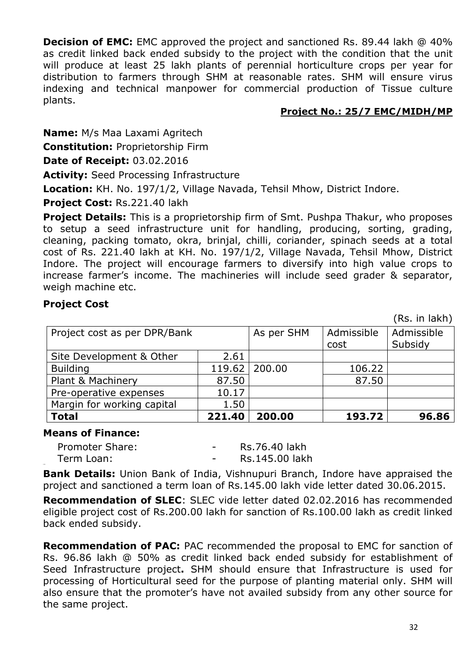**Decision of EMC:** EMC approved the project and sanctioned Rs. 89.44 lakh @ 40% as credit linked back ended subsidy to the project with the condition that the unit will produce at least 25 lakh plants of perennial horticulture crops per year for distribution to farmers through SHM at reasonable rates. SHM will ensure virus indexing and technical manpower for commercial production of Tissue culture plants.

## **Project No.: 25/7 EMC/MIDH/MP**

**Name:** M/s Maa Laxami Agritech

**Constitution:** Proprietorship Firm

**Date of Receipt:** 03.02.2016

**Activity:** Seed Processing Infrastructure

**Location:** KH. No. 197/1/2, Village Navada, Tehsil Mhow, District Indore.

**Project Cost:** Rs.221.40 lakh

**Project Details:** This is a proprietorship firm of Smt. Pushpa Thakur, who proposes to setup a seed infrastructure unit for handling, producing, sorting, grading, cleaning, packing tomato, okra, brinjal, chilli, coriander, spinach seeds at a total cost of Rs. 221.40 lakh at KH. No. 197/1/2, Village Navada, Tehsil Mhow, District Indore. The project will encourage farmers to diversify into high value crops to increase farmer's income. The machineries will include seed grader & separator, weigh machine etc.

## **Project Cost**

(Rs. in lakh)

| Project cost as per DPR/Bank |        | As per SHM | Admissible<br>cost | Admissible<br>Subsidy |
|------------------------------|--------|------------|--------------------|-----------------------|
|                              |        |            |                    |                       |
| Site Development & Other     | 2.61   |            |                    |                       |
| <b>Building</b>              | 119.62 | 200.00     | 106.22             |                       |
| Plant & Machinery            | 87.50  |            | 87.50              |                       |
| Pre-operative expenses       | 10.17  |            |                    |                       |
| Margin for working capital   | 1.50   |            |                    |                       |
| <b>Total</b>                 | 221.40 | 200.00     | 193.72             | 96.86                 |

#### **Means of Finance:**

| Promoter Share: | Rs.76.40 lakh  |
|-----------------|----------------|
| Term Loan:      | Rs.145.00 lakh |

**Bank Details:** Union Bank of India, Vishnupuri Branch, Indore have appraised the project and sanctioned a term loan of Rs.145.00 lakh vide letter dated 30.06.2015.

**Recommendation of SLEC**: SLEC vide letter dated 02.02.2016 has recommended eligible project cost of Rs.200.00 lakh for sanction of Rs.100.00 lakh as credit linked back ended subsidy.

**Recommendation of PAC:** PAC recommended the proposal to EMC for sanction of Rs. 96.86 lakh @ 50% as credit linked back ended subsidy for establishment of Seed Infrastructure project**.** SHM should ensure that Infrastructure is used for processing of Horticultural seed for the purpose of planting material only. SHM will also ensure that the promoter's have not availed subsidy from any other source for the same project.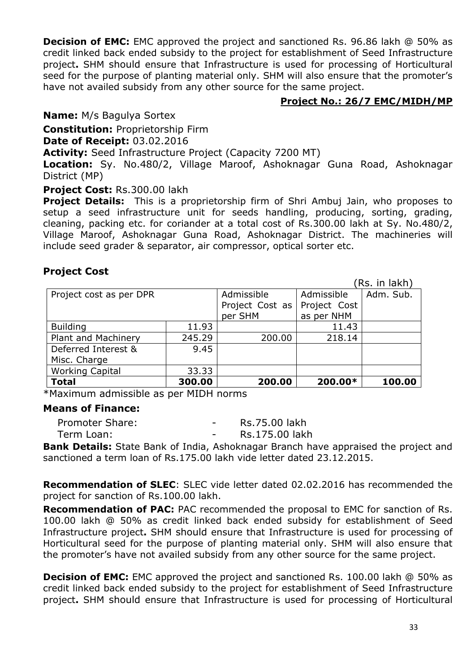**Decision of EMC:** EMC approved the project and sanctioned Rs. 96.86 lakh @ 50% as credit linked back ended subsidy to the project for establishment of Seed Infrastructure project**.** SHM should ensure that Infrastructure is used for processing of Horticultural seed for the purpose of planting material only. SHM will also ensure that the promoter's have not availed subsidy from any other source for the same project.

## **Project No.: 26/7 EMC/MIDH/MP**

**Name:** M/s Bagulya Sortex

**Constitution:** Proprietorship Firm

**Date of Receipt:** 03.02.2016

**Activity:** Seed Infrastructure Project (Capacity 7200 MT)

**Location:** Sy. No.480/2, Village Maroof, Ashoknagar Guna Road, Ashoknagar District (MP)

#### **Project Cost:** Rs.300.00 lakh

**Project Details:** This is a proprietorship firm of Shri Ambuj Jain, who proposes to setup a seed infrastructure unit for seeds handling, producing, sorting, grading, cleaning, packing etc. for coriander at a total cost of Rs.300.00 lakh at Sy. No.480/2, Village Maroof, Ashoknagar Guna Road, Ashoknagar District. The machineries will include seed grader & separator, air compressor, optical sorter etc.

# **Project Cost**

|                         |            |                 |              | (Rs. in lakh) |
|-------------------------|------------|-----------------|--------------|---------------|
| Project cost as per DPR | Admissible | Admissible      | Adm. Sub.    |               |
|                         |            | Project Cost as | Project Cost |               |
|                         |            | per SHM         | as per NHM   |               |
| <b>Building</b>         | 11.93      |                 | 11.43        |               |
| Plant and Machinery     | 245.29     | 200.00          | 218.14       |               |
| Deferred Interest &     | 9.45       |                 |              |               |
| Misc. Charge            |            |                 |              |               |
| <b>Working Capital</b>  | 33.33      |                 |              |               |
| <b>Total</b>            | 300.00     | 200.00          | 200.00*      | 100.00        |

\*Maximum admissible as per MIDH norms

#### **Means of Finance:**

| Rs.175.00 lakh<br>Term Loan: | Promoter Share: |  |  | Rs.75.00 lakh |
|------------------------------|-----------------|--|--|---------------|
|                              |                 |  |  |               |

**Bank Details:** State Bank of India, Ashoknagar Branch have appraised the project and sanctioned a term loan of Rs.175.00 lakh vide letter dated 23.12.2015.

**Recommendation of SLEC**: SLEC vide letter dated 02.02.2016 has recommended the project for sanction of Rs.100.00 lakh.

**Recommendation of PAC:** PAC recommended the proposal to EMC for sanction of Rs. 100.00 lakh @ 50% as credit linked back ended subsidy for establishment of Seed Infrastructure project**.** SHM should ensure that Infrastructure is used for processing of Horticultural seed for the purpose of planting material only. SHM will also ensure that the promoter's have not availed subsidy from any other source for the same project.

**Decision of EMC:** EMC approved the project and sanctioned Rs. 100.00 lakh @ 50% as credit linked back ended subsidy to the project for establishment of Seed Infrastructure project**.** SHM should ensure that Infrastructure is used for processing of Horticultural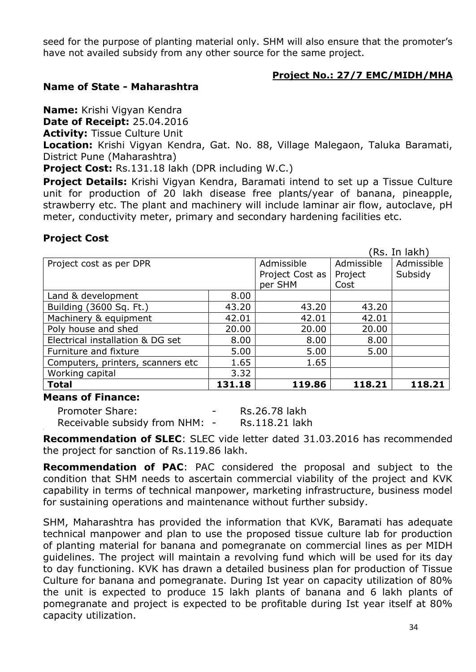seed for the purpose of planting material only. SHM will also ensure that the promoter's have not availed subsidy from any other source for the same project.

## **Project No.: 27/7 EMC/MIDH/MHA**

## **Name of State - Maharashtra**

**Name:** Krishi Vigyan Kendra

**Date of Receipt:** 25.04.2016

**Activity:** Tissue Culture Unit

**Location:** Krishi Vigyan Kendra, Gat. No. 88, Village Malegaon, Taluka Baramati, District Pune (Maharashtra)

**Project Cost:** Rs.131.18 lakh (DPR including W.C.)

**Project Details:** Krishi Vigyan Kendra, Baramati intend to set up a Tissue Culture unit for production of 20 lakh disease free plants/year of banana, pineapple, strawberry etc. The plant and machinery will include laminar air flow, autoclave, pH meter, conductivity meter, primary and secondary hardening facilities etc.

# **Project Cost**

|                                   |        |                 |            | (Rs. In lakh) |
|-----------------------------------|--------|-----------------|------------|---------------|
| Project cost as per DPR           |        | Admissible      | Admissible | Admissible    |
|                                   |        | Project Cost as | Project    | Subsidy       |
|                                   |        | per SHM         | Cost       |               |
| Land & development                | 8.00   |                 |            |               |
| Building (3600 Sq. Ft.)           | 43.20  | 43.20           | 43.20      |               |
| Machinery & equipment             | 42.01  | 42.01           | 42.01      |               |
| Poly house and shed               | 20.00  | 20.00           | 20.00      |               |
| Electrical installation & DG set  | 8.00   | 8.00            | 8.00       |               |
| Furniture and fixture             | 5.00   | 5.00            | 5.00       |               |
| Computers, printers, scanners etc | 1.65   | 1.65            |            |               |
| Working capital                   | 3.32   |                 |            |               |
| <b>Total</b>                      | 131.18 | 119.86          | 118.21     | 118.21        |

#### **Means of Finance:**

Promoter Share: The Contract Contract Promoter Share: Receivable subsidy from NHM: - Rs.118.21 lakh

**Recommendation of SLEC**: SLEC vide letter dated 31.03.2016 has recommended the project for sanction of Rs.119.86 lakh.

**Recommendation of PAC**: PAC considered the proposal and subject to the condition that SHM needs to ascertain commercial viability of the project and KVK capability in terms of technical manpower, marketing infrastructure, business model for sustaining operations and maintenance without further subsidy.

SHM, Maharashtra has provided the information that KVK, Baramati has adequate technical manpower and plan to use the proposed tissue culture lab for production of planting material for banana and pomegranate on commercial lines as per MIDH guidelines. The project will maintain a revolving fund which will be used for its day to day functioning. KVK has drawn a detailed business plan for production of Tissue Culture for banana and pomegranate. During Ist year on capacity utilization of 80% the unit is expected to produce 15 lakh plants of banana and 6 lakh plants of pomegranate and project is expected to be profitable during Ist year itself at 80% capacity utilization.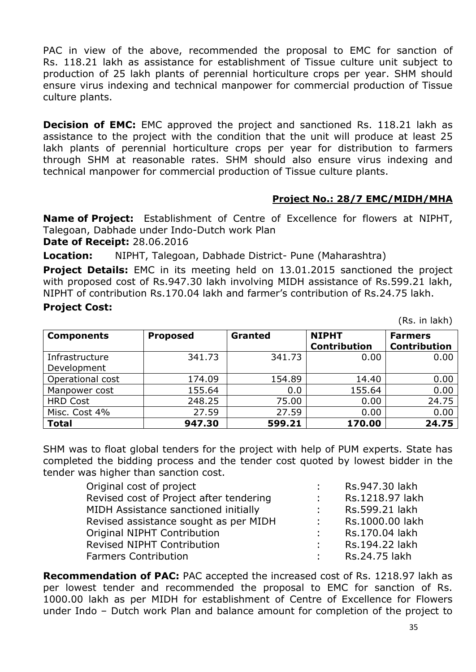PAC in view of the above, recommended the proposal to EMC for sanction of Rs. 118.21 lakh as assistance for establishment of Tissue culture unit subject to production of 25 lakh plants of perennial horticulture crops per year. SHM should ensure virus indexing and technical manpower for commercial production of Tissue culture plants.

**Decision of EMC:** EMC approved the project and sanctioned Rs. 118.21 lakh as assistance to the project with the condition that the unit will produce at least 25 lakh plants of perennial horticulture crops per year for distribution to farmers through SHM at reasonable rates. SHM should also ensure virus indexing and technical manpower for commercial production of Tissue culture plants.

# **Project No.: 28/7 EMC/MIDH/MHA**

**Name of Project:** Establishment of Centre of Excellence for flowers at NIPHT, Talegoan, Dabhade under Indo-Dutch work Plan

**Date of Receipt:** 28.06.2016

**Location:** NIPHT, Talegoan, Dabhade District- Pune (Maharashtra)

**Project Details:** EMC in its meeting held on 13.01.2015 sanctioned the project with proposed cost of Rs.947.30 lakh involving MIDH assistance of Rs.599.21 lakh, NIPHT of contribution Rs.170.04 lakh and farmer's contribution of Rs.24.75 lakh.

#### **Project Cost:**

(Rs. in lakh)

| <b>Components</b> | <b>Proposed</b> | <b>Granted</b> | <b>NIPHT</b>        | <b>Farmers</b>      |
|-------------------|-----------------|----------------|---------------------|---------------------|
|                   |                 |                | <b>Contribution</b> | <b>Contribution</b> |
| Infrastructure    | 341.73          | 341.73         | 0.00                | 0.00                |
| Development       |                 |                |                     |                     |
| Operational cost  | 174.09          | 154.89         | 14.40               | 0.00                |
| Manpower cost     | 155.64          | 0.0            | 155.64              | 0.00                |
| <b>HRD Cost</b>   | 248.25          | 75.00          | 0.00                | 24.75               |
| Misc. Cost 4%     | 27.59           | 27.59          | 0.00                | 0.00                |
| <b>Total</b>      | 947.30          | 599.21         | 170.00              | 24.75               |

SHM was to float global tenders for the project with help of PUM experts. State has completed the bidding process and the tender cost quoted by lowest bidder in the tender was higher than sanction cost.

| Original cost of project                |                   | Rs.947.30 lakh  |
|-----------------------------------------|-------------------|-----------------|
| Revised cost of Project after tendering | $\sim 10^{-11}$   | Rs.1218.97 lakh |
| MIDH Assistance sanctioned initially    | <b>Contract</b>   | Rs.599.21 lakh  |
| Revised assistance sought as per MIDH   | $\Delta \sim 100$ | Rs.1000.00 lakh |
| Original NIPHT Contribution             | diam.             | Rs.170.04 lakh  |
| <b>Revised NIPHT Contribution</b>       | $\mathcal{L}$     | Rs.194.22 lakh  |
| <b>Farmers Contribution</b>             | $\mathcal{L}$     | Rs.24.75 lakh   |

**Recommendation of PAC:** PAC accepted the increased cost of Rs. 1218.97 lakh as per lowest tender and recommended the proposal to EMC for sanction of Rs. 1000.00 lakh as per MIDH for establishment of Centre of Excellence for Flowers under Indo – Dutch work Plan and balance amount for completion of the project to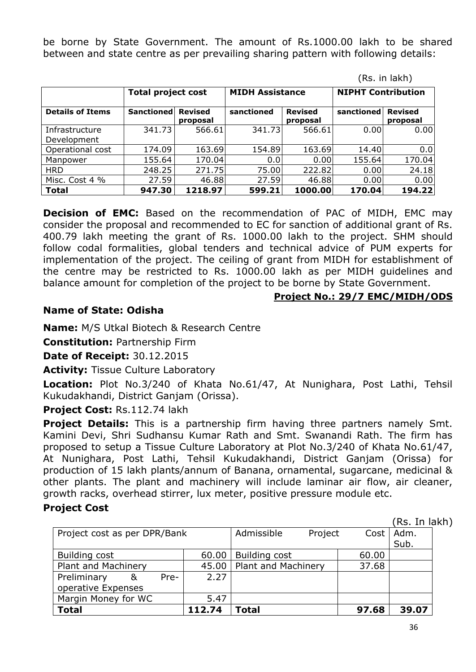be borne by State Government. The amount of Rs.1000.00 lakh to be shared between and state centre as per prevailing sharing pattern with following details:

| , ויטור ווויטרו               |                           |                            |                        |                            |                           |                            |  |
|-------------------------------|---------------------------|----------------------------|------------------------|----------------------------|---------------------------|----------------------------|--|
|                               | <b>Total project cost</b> |                            | <b>MIDH Assistance</b> |                            | <b>NIPHT Contribution</b> |                            |  |
| <b>Details of Items</b>       | <b>Sanctioned</b>         | <b>Revised</b><br>proposal | sanctioned             | <b>Revised</b><br>proposal | sanctioned                | <b>Revised</b><br>proposal |  |
| Infrastructure<br>Development | 341.73                    | 566.61                     | 341.73                 | 566.61                     | 0.00                      | 0.00                       |  |
| Operational cost              | 174.09                    | 163.69                     | 154.89                 | 163.69                     | 14.40                     | 0.0                        |  |
| Manpower                      | 155.64                    | 170.04                     | 0.0                    | 0.00                       | 155.64                    | 170.04                     |  |
| <b>HRD</b>                    | 248.25                    | 271.75                     | 75.00                  | 222.82                     | 0.00                      | 24.18                      |  |
| Misc. Cost 4 %                | 27.59                     | 46.88                      | 27.59                  | 46.88                      | 0.00                      | 0.00                       |  |
| <b>Total</b>                  | 947.30                    | 1218.97                    | 599.21                 | 1000.00                    | 170.04                    | 194.22                     |  |

**Decision of EMC:** Based on the recommendation of PAC of MIDH, EMC may consider the proposal and recommended to EC for sanction of additional grant of Rs. 400.79 lakh meeting the grant of Rs. 1000.00 lakh to the project. SHM should follow codal formalities, global tenders and technical advice of PUM experts for implementation of the project. The ceiling of grant from MIDH for establishment of the centre may be restricted to Rs. 1000.00 lakh as per MIDH guidelines and balance amount for completion of the project to be borne by State Government.

#### **Project No.: 29/7 EMC/MIDH/ODS**

(Rs. in lakh)

## **Name of State: Odisha**

**Name:** M/S Utkal Biotech & Research Centre

**Constitution:** Partnership Firm

**Date of Receipt:** 30.12.2015

**Activity: Tissue Culture Laboratory** 

**Location:** Plot No.3/240 of Khata No.61/47, At Nunighara, Post Lathi, Tehsil Kukudakhandi, District Ganjam (Orissa).

# **Project Cost:** Rs.112.74 lakh

**Project Details:** This is a partnership firm having three partners namely Smt. Kamini Devi, Shri Sudhansu Kumar Rath and Smt. Swanandi Rath. The firm has proposed to setup a Tissue Culture Laboratory at Plot No.3/240 of Khata No.61/47, At Nunighara, Post Lathi, Tehsil Kukudakhandi, District Ganjam (Orissa) for production of 15 lakh plants/annum of Banana, ornamental, sugarcane, medicinal & other plants. The plant and machinery will include laminar air flow, air cleaner, growth racks, overhead stirrer, lux meter, positive pressure module etc.

#### **Project Cost**

(Rs. In lakh)

|                              |   |       |                     |               |         |       | .     |
|------------------------------|---|-------|---------------------|---------------|---------|-------|-------|
| Project cost as per DPR/Bank |   |       |                     | Admissible    | Project | Cost  | Adm.  |
|                              |   |       |                     |               |         |       | Sub.  |
| Building cost                |   |       | 60.00               | Building cost |         | 60.00 |       |
| Plant and Machinery          |   | 45.00 | Plant and Machinery |               | 37.68   |       |       |
| Preliminary                  | & | Pre-  | 2.27                |               |         |       |       |
| operative Expenses           |   |       |                     |               |         |       |       |
| Margin Money for WC          |   |       | 5.47                |               |         |       |       |
| <b>Total</b>                 |   |       | 112.74              | <b>Total</b>  |         | 97.68 | 39.07 |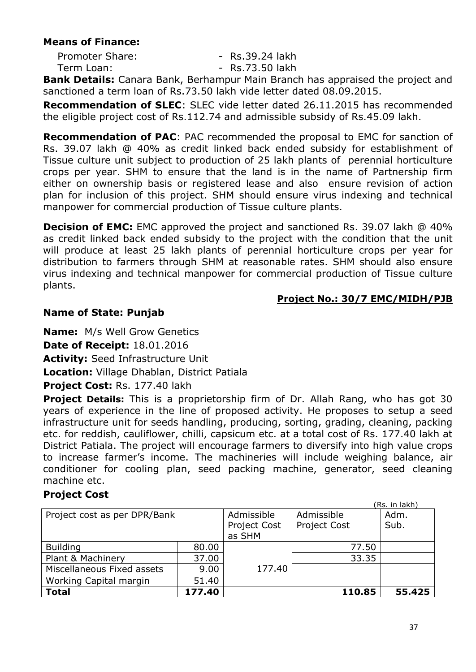## **Means of Finance:**

| <b>Promoter Share:</b> | - Rs.39.24 lakh |
|------------------------|-----------------|
| Term Loan:             | - Rs.73.50 lakh |

**Bank Details:** Canara Bank, Berhampur Main Branch has appraised the project and sanctioned a term loan of Rs.73.50 lakh vide letter dated 08.09.2015.

**Recommendation of SLEC**: SLEC vide letter dated 26.11.2015 has recommended the eligible project cost of Rs.112.74 and admissible subsidy of Rs.45.09 lakh.

**Recommendation of PAC**: PAC recommended the proposal to EMC for sanction of Rs. 39.07 lakh @ 40% as credit linked back ended subsidy for establishment of Tissue culture unit subject to production of 25 lakh plants of perennial horticulture crops per year. SHM to ensure that the land is in the name of Partnership firm either on ownership basis or registered lease and also ensure revision of action plan for inclusion of this project. SHM should ensure virus indexing and technical manpower for commercial production of Tissue culture plants.

**Decision of EMC:** EMC approved the project and sanctioned Rs. 39.07 lakh @ 40% as credit linked back ended subsidy to the project with the condition that the unit will produce at least 25 lakh plants of perennial horticulture crops per year for distribution to farmers through SHM at reasonable rates. SHM should also ensure virus indexing and technical manpower for commercial production of Tissue culture plants.

## **Project No.: 30/7 EMC/MIDH/PJB**

# **Name of State: Punjab**

**Name:** M/s Well Grow Genetics

**Date of Receipt:** 18.01.2016

**Activity:** Seed Infrastructure Unit

**Location:** Village Dhablan, District Patiala

**Project Cost:** Rs. 177.40 lakh

**Project Details:** This is a proprietorship firm of Dr. Allah Rang, who has got 30 years of experience in the line of proposed activity. He proposes to setup a seed infrastructure unit for seeds handling, producing, sorting, grading, cleaning, packing etc. for reddish, cauliflower, chilli, capsicum etc. at a total cost of Rs. 177.40 lakh at District Patiala. The project will encourage farmers to diversify into high value crops to increase farmer's income. The machineries will include weighing balance, air conditioner for cooling plan, seed packing machine, generator, seed cleaning machine etc.

# **Project Cost**

|                              |              |                     |        | (Rs. in lakh) |
|------------------------------|--------------|---------------------|--------|---------------|
| Project cost as per DPR/Bank | Admissible   | Admissible          | Adm.   |               |
|                              | Project Cost | <b>Project Cost</b> | Sub.   |               |
|                              |              | as SHM              |        |               |
| <b>Building</b>              | 80.00        |                     | 77.50  |               |
| Plant & Machinery            | 37.00        |                     | 33.35  |               |
| Miscellaneous Fixed assets   | 9.00         | 177.40              |        |               |
| Working Capital margin       | 51.40        |                     |        |               |
| <b>Total</b>                 | 177.40       |                     | 110.85 | 55.425        |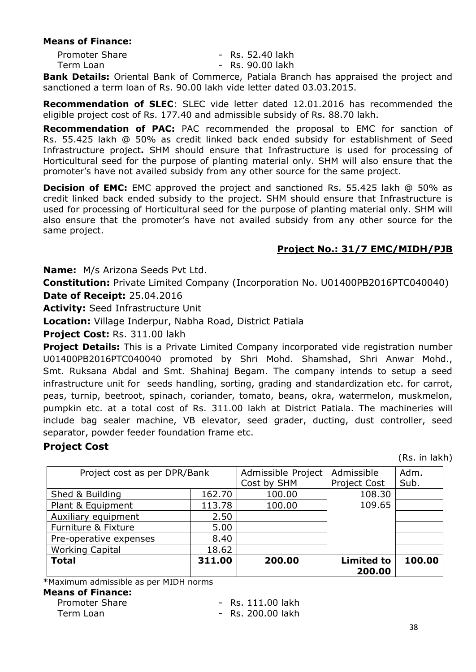#### **Means of Finance:**

| <b>Promoter Share</b> | - Rs. 52.40 lakh |
|-----------------------|------------------|
| Term Loan             | - Rs. 90.00 lakh |
| .                     |                  |

**Bank Details:** Oriental Bank of Commerce, Patiala Branch has appraised the project and sanctioned a term loan of Rs. 90.00 lakh vide letter dated 03.03.2015.

**Recommendation of SLEC**: SLEC vide letter dated 12.01.2016 has recommended the eligible project cost of Rs. 177.40 and admissible subsidy of Rs. 88.70 lakh.

**Recommendation of PAC:** PAC recommended the proposal to EMC for sanction of Rs. 55.425 lakh @ 50% as credit linked back ended subsidy for establishment of Seed Infrastructure project**.** SHM should ensure that Infrastructure is used for processing of Horticultural seed for the purpose of planting material only. SHM will also ensure that the promoter's have not availed subsidy from any other source for the same project.

**Decision of EMC:** EMC approved the project and sanctioned Rs. 55.425 lakh @ 50% as credit linked back ended subsidy to the project. SHM should ensure that Infrastructure is used for processing of Horticultural seed for the purpose of planting material only. SHM will also ensure that the promoter's have not availed subsidy from any other source for the same project.

#### **Project No.: 31/7 EMC/MIDH/PJB**

**Name:** M/s Arizona Seeds Pvt Ltd.

**Constitution:** Private Limited Company (Incorporation No. U01400PB2016PTC040040) **Date of Receipt:** 25.04.2016

**Activity:** Seed Infrastructure Unit

**Location:** Village Inderpur, Nabha Road, District Patiala

**Project Cost:** Rs. 311.00 lakh

**Project Details:** This is a Private Limited Company incorporated vide registration number U01400PB2016PTC040040 promoted by Shri Mohd. Shamshad, Shri Anwar Mohd., Smt. Ruksana Abdal and Smt. Shahinaj Begam. The company intends to setup a seed infrastructure unit for seeds handling, sorting, grading and standardization etc. for carrot, peas, turnip, beetroot, spinach, coriander, tomato, beans, okra, watermelon, muskmelon, pumpkin etc. at a total cost of Rs. 311.00 lakh at District Patiala. The machineries will include bag sealer machine, VB elevator, seed grader, ducting, dust controller, seed separator, powder feeder foundation frame etc.

#### **Project Cost**

(Rs. in lakh)

| Project cost as per DPR/Bank |        | Admissible Project | Admissible          | Adm.   |
|------------------------------|--------|--------------------|---------------------|--------|
|                              |        | Cost by SHM        | <b>Project Cost</b> | Sub.   |
| Shed & Building              | 162.70 | 100.00             | 108.30              |        |
| Plant & Equipment            | 113.78 | 100.00             | 109.65              |        |
| Auxiliary equipment          | 2.50   |                    |                     |        |
| Furniture & Fixture          | 5.00   |                    |                     |        |
| Pre-operative expenses       | 8.40   |                    |                     |        |
| <b>Working Capital</b>       | 18.62  |                    |                     |        |
| <b>Total</b>                 | 311.00 | 200.00             | <b>Limited to</b>   | 100.00 |
|                              |        |                    | 200.00              |        |

\*Maximum admissible as per MIDH norms

#### **Means of Finance:**

| <b>Promoter Share</b> | - Rs. 111.00 lakh |
|-----------------------|-------------------|
| Term Loan             | - Rs. 200.00 lakh |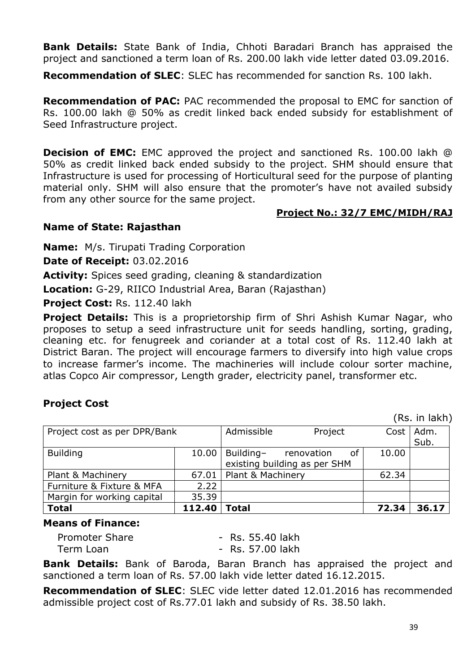**Bank Details:** State Bank of India, Chhoti Baradari Branch has appraised the project and sanctioned a term loan of Rs. 200.00 lakh vide letter dated 03.09.2016.

**Recommendation of SLEC:** SLEC has recommended for sanction Rs. 100 lakh.

**Recommendation of PAC:** PAC recommended the proposal to EMC for sanction of Rs. 100.00 lakh @ 50% as credit linked back ended subsidy for establishment of Seed Infrastructure project.

**Decision of EMC:** EMC approved the project and sanctioned Rs. 100.00 lakh @ 50% as credit linked back ended subsidy to the project. SHM should ensure that Infrastructure is used for processing of Horticultural seed for the purpose of planting material only. SHM will also ensure that the promoter's have not availed subsidy from any other source for the same project.

#### **Project No.: 32/7 EMC/MIDH/RAJ**

## **Name of State: Rajasthan**

**Name:** M/s. Tirupati Trading Corporation

**Date of Receipt:** 03.02.2016

**Activity:** Spices seed grading, cleaning & standardization

**Location:** G-29, RIICO Industrial Area, Baran (Rajasthan)

Project Cost: Rs. 112.40 lakh

**Project Details:** This is a proprietorship firm of Shri Ashish Kumar Nagar, who proposes to setup a seed infrastructure unit for seeds handling, sorting, grading, cleaning etc. for fenugreek and coriander at a total cost of Rs. 112.40 lakh at District Baran. The project will encourage farmers to diversify into high value crops to increase farmer's income. The machineries will include colour sorter machine, atlas Copco Air compressor, Length grader, electricity panel, transformer etc.

#### **Project Cost**

(Rs. in lakh)

| Project cost as per DPR/Bank | Admissible | Project           |                                            | Cost | Adm.<br>Sub. |       |
|------------------------------|------------|-------------------|--------------------------------------------|------|--------------|-------|
| <b>Building</b>              | 10.00      | Building-         | renovation<br>existing building as per SHM | οf   | 10.00        |       |
| Plant & Machinery            | 67.01      | Plant & Machinery |                                            |      | 62.34        |       |
| Furniture & Fixture & MFA    | 2.22       |                   |                                            |      |              |       |
| Margin for working capital   | 35.39      |                   |                                            |      |              |       |
| <b>Total</b>                 | 112.40     | Total             |                                            |      | 72.34        | 36.17 |

#### **Means of Finance:**

| Promoter Share | - Rs. 55.40 lakh |
|----------------|------------------|
| Term Loan      | - Rs. 57.00 lakh |

**Bank Details:** Bank of Baroda, Baran Branch has appraised the project and sanctioned a term loan of Rs. 57.00 lakh vide letter dated 16.12.2015.

**Recommendation of SLEC**: SLEC vide letter dated 12.01.2016 has recommended admissible project cost of Rs.77.01 lakh and subsidy of Rs. 38.50 lakh.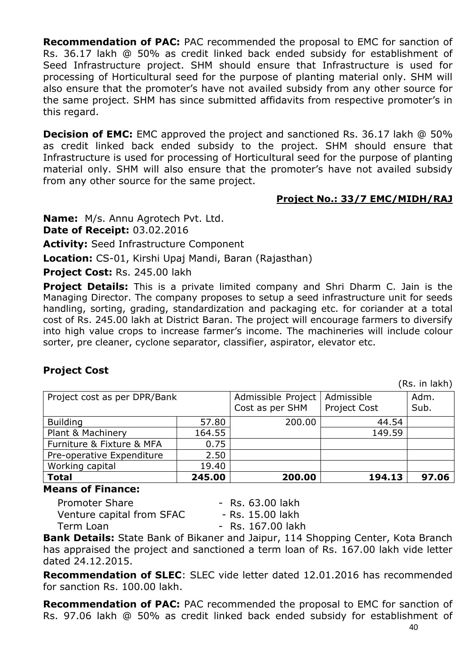**Recommendation of PAC:** PAC recommended the proposal to EMC for sanction of Rs. 36.17 lakh @ 50% as credit linked back ended subsidy for establishment of Seed Infrastructure project. SHM should ensure that Infrastructure is used for processing of Horticultural seed for the purpose of planting material only. SHM will also ensure that the promoter's have not availed subsidy from any other source for the same project. SHM has since submitted affidavits from respective promoter's in this regard.

**Decision of EMC:** EMC approved the project and sanctioned Rs. 36.17 lakh @ 50% as credit linked back ended subsidy to the project. SHM should ensure that Infrastructure is used for processing of Horticultural seed for the purpose of planting material only. SHM will also ensure that the promoter's have not availed subsidy from any other source for the same project.

## **Project No.: 33/7 EMC/MIDH/RAJ**

**Name:** M/s. Annu Agrotech Pvt. Ltd.

**Date of Receipt:** 03.02.2016

**Activity:** Seed Infrastructure Component

**Location:** CS-01, Kirshi Upaj Mandi, Baran (Rajasthan)

**Project Cost:** Rs. 245.00 lakh

**Project Details:** This is a private limited company and Shri Dharm C. Jain is the Managing Director. The company proposes to setup a seed infrastructure unit for seeds handling, sorting, grading, standardization and packaging etc. for coriander at a total cost of Rs. 245.00 lakh at District Baran. The project will encourage farmers to diversify into high value crops to increase farmer's income. The machineries will include colour sorter, pre cleaner, cyclone separator, classifier, aspirator, elevator etc.

# **Project Cost**

(Rs. in lakh)

|                              |        |                                       |                                   | , ויייווי ושיו |
|------------------------------|--------|---------------------------------------|-----------------------------------|----------------|
| Project cost as per DPR/Bank |        | Admissible Project<br>Cost as per SHM | Admissible<br><b>Project Cost</b> | Adm.<br>Sub.   |
| <b>Building</b>              | 57.80  | 200.00                                | 44.54                             |                |
| Plant & Machinery            | 164.55 |                                       | 149.59                            |                |
| Furniture & Fixture & MFA    | 0.75   |                                       |                                   |                |
| Pre-operative Expenditure    | 2.50   |                                       |                                   |                |
| Working capital              | 19.40  |                                       |                                   |                |
| <b>Total</b>                 | 245.00 | 200.00                                | 194.13                            | 97.06          |

#### **Means of Finance:**

| <b>Promoter Share</b>     | - Rs. 63.00 lakh  |
|---------------------------|-------------------|
| Venture capital from SFAC | - Rs. 15.00 lakh  |
| Term Loan                 | - Rs. 167.00 lakh |

**Bank Details:** State Bank of Bikaner and Jaipur, 114 Shopping Center, Kota Branch has appraised the project and sanctioned a term loan of Rs. 167.00 lakh vide letter dated 24.12.2015.

**Recommendation of SLEC**: SLEC vide letter dated 12.01.2016 has recommended for sanction Rs. 100.00 lakh.

**Recommendation of PAC:** PAC recommended the proposal to EMC for sanction of Rs. 97.06 lakh @ 50% as credit linked back ended subsidy for establishment of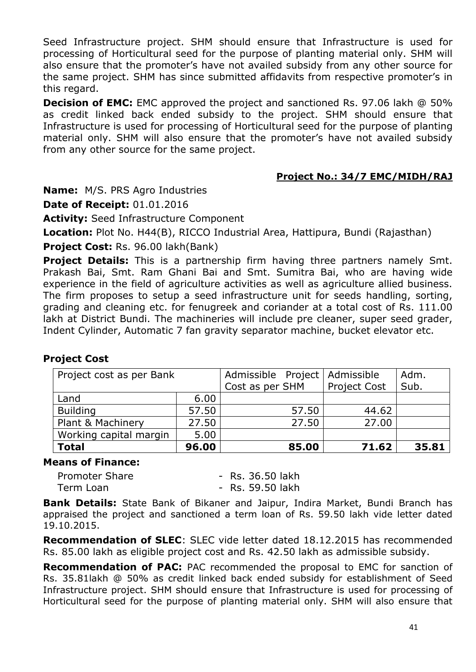Seed Infrastructure project. SHM should ensure that Infrastructure is used for processing of Horticultural seed for the purpose of planting material only. SHM will also ensure that the promoter's have not availed subsidy from any other source for the same project. SHM has since submitted affidavits from respective promoter's in this regard.

**Decision of EMC:** EMC approved the project and sanctioned Rs. 97.06 lakh @ 50% as credit linked back ended subsidy to the project. SHM should ensure that Infrastructure is used for processing of Horticultural seed for the purpose of planting material only. SHM will also ensure that the promoter's have not availed subsidy from any other source for the same project.

#### **Project No.: 34/7 EMC/MIDH/RAJ**

**Name:** M/S. PRS Agro Industries

**Date of Receipt:** 01.01.2016

**Activity:** Seed Infrastructure Component

**Location:** Plot No. H44(B), RICCO Industrial Area, Hattipura, Bundi (Rajasthan)

**Project Cost:** Rs. 96.00 lakh(Bank)

**Project Details:** This is a partnership firm having three partners namely Smt. Prakash Bai, Smt. Ram Ghani Bai and Smt. Sumitra Bai, who are having wide experience in the field of agriculture activities as well as agriculture allied business. The firm proposes to setup a seed infrastructure unit for seeds handling, sorting, grading and cleaning etc. for fenugreek and coriander at a total cost of Rs. 111.00 lakh at District Bundi. The machineries will include pre cleaner, super seed grader, Indent Cylinder, Automatic 7 fan gravity separator machine, bucket elevator etc.

| Project cost as per Bank |       | Admissible Project   Admissible<br>Cost as per SHM | <b>Project Cost</b> | Adm.<br>Sub. |
|--------------------------|-------|----------------------------------------------------|---------------------|--------------|
| Land                     | 6.00  |                                                    |                     |              |
| <b>Building</b>          | 57.50 | 57.50                                              | 44.62               |              |
| Plant & Machinery        | 27.50 | 27.50                                              | 27.00               |              |
| Working capital margin   | 5.00  |                                                    |                     |              |
| <b>Total</b>             | 96.00 | 85.00                                              | 71.62               | 35.81        |

# **Project Cost**

#### **Means of Finance:**

| <b>Promoter Share</b> | - Rs. 36.50 lakh |
|-----------------------|------------------|
| Term Loan             | - Rs. 59.50 lakh |

**Bank Details:** State Bank of Bikaner and Jaipur, Indira Market, Bundi Branch has appraised the project and sanctioned a term loan of Rs. 59.50 lakh vide letter dated 19.10.2015.

**Recommendation of SLEC**: SLEC vide letter dated 18.12.2015 has recommended Rs. 85.00 lakh as eligible project cost and Rs. 42.50 lakh as admissible subsidy.

**Recommendation of PAC:** PAC recommended the proposal to EMC for sanction of Rs. 35.81lakh @ 50% as credit linked back ended subsidy for establishment of Seed Infrastructure project. SHM should ensure that Infrastructure is used for processing of Horticultural seed for the purpose of planting material only. SHM will also ensure that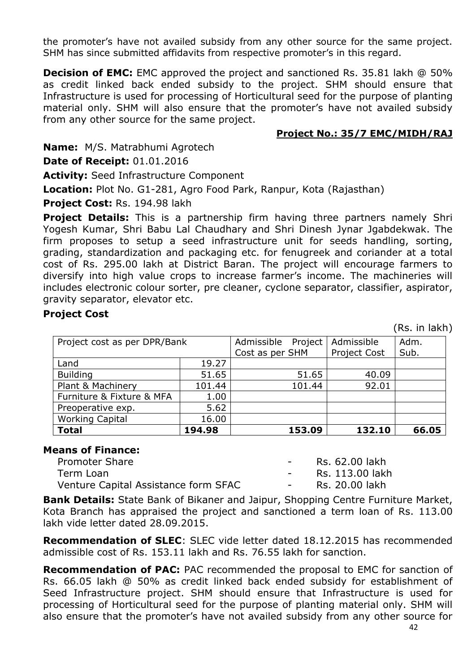the promoter's have not availed subsidy from any other source for the same project. SHM has since submitted affidavits from respective promoter's in this regard.

**Decision of EMC:** EMC approved the project and sanctioned Rs. 35.81 lakh @ 50% as credit linked back ended subsidy to the project. SHM should ensure that Infrastructure is used for processing of Horticultural seed for the purpose of planting material only. SHM will also ensure that the promoter's have not availed subsidy from any other source for the same project.

#### **Project No.: 35/7 EMC/MIDH/RAJ**

**Name:** M/S. Matrabhumi Agrotech

**Date of Receipt:** 01.01.2016

**Activity:** Seed Infrastructure Component

**Location:** Plot No. G1-281, Agro Food Park, Ranpur, Kota (Rajasthan)

**Project Cost:** Rs. 194.98 lakh

**Project Details:** This is a partnership firm having three partners namely Shri Yogesh Kumar, Shri Babu Lal Chaudhary and Shri Dinesh Jynar Jgabdekwak. The firm proposes to setup a seed infrastructure unit for seeds handling, sorting, grading, standardization and packaging etc. for fenugreek and coriander at a total cost of Rs. 295.00 lakh at District Baran. The project will encourage farmers to diversify into high value crops to increase farmer's income. The machineries will includes electronic colour sorter, pre cleaner, cyclone separator, classifier, aspirator, gravity separator, elevator etc.

#### **Project Cost**

(Rs. in lakh)

| Project cost as per DPR/Bank |        | Admissible<br>Project | Admissible          | Adm.  |
|------------------------------|--------|-----------------------|---------------------|-------|
|                              |        | Cost as per SHM       | <b>Project Cost</b> | Sub.  |
| Land                         | 19.27  |                       |                     |       |
| <b>Building</b>              | 51.65  | 51.65                 | 40.09               |       |
| Plant & Machinery            | 101.44 | 101.44                | 92.01               |       |
| Furniture & Fixture & MFA    | 1.00   |                       |                     |       |
| Preoperative exp.            | 5.62   |                       |                     |       |
| <b>Working Capital</b>       | 16.00  |                       |                     |       |
| <b>Total</b>                 | 194.98 | 153.09                | 132.10              | 66.05 |

#### **Means of Finance:**

| Promoter Share                       | <b>Contract Contract Contract</b> | Rs. 62.00 lakh  |
|--------------------------------------|-----------------------------------|-----------------|
| Term Loan                            |                                   | Rs. 113.00 lakh |
| Venture Capital Assistance form SFAC |                                   | Rs. 20.00 lakh  |

**Bank Details:** State Bank of Bikaner and Jaipur, Shopping Centre Furniture Market, Kota Branch has appraised the project and sanctioned a term loan of Rs. 113.00 lakh vide letter dated 28.09.2015.

**Recommendation of SLEC**: SLEC vide letter dated 18.12.2015 has recommended admissible cost of Rs. 153.11 lakh and Rs. 76.55 lakh for sanction.

**Recommendation of PAC:** PAC recommended the proposal to EMC for sanction of Rs. 66.05 lakh @ 50% as credit linked back ended subsidy for establishment of Seed Infrastructure project. SHM should ensure that Infrastructure is used for processing of Horticultural seed for the purpose of planting material only. SHM will also ensure that the promoter's have not availed subsidy from any other source for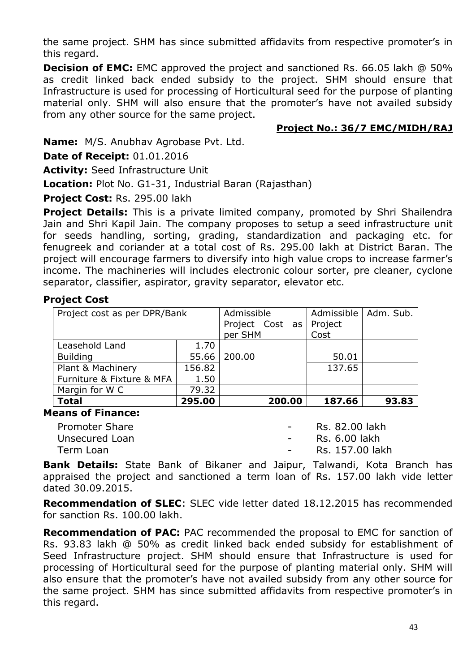the same project. SHM has since submitted affidavits from respective promoter's in this regard.

**Decision of EMC:** EMC approved the project and sanctioned Rs. 66.05 lakh @ 50% as credit linked back ended subsidy to the project. SHM should ensure that Infrastructure is used for processing of Horticultural seed for the purpose of planting material only. SHM will also ensure that the promoter's have not availed subsidy from any other source for the same project.

## **Project No.: 36/7 EMC/MIDH/RAJ**

**Name:** M/S. Anubhav Agrobase Pvt. Ltd.

**Date of Receipt:** 01.01.2016

**Activity:** Seed Infrastructure Unit

**Location:** Plot No. G1-31, Industrial Baran (Rajasthan)

**Project Cost:** Rs. 295.00 lakh

**Project Details:** This is a private limited company, promoted by Shri Shailendra Jain and Shri Kapil Jain. The company proposes to setup a seed infrastructure unit for seeds handling, sorting, grading, standardization and packaging etc. for fenugreek and coriander at a total cost of Rs. 295.00 lakh at District Baran. The project will encourage farmers to diversify into high value crops to increase farmer's income. The machineries will includes electronic colour sorter, pre cleaner, cyclone separator, classifier, aspirator, gravity separator, elevator etc.

## **Project Cost**

| Project cost as per DPR/Bank | Admissible | Admissible      | Adm. Sub. |       |
|------------------------------|------------|-----------------|-----------|-------|
|                              |            |                 |           |       |
|                              |            | Project Cost as | Project   |       |
|                              |            | per SHM         | Cost      |       |
| Leasehold Land               | 1.70       |                 |           |       |
| <b>Building</b>              | 55.66      | 200.00          | 50.01     |       |
| Plant & Machinery            | 156.82     |                 | 137.65    |       |
| Furniture & Fixture & MFA    | 1.50       |                 |           |       |
| Margin for W C               | 79.32      |                 |           |       |
| <b>Total</b>                 | 295.00     | 200.00          | 187.66    | 93.83 |

#### **Means of Finance:**

| <b>Promoter Share</b> | <b>Contract Contract</b>   | Rs. 82.00 lakh  |
|-----------------------|----------------------------|-----------------|
| Unsecured Loan        | $\sim$ 100 $\mu$ m $^{-1}$ | Rs. 6.00 lakh   |
| Term Loan             | $\sim$ 100 $\sim$          | Rs. 157.00 lakh |

**Bank Details:** State Bank of Bikaner and Jaipur, Talwandi, Kota Branch has appraised the project and sanctioned a term loan of Rs. 157.00 lakh vide letter dated 30.09.2015.

**Recommendation of SLEC**: SLEC vide letter dated 18.12.2015 has recommended for sanction Rs. 100.00 lakh.

**Recommendation of PAC:** PAC recommended the proposal to EMC for sanction of Rs. 93.83 lakh @ 50% as credit linked back ended subsidy for establishment of Seed Infrastructure project. SHM should ensure that Infrastructure is used for processing of Horticultural seed for the purpose of planting material only. SHM will also ensure that the promoter's have not availed subsidy from any other source for the same project. SHM has since submitted affidavits from respective promoter's in this regard.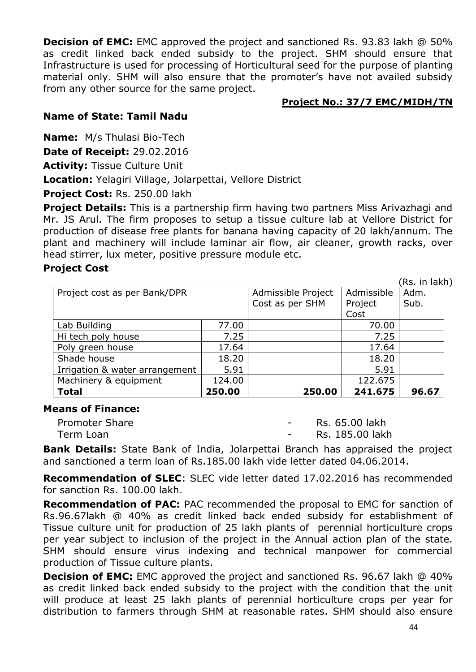**Decision of EMC:** EMC approved the project and sanctioned Rs. 93.83 lakh @ 50% as credit linked back ended subsidy to the project. SHM should ensure that Infrastructure is used for processing of Horticultural seed for the purpose of planting material only. SHM will also ensure that the promoter's have not availed subsidy from any other source for the same project.

#### **Project No.: 37/7 EMC/MIDH/TN**

## **Name of State: Tamil Nadu**

**Name:** M/s Thulasi Bio-Tech

**Date of Receipt:** 29.02.2016

**Activity:** Tissue Culture Unit

**Location:** Yelagiri Village, Jolarpettai, Vellore District

**Project Cost:** Rs. 250.00 lakh

**Project Details:** This is a partnership firm having two partners Miss Arivazhagi and Mr. JS Arul. The firm proposes to setup a tissue culture lab at Vellore District for production of disease free plants for banana having capacity of 20 lakh/annum. The plant and machinery will include laminar air flow, air cleaner, growth racks, over head stirrer, lux meter, positive pressure module etc.

## **Project Cost**

(Rs. in lakh) Project cost as per Bank/DPR | Admissible Project Cost as per SHM Admissible Project Cost Adm. Sub. Lab Building 27.00 | 77.00 | 70.00 Hi tech poly house  $\vert$  7.25  $\vert$  7.25  $\vert$  7.25 Poly green house 17.64 17.64 17.64 Shade house 18.20 18.20 18.20 Irrigation & water arrangement | 5.91 | 5.91 Machinery & equipment 124.00 | 125.675 **Total 250.00 250.00 241.675 96.67**

#### **Means of Finance:**

| <b>Promoter Share</b> | Rs. 65.00 lakh  |
|-----------------------|-----------------|
| Term Loan             | Rs. 185.00 lakh |

**Bank Details:** State Bank of India, Jolarpettai Branch has appraised the project and sanctioned a term loan of Rs.185.00 lakh vide letter dated 04.06.2014.

**Recommendation of SLEC**: SLEC vide letter dated 17.02.2016 has recommended for sanction Rs. 100.00 lakh.

**Recommendation of PAC:** PAC recommended the proposal to EMC for sanction of Rs.96.67lakh @ 40% as credit linked back ended subsidy for establishment of Tissue culture unit for production of 25 lakh plants of perennial horticulture crops per year subject to inclusion of the project in the Annual action plan of the state. SHM should ensure virus indexing and technical manpower for commercial production of Tissue culture plants.

**Decision of EMC:** EMC approved the project and sanctioned Rs. 96.67 lakh @ 40% as credit linked back ended subsidy to the project with the condition that the unit will produce at least 25 lakh plants of perennial horticulture crops per year for distribution to farmers through SHM at reasonable rates. SHM should also ensure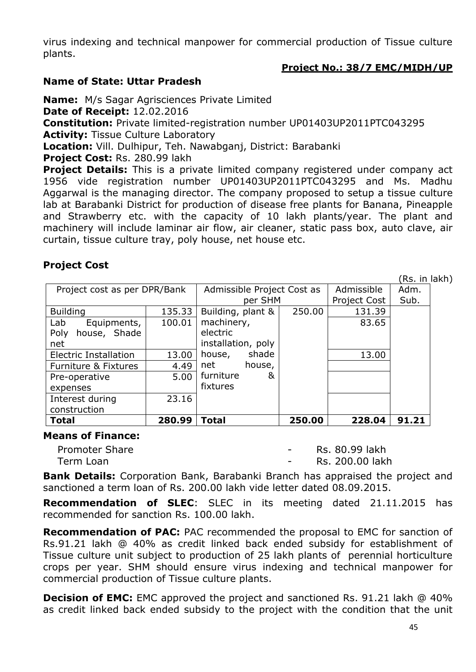virus indexing and technical manpower for commercial production of Tissue culture plants.

## **Project No.: 38/7 EMC/MIDH/UP**

#### **Name of State: Uttar Pradesh**

**Name:** M/s Sagar Agrisciences Private Limited

**Date of Receipt:** 12.02.2016

**Constitution:** Private limited-registration number UP01403UP2011PTC043295

**Activity:** Tissue Culture Laboratory

**Location:** Vill. Dulhipur, Teh. Nawabganj, District: Barabanki

**Project Cost:** Rs. 280.99 lakh

**Project Details:** This is a private limited company registered under company act 1956 vide registration number UP01403UP2011PTC043295 and Ms. Madhu Aggarwal is the managing director. The company proposed to setup a tissue culture lab at Barabanki District for production of disease free plants for Banana, Pineapple and Strawberry etc. with the capacity of 10 lakh plants/year. The plant and machinery will include laminar air flow, air cleaner, static pass box, auto clave, air curtain, tissue culture tray, poly house, net house etc.

# **Project Cost**

(Rs. in lakh)

| Project cost as per DPR/Bank |        | Admissible Project Cost as |         |        | Admissible   | Adm.  |
|------------------------------|--------|----------------------------|---------|--------|--------------|-------|
|                              |        |                            | per SHM |        | Project Cost | Sub.  |
| <b>Building</b>              | 135.33 | Building, plant &          |         | 250.00 | 131.39       |       |
| Equipments,<br>Lab           | 100.01 | machinery,                 |         |        | 83.65        |       |
| house, Shade<br>Poly         |        | electric                   |         |        |              |       |
| net                          |        | installation, poly         |         |        |              |       |
| <b>Electric Installation</b> | 13.00  | house,                     | shade   |        | 13.00        |       |
| Furniture & Fixtures         | 4.49   | net                        | house,  |        |              |       |
| Pre-operative                | 5.00   | furniture                  | &       |        |              |       |
| expenses                     |        | fixtures                   |         |        |              |       |
| Interest during              | 23.16  |                            |         |        |              |       |
| construction                 |        |                            |         |        |              |       |
| <b>Total</b>                 | 280.99 | Total                      |         | 250.00 | 228.04       | 91.21 |

#### **Means of Finance:**

Promoter Share **Contract Contract Contract Contract Contract Contract Contract Contract Contract Contract Contract Contract Contract Contract Contract Contract Contract Contract Contract Contract Contract Contract Contract** Term Loan **1988** Contract Communication Contract Communication Contract Communication Contract Communication Communication Communication Communication Communication Communication Communication Communication Communication C

**Bank Details:** Corporation Bank, Barabanki Branch has appraised the project and sanctioned a term loan of Rs. 200.00 lakh vide letter dated 08.09.2015.

**Recommendation of SLEC**: SLEC in its meeting dated 21.11.2015 has recommended for sanction Rs. 100.00 lakh.

**Recommendation of PAC:** PAC recommended the proposal to EMC for sanction of Rs.91.21 lakh @ 40% as credit linked back ended subsidy for establishment of Tissue culture unit subject to production of 25 lakh plants of perennial horticulture crops per year. SHM should ensure virus indexing and technical manpower for commercial production of Tissue culture plants.

**Decision of EMC:** EMC approved the project and sanctioned Rs. 91.21 lakh @ 40% as credit linked back ended subsidy to the project with the condition that the unit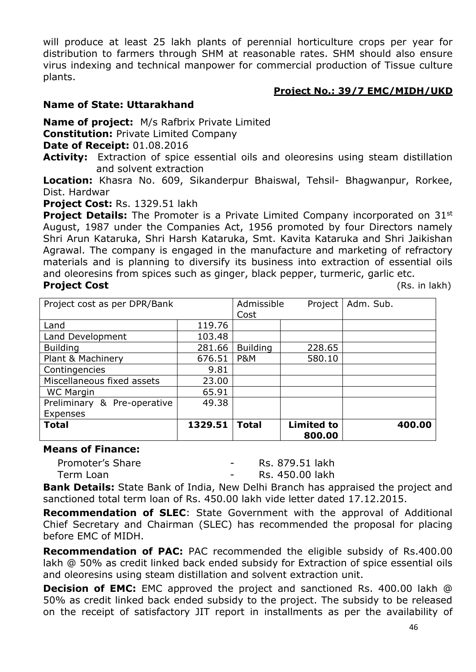will produce at least 25 lakh plants of perennial horticulture crops per year for distribution to farmers through SHM at reasonable rates. SHM should also ensure virus indexing and technical manpower for commercial production of Tissue culture plants.

## **Project No.: 39/7 EMC/MIDH/UKD**

## **Name of State: Uttarakhand**

**Name of project:** M/s Rafbrix Private Limited

**Constitution:** Private Limited Company

**Date of Receipt:** 01.08.2016

**Activity:** Extraction of spice essential oils and oleoresins using steam distillation and solvent extraction

**Location:** Khasra No. 609, Sikanderpur Bhaiswal, Tehsil- Bhagwanpur, Rorkee, Dist. Hardwar

**Project Cost:** Rs. 1329.51 lakh

**Project Details:** The Promoter is a Private Limited Company incorporated on 31<sup>st</sup> August, 1987 under the Companies Act, 1956 promoted by four Directors namely Shri Arun Kataruka, Shri Harsh Kataruka, Smt. Kavita Kataruka and Shri Jaikishan Agrawal. The company is engaged in the manufacture and marketing of refractory materials and is planning to diversify its business into extraction of essential oils and oleoresins from spices such as ginger, black pepper, turmeric, garlic etc. **Project Cost** (Rs. in lakh)

| Project cost as per DPR/Bank |         | Admissible<br>Cost | Project                     | Adm. Sub. |
|------------------------------|---------|--------------------|-----------------------------|-----------|
| Land                         | 119.76  |                    |                             |           |
| Land Development             | 103.48  |                    |                             |           |
| <b>Building</b>              | 281.66  | <b>Building</b>    | 228.65                      |           |
| Plant & Machinery            | 676.51  | <b>P&amp;M</b>     | 580.10                      |           |
| Contingencies                | 9.81    |                    |                             |           |
| Miscellaneous fixed assets   | 23.00   |                    |                             |           |
| <b>WC Margin</b>             | 65.91   |                    |                             |           |
| Preliminary & Pre-operative  | 49.38   |                    |                             |           |
| <b>Expenses</b>              |         |                    |                             |           |
| <b>Total</b>                 | 1329.51 | <b>Total</b>       | <b>Limited to</b><br>800.00 | 400.00    |

#### **Means of Finance:**

Promoter's Share **- Rs. 879.51 lakh** 

Term Loan **- Rs. 450.00 lakh** 

**Bank Details:** State Bank of India, New Delhi Branch has appraised the project and sanctioned total term loan of Rs. 450.00 lakh vide letter dated 17.12.2015.

**Recommendation of SLEC**: State Government with the approval of Additional Chief Secretary and Chairman (SLEC) has recommended the proposal for placing before EMC of MIDH.

**Recommendation of PAC:** PAC recommended the eligible subsidy of Rs.400.00 lakh @ 50% as credit linked back ended subsidy for Extraction of spice essential oils and oleoresins using steam distillation and solvent extraction unit.

**Decision of EMC:** EMC approved the project and sanctioned Rs. 400.00 lakh @ 50% as credit linked back ended subsidy to the project. The subsidy to be released on the receipt of satisfactory JIT report in installments as per the availability of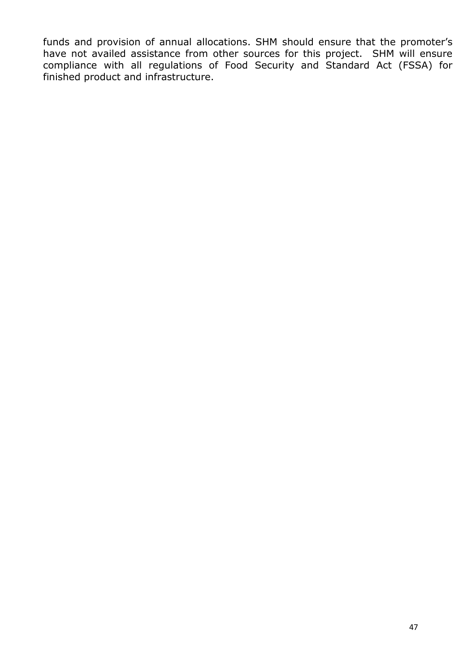funds and provision of annual allocations. SHM should ensure that the promoter's have not availed assistance from other sources for this project. SHM will ensure compliance with all regulations of Food Security and Standard Act (FSSA) for finished product and infrastructure.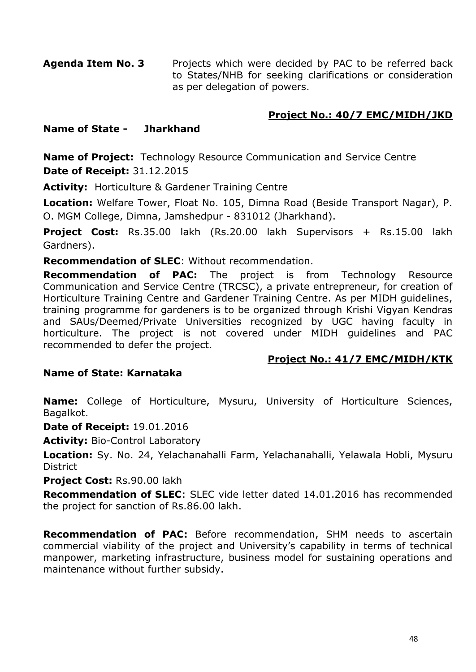**Agenda Item No. 3** Projects which were decided by PAC to be referred back to States/NHB for seeking clarifications or consideration as per delegation of powers.

## **Project No.: 40/7 EMC/MIDH/JKD**

#### **Name of State - Jharkhand**

**Name of Project:** Technology Resource Communication and Service Centre **Date of Receipt:** 31.12.2015

**Activity:** Horticulture & Gardener Training Centre

**Location:** Welfare Tower, Float No. 105, Dimna Road (Beside Transport Nagar), P. O. MGM College, Dimna, Jamshedpur - 831012 (Jharkhand).

**Project Cost:** Rs.35.00 lakh (Rs.20.00 lakh Supervisors + Rs.15.00 lakh Gardners).

**Recommendation of SLEC**: Without recommendation.

**Recommendation of PAC:** The project is from Technology Resource Communication and Service Centre (TRCSC), a private entrepreneur, for creation of Horticulture Training Centre and Gardener Training Centre. As per MIDH guidelines, training programme for gardeners is to be organized through Krishi Vigyan Kendras and SAUs/Deemed/Private Universities recognized by UGC having faculty in horticulture. The project is not covered under MIDH guidelines and PAC recommended to defer the project.

#### **Project No.: 41/7 EMC/MIDH/KTK**

#### **Name of State: Karnataka**

**Name:** College of Horticulture, Mysuru, University of Horticulture Sciences, Bagalkot.

**Date of Receipt:** 19.01.2016

**Activity:** Bio-Control Laboratory

**Location:** Sy. No. 24, Yelachanahalli Farm, Yelachanahalli, Yelawala Hobli, Mysuru **District** 

**Project Cost:** Rs.90.00 lakh

**Recommendation of SLEC**: SLEC vide letter dated 14.01.2016 has recommended the project for sanction of Rs.86.00 lakh.

**Recommendation of PAC:** Before recommendation, SHM needs to ascertain commercial viability of the project and University's capability in terms of technical manpower, marketing infrastructure, business model for sustaining operations and maintenance without further subsidy.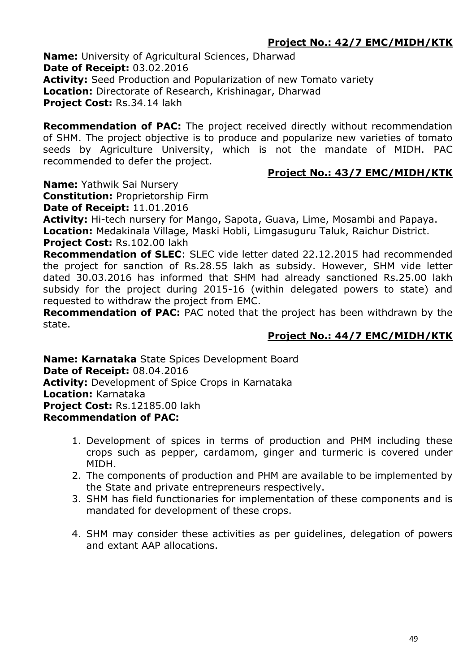# **Project No.: 42/7 EMC/MIDH/KTK**

**Name:** University of Agricultural Sciences, Dharwad **Date of Receipt:** 03.02.2016 **Activity:** Seed Production and Popularization of new Tomato variety **Location:** Directorate of Research, Krishinagar, Dharwad **Project Cost:** Rs.34.14 lakh

**Recommendation of PAC:** The project received directly without recommendation of SHM. The project objective is to produce and popularize new varieties of tomato seeds by Agriculture University, which is not the mandate of MIDH. PAC recommended to defer the project.

## **Project No.: 43/7 EMC/MIDH/KTK**

**Name:** Yathwik Sai Nursery

**Constitution:** Proprietorship Firm

**Date of Receipt:** 11.01.2016

**Activity:** Hi-tech nursery for Mango, Sapota, Guava, Lime, Mosambi and Papaya.

**Location:** Medakinala Village, Maski Hobli, Limgasuguru Taluk, Raichur District.

**Project Cost:** Rs.102.00 lakh

**Recommendation of SLEC**: SLEC vide letter dated 22.12.2015 had recommended the project for sanction of Rs.28.55 lakh as subsidy. However, SHM vide letter dated 30.03.2016 has informed that SHM had already sanctioned Rs.25.00 lakh subsidy for the project during 2015-16 (within delegated powers to state) and requested to withdraw the project from EMC.

**Recommendation of PAC:** PAC noted that the project has been withdrawn by the state.

# **Project No.: 44/7 EMC/MIDH/KTK**

**Name: Karnataka** State Spices Development Board **Date of Receipt:** 08.04.2016 **Activity:** Development of Spice Crops in Karnataka **Location:** Karnataka **Project Cost:** Rs.12185.00 lakh **Recommendation of PAC:** 

- 1. Development of spices in terms of production and PHM including these crops such as pepper, cardamom, ginger and turmeric is covered under MIDH.
- 2. The components of production and PHM are available to be implemented by the State and private entrepreneurs respectively.
- 3. SHM has field functionaries for implementation of these components and is mandated for development of these crops.
- 4. SHM may consider these activities as per guidelines, delegation of powers and extant AAP allocations.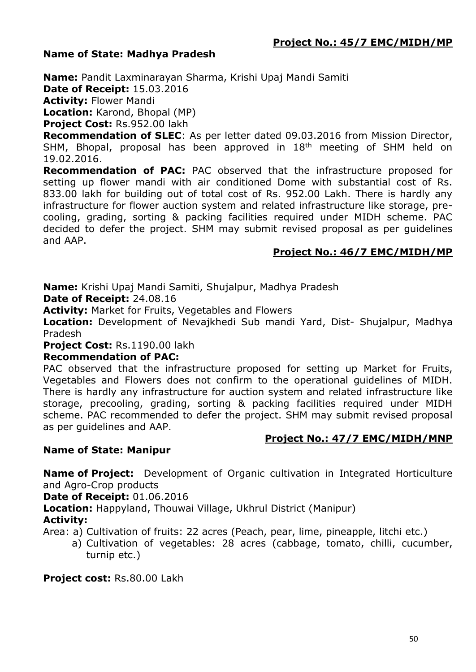## **Name of State: Madhya Pradesh**

**Name:** Pandit Laxminarayan Sharma, Krishi Upaj Mandi Samiti

**Date of Receipt:** 15.03.2016

**Activity:** Flower Mandi

**Location:** Karond, Bhopal (MP)

**Project Cost:** Rs.952.00 lakh

**Recommendation of SLEC**: As per letter dated 09.03.2016 from Mission Director, SHM, Bhopal, proposal has been approved in 18<sup>th</sup> meeting of SHM held on 19.02.2016.

**Recommendation of PAC:** PAC observed that the infrastructure proposed for setting up flower mandi with air conditioned Dome with substantial cost of Rs. 833.00 lakh for building out of total cost of Rs. 952.00 Lakh. There is hardly any infrastructure for flower auction system and related infrastructure like storage, precooling, grading, sorting & packing facilities required under MIDH scheme. PAC decided to defer the project. SHM may submit revised proposal as per guidelines and AAP.

# **Project No.: 46/7 EMC/MIDH/MP**

**Name:** Krishi Upaj Mandi Samiti, Shujalpur, Madhya Pradesh

**Date of Receipt:** 24.08.16

**Activity:** Market for Fruits, Vegetables and Flowers

**Location:** Development of Nevajkhedi Sub mandi Yard, Dist- Shujalpur, Madhya Pradesh

#### **Project Cost:** Rs.1190.00 lakh

#### **Recommendation of PAC:**

PAC observed that the infrastructure proposed for setting up Market for Fruits, Vegetables and Flowers does not confirm to the operational guidelines of MIDH. There is hardly any infrastructure for auction system and related infrastructure like storage, precooling, grading, sorting & packing facilities required under MIDH scheme. PAC recommended to defer the project. SHM may submit revised proposal as per guidelines and AAP.

# **Project No.: 47/7 EMC/MIDH/MNP**

# **Name of State: Manipur**

**Name of Project:** Development of Organic cultivation in Integrated Horticulture and Agro-Crop products

**Date of Receipt:** 01.06.2016

**Location:** Happyland, Thouwai Village, Ukhrul District (Manipur)

# **Activity:**

Area: a) Cultivation of fruits: 22 acres (Peach, pear, lime, pineapple, litchi etc.)

a) Cultivation of vegetables: 28 acres (cabbage, tomato, chilli, cucumber, turnip etc.)

**Project cost:** Rs.80.00 Lakh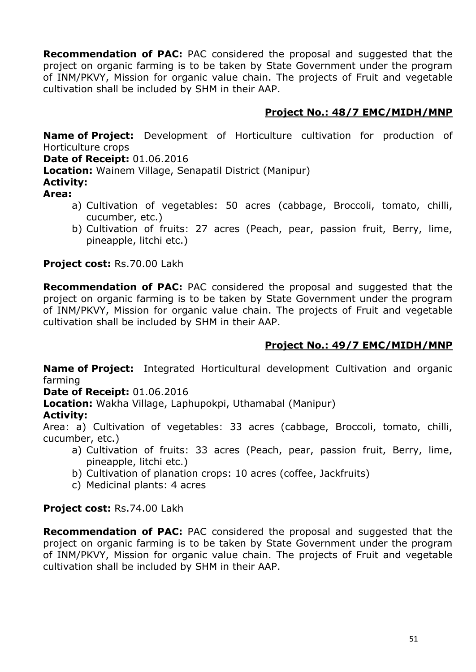**Recommendation of PAC:** PAC considered the proposal and suggested that the project on organic farming is to be taken by State Government under the program of INM/PKVY, Mission for organic value chain. The projects of Fruit and vegetable cultivation shall be included by SHM in their AAP.

# **Project No.: 48/7 EMC/MIDH/MNP**

**Name of Project:** Development of Horticulture cultivation for production of Horticulture crops

**Date of Receipt:** 01.06.2016

**Location:** Wainem Village, Senapatil District (Manipur)

# **Activity:**

- **Area:** 
	- a) Cultivation of vegetables: 50 acres (cabbage, Broccoli, tomato, chilli, cucumber, etc.)
	- b) Cultivation of fruits: 27 acres (Peach, pear, passion fruit, Berry, lime, pineapple, litchi etc.)

**Project cost:** Rs.70.00 Lakh

**Recommendation of PAC:** PAC considered the proposal and suggested that the project on organic farming is to be taken by State Government under the program of INM/PKVY, Mission for organic value chain. The projects of Fruit and vegetable cultivation shall be included by SHM in their AAP.

# **Project No.: 49/7 EMC/MIDH/MNP**

**Name of Project:** Integrated Horticultural development Cultivation and organic farming

**Date of Receipt:** 01.06.2016

**Location:** Wakha Village, Laphupokpi, Uthamabal (Manipur)

# **Activity:**

Area: a) Cultivation of vegetables: 33 acres (cabbage, Broccoli, tomato, chilli, cucumber, etc.)

- a) Cultivation of fruits: 33 acres (Peach, pear, passion fruit, Berry, lime, pineapple, litchi etc.)
- b) Cultivation of planation crops: 10 acres (coffee, Jackfruits)
- c) Medicinal plants: 4 acres

# **Project cost:** Rs.74.00 Lakh

**Recommendation of PAC:** PAC considered the proposal and suggested that the project on organic farming is to be taken by State Government under the program of INM/PKVY, Mission for organic value chain. The projects of Fruit and vegetable cultivation shall be included by SHM in their AAP.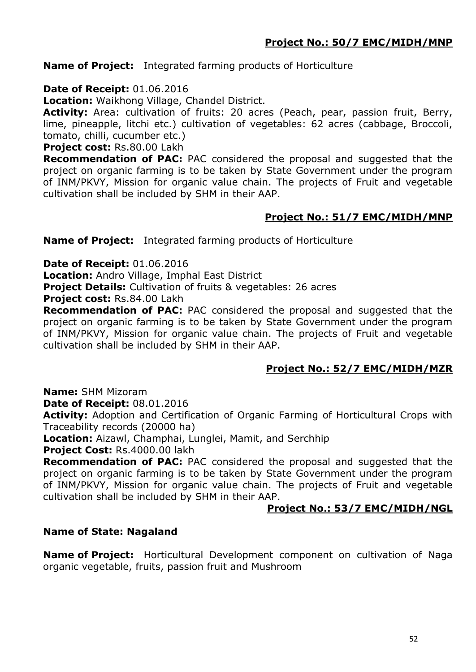## **Name of Project:** Integrated farming products of Horticulture

## **Date of Receipt:** 01.06.2016

**Location:** Waikhong Village, Chandel District.

Activity: Area: cultivation of fruits: 20 acres (Peach, pear, passion fruit, Berry, lime, pineapple, litchi etc.) cultivation of vegetables: 62 acres (cabbage, Broccoli, tomato, chilli, cucumber etc.)

**Project cost:** Rs.80.00 Lakh

**Recommendation of PAC:** PAC considered the proposal and suggested that the project on organic farming is to be taken by State Government under the program of INM/PKVY, Mission for organic value chain. The projects of Fruit and vegetable cultivation shall be included by SHM in their AAP.

## **Project No.: 51/7 EMC/MIDH/MNP**

**Name of Project:** Integrated farming products of Horticulture

**Date of Receipt:** 01.06.2016

**Location:** Andro Village, Imphal East District

**Project Details:** Cultivation of fruits & vegetables: 26 acres

**Project cost:** Rs.84.00 Lakh

**Recommendation of PAC:** PAC considered the proposal and suggested that the project on organic farming is to be taken by State Government under the program of INM/PKVY, Mission for organic value chain. The projects of Fruit and vegetable cultivation shall be included by SHM in their AAP.

# **Project No.: 52/7 EMC/MIDH/MZR**

**Name:** SHM Mizoram

**Date of Receipt:** 08.01.2016

**Activity:** Adoption and Certification of Organic Farming of Horticultural Crops with Traceability records (20000 ha)

**Location:** Aizawl, Champhai, Lunglei, Mamit, and Serchhip

Project Cost: Rs.4000.00 lakh

**Recommendation of PAC:** PAC considered the proposal and suggested that the project on organic farming is to be taken by State Government under the program of INM/PKVY, Mission for organic value chain. The projects of Fruit and vegetable cultivation shall be included by SHM in their AAP.

#### **Project No.: 53/7 EMC/MIDH/NGL**

#### **Name of State: Nagaland**

**Name of Project:** Horticultural Development component on cultivation of Naga organic vegetable, fruits, passion fruit and Mushroom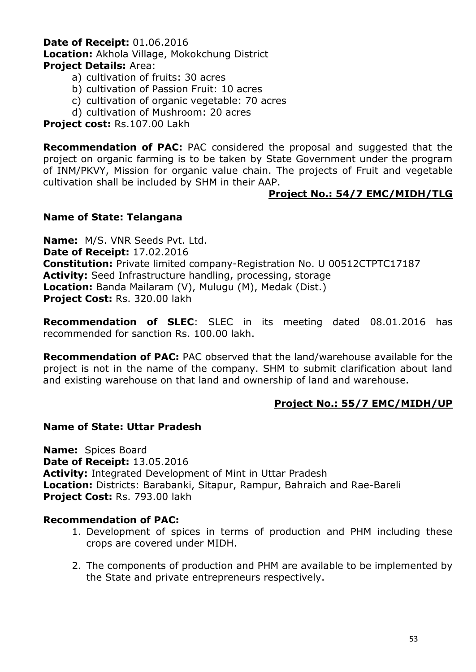## **Date of Receipt:** 01.06.2016 **Location:** Akhola Village, Mokokchung District **Project Details:** Area:

- a) cultivation of fruits: 30 acres
- b) cultivation of Passion Fruit: 10 acres
- c) cultivation of organic vegetable: 70 acres
- d) cultivation of Mushroom: 20 acres

#### **Project cost:** Rs.107.00 Lakh

**Recommendation of PAC:** PAC considered the proposal and suggested that the project on organic farming is to be taken by State Government under the program of INM/PKVY, Mission for organic value chain. The projects of Fruit and vegetable cultivation shall be included by SHM in their AAP.

## **Project No.: 54/7 EMC/MIDH/TLG**

#### **Name of State: Telangana**

**Name:** M/S. VNR Seeds Pvt. Ltd. **Date of Receipt:** 17.02.2016 **Constitution:** Private limited company-Registration No. U 00512CTPTC17187 **Activity:** Seed Infrastructure handling, processing, storage **Location:** Banda Mailaram (V), Mulugu (M), Medak (Dist.) **Project Cost:** Rs. 320.00 lakh

**Recommendation of SLEC**: SLEC in its meeting dated 08.01.2016 has recommended for sanction Rs. 100.00 lakh.

**Recommendation of PAC:** PAC observed that the land/warehouse available for the project is not in the name of the company. SHM to submit clarification about land and existing warehouse on that land and ownership of land and warehouse.

#### **Project No.: 55/7 EMC/MIDH/UP**

#### **Name of State: Uttar Pradesh**

**Name:** Spices Board **Date of Receipt:** 13.05.2016 **Activity:** Integrated Development of Mint in Uttar Pradesh **Location:** Districts: Barabanki, Sitapur, Rampur, Bahraich and Rae-Bareli **Project Cost:** Rs. 793.00 lakh

#### **Recommendation of PAC:**

- 1. Development of spices in terms of production and PHM including these crops are covered under MIDH.
- 2. The components of production and PHM are available to be implemented by the State and private entrepreneurs respectively.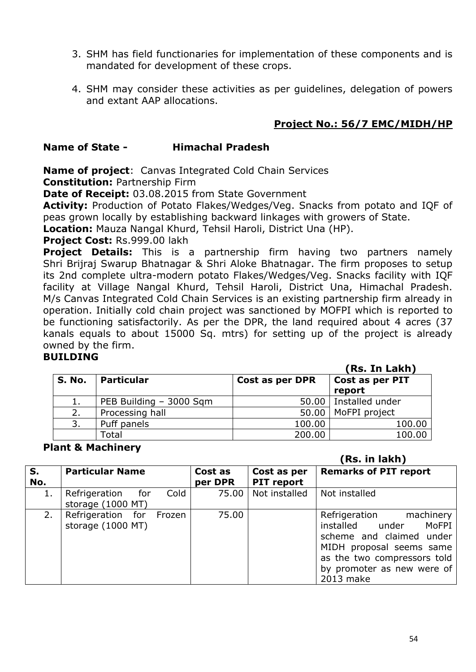- 3. SHM has field functionaries for implementation of these components and is mandated for development of these crops.
- 4. SHM may consider these activities as per guidelines, delegation of powers and extant AAP allocations.

# **Project No.: 56/7 EMC/MIDH/HP**

## **Name of State - Himachal Pradesh**

**Name of project**: Canvas Integrated Cold Chain Services **Constitution:** Partnership Firm

**Date of Receipt:** 03.08.2015 from State Government

**Activity:** Production of Potato Flakes/Wedges/Veg. Snacks from potato and IQF of peas grown locally by establishing backward linkages with growers of State.

**Location:** Mauza Nangal Khurd, Tehsil Haroli, District Una (HP).

**Project Cost:** Rs.999.00 lakh

**Project Details:** This is a partnership firm having two partners namely Shri Brijraj Swarup Bhatnagar & Shri Aloke Bhatnagar. The firm proposes to setup its 2nd complete ultra-modern potato Flakes/Wedges/Veg. Snacks facility with IQF facility at Village Nangal Khurd, Tehsil Haroli, District Una, Himachal Pradesh. M/s Canvas Integrated Cold Chain Services is an existing partnership firm already in operation. Initially cold chain project was sanctioned by MOFPI which is reported to be functioning satisfactorily. As per the DPR, the land required about 4 acres (37 kanals equals to about 15000 Sq. mtrs) for setting up of the project is already owned by the firm.

#### **BUILDING**

|        |                         |                 | (Rs. In Lakh)           |
|--------|-------------------------|-----------------|-------------------------|
| S. No. | <b>Particular</b>       | Cost as per DPR | Cost as per PIT         |
|        |                         |                 | report                  |
| ı.     | PEB Building - 3000 Sqm |                 | 50.00   Installed under |
| 2.     | Processing hall         |                 | 50.00   MoFPI project   |
| 3.     | Puff panels             | 100.00          | 100.00                  |
|        | Total                   | 200.00          | 100.00                  |

#### **Plant & Machinery**

 **(Rs. in lakh)**

| S.<br>No. | <b>Particular Name</b>                         | Cost as<br>per DPR | Cost as per<br><b>PIT report</b> | <b>Remarks of PIT report</b>                                                                                                                                                                 |
|-----------|------------------------------------------------|--------------------|----------------------------------|----------------------------------------------------------------------------------------------------------------------------------------------------------------------------------------------|
| 1.        | Cold<br>Refrigeration for<br>storage (1000 MT) | 75.00              | Not installed                    | Not installed                                                                                                                                                                                |
| 2.        | Refrigeration for Frozen<br>storage (1000 MT)  | 75.00              |                                  | Refrigeration<br>machinery  <br>installed under<br>MoFPI  <br>scheme and claimed under<br>MIDH proposal seems same<br>as the two compressors told<br>by promoter as new were of<br>2013 make |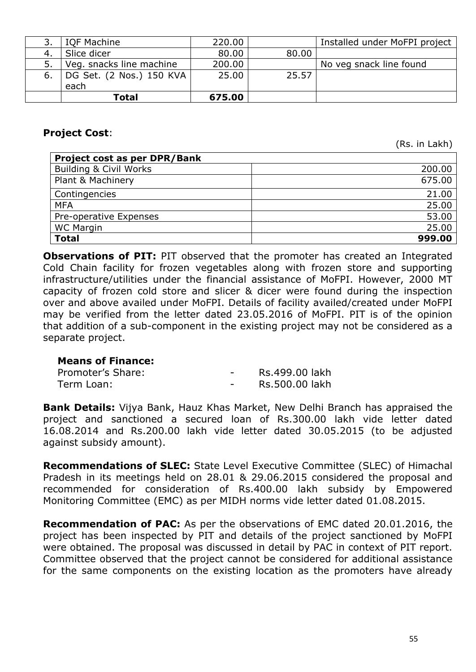|     | <b>IQF Machine</b>       | 220.00 |       | Installed under MoFPI project |
|-----|--------------------------|--------|-------|-------------------------------|
| -4. | Slice dicer              | 80.00  | 80.00 |                               |
| 5.  | Veg. snacks line machine | 200.00 |       | No veg snack line found       |
| 6.  | DG Set. (2 Nos.) 150 KVA | 25.00  | 25.57 |                               |
|     | each                     |        |       |                               |
|     | Total                    | 675.00 |       |                               |

## **Project Cost**:

(Rs. in Lakh)

| <b>Project cost as per DPR/Bank</b> |        |
|-------------------------------------|--------|
| <b>Building &amp; Civil Works</b>   | 200.00 |
| Plant & Machinery                   | 675.00 |
| Contingencies                       | 21.00  |
| <b>MFA</b>                          | 25.00  |
| Pre-operative Expenses              | 53.00  |
| <b>WC Margin</b>                    | 25.00  |
| <b>Total</b>                        | 999.00 |

**Observations of PIT:** PIT observed that the promoter has created an Integrated Cold Chain facility for frozen vegetables along with frozen store and supporting infrastructure/utilities under the financial assistance of MoFPI. However, 2000 MT capacity of frozen cold store and slicer & dicer were found during the inspection over and above availed under MoFPI. Details of facility availed/created under MoFPI may be verified from the letter dated 23.05.2016 of MoFPI. PIT is of the opinion that addition of a sub-component in the existing project may not be considered as a separate project.

#### **Means of Finance:**

| Promoter's Share: | Rs.499.00 lakh |
|-------------------|----------------|
| Term Loan:        | Rs.500.00 lakh |

**Bank Details:** Vijya Bank, Hauz Khas Market, New Delhi Branch has appraised the project and sanctioned a secured loan of Rs.300.00 lakh vide letter dated 16.08.2014 and Rs.200.00 lakh vide letter dated 30.05.2015 (to be adjusted against subsidy amount).

**Recommendations of SLEC:** State Level Executive Committee (SLEC) of Himachal Pradesh in its meetings held on 28.01 & 29.06.2015 considered the proposal and recommended for consideration of Rs.400.00 lakh subsidy by Empowered Monitoring Committee (EMC) as per MIDH norms vide letter dated 01.08.2015.

**Recommendation of PAC:** As per the observations of EMC dated 20.01.2016, the project has been inspected by PIT and details of the project sanctioned by MoFPI were obtained. The proposal was discussed in detail by PAC in context of PIT report. Committee observed that the project cannot be considered for additional assistance for the same components on the existing location as the promoters have already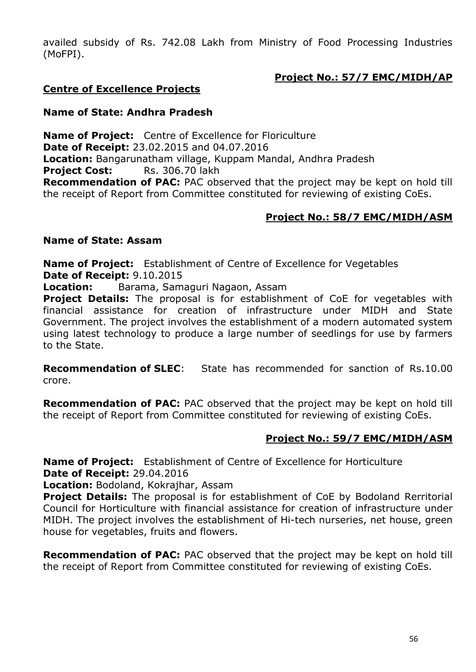availed subsidy of Rs. 742.08 Lakh from Ministry of Food Processing Industries (MoFPI).

# **Project No.: 57/7 EMC/MIDH/AP**

# **Centre of Excellence Projects**

## **Name of State: Andhra Pradesh**

**Name of Project:** Centre of Excellence for Floriculture **Date of Receipt:** 23.02.2015 and 04.07.2016 **Location:** Bangarunatham village, Kuppam Mandal, Andhra Pradesh **Project Cost:** Rs. 306.70 lakh **Recommendation of PAC:** PAC observed that the project may be kept on hold till the receipt of Report from Committee constituted for reviewing of existing CoEs.

# **Project No.: 58/7 EMC/MIDH/ASM**

#### **Name of State: Assam**

**Name of Project:** Establishment of Centre of Excellence for Vegetables **Date of Receipt:** 9.10.2015

**Location:** Barama, Samaguri Nagaon, Assam

**Project Details:** The proposal is for establishment of CoE for vegetables with financial assistance for creation of infrastructure under MIDH and State Government. The project involves the establishment of a modern automated system using latest technology to produce a large number of seedlings for use by farmers to the State.

**Recommendation of SLEC**: State has recommended for sanction of Rs.10.00 crore.

**Recommendation of PAC:** PAC observed that the project may be kept on hold till the receipt of Report from Committee constituted for reviewing of existing CoEs.

# **Project No.: 59/7 EMC/MIDH/ASM**

**Name of Project:** Establishment of Centre of Excellence for Horticulture **Date of Receipt:** 29.04.2016

**Location:** Bodoland, Kokrajhar, Assam

**Project Details:** The proposal is for establishment of CoE by Bodoland Rerritorial Council for Horticulture with financial assistance for creation of infrastructure under MIDH. The project involves the establishment of Hi-tech nurseries, net house, green house for vegetables, fruits and flowers.

**Recommendation of PAC:** PAC observed that the project may be kept on hold till the receipt of Report from Committee constituted for reviewing of existing CoEs.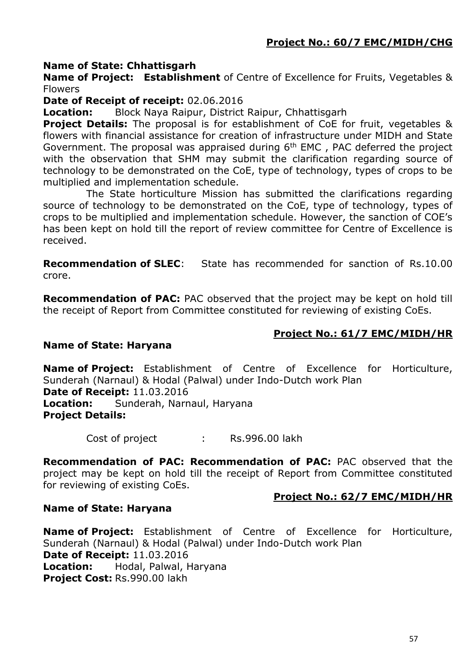## **Name of State: Chhattisgarh**

**Name of Project: Establishment** of Centre of Excellence for Fruits, Vegetables & Flowers

**Date of Receipt of receipt:** 02.06.2016

**Location:** Block Naya Raipur, District Raipur, Chhattisgarh

**Project Details:** The proposal is for establishment of CoE for fruit, vegetables & flowers with financial assistance for creation of infrastructure under MIDH and State Government. The proposal was appraised during 6<sup>th</sup> EMC, PAC deferred the project with the observation that SHM may submit the clarification regarding source of technology to be demonstrated on the CoE, type of technology, types of crops to be multiplied and implementation schedule.

The State horticulture Mission has submitted the clarifications regarding source of technology to be demonstrated on the CoE, type of technology, types of crops to be multiplied and implementation schedule. However, the sanction of COE's has been kept on hold till the report of review committee for Centre of Excellence is received.

**Recommendation of SLEC**: State has recommended for sanction of Rs.10.00 crore.

**Recommendation of PAC:** PAC observed that the project may be kept on hold till the receipt of Report from Committee constituted for reviewing of existing CoEs.

## **Project No.: 61/7 EMC/MIDH/HR**

#### **Name of State: Haryana**

**Name of Project:** Establishment of Centre of Excellence for Horticulture, Sunderah (Narnaul) & Hodal (Palwal) under Indo-Dutch work Plan **Date of Receipt:** 11.03.2016 **Location:** Sunderah, Narnaul, Haryana **Project Details:**

Cost of project : Rs.996.00 lakh

**Recommendation of PAC: Recommendation of PAC:** PAC observed that the project may be kept on hold till the receipt of Report from Committee constituted for reviewing of existing CoEs.

#### **Project No.: 62/7 EMC/MIDH/HR**

#### **Name of State: Haryana**

**Name of Project:** Establishment of Centre of Excellence for Horticulture, Sunderah (Narnaul) & Hodal (Palwal) under Indo-Dutch work Plan **Date of Receipt:** 11.03.2016 **Location:** Hodal, Palwal, Haryana **Project Cost:** Rs.990.00 lakh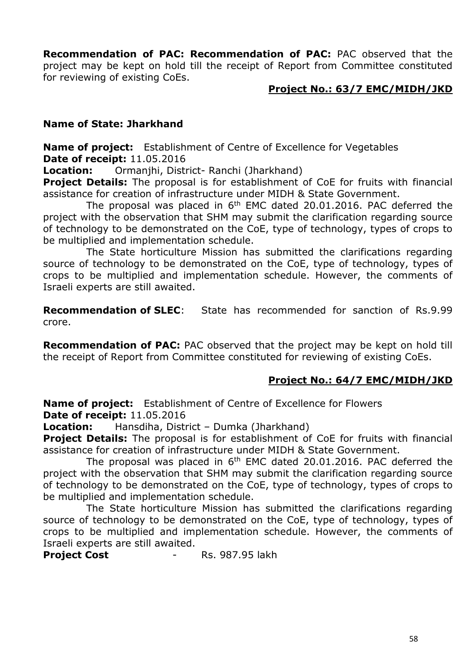**Recommendation of PAC: Recommendation of PAC:** PAC observed that the project may be kept on hold till the receipt of Report from Committee constituted for reviewing of existing CoEs.

#### **Project No.: 63/7 EMC/MIDH/JKD**

#### **Name of State: Jharkhand**

**Name of project:** Establishment of Centre of Excellence for Vegetables **Date of receipt:** 11.05.2016

**Location:** Ormanjhi, District- Ranchi (Jharkhand)

**Project Details:** The proposal is for establishment of CoE for fruits with financial assistance for creation of infrastructure under MIDH & State Government.

The proposal was placed in 6<sup>th</sup> EMC dated 20.01.2016. PAC deferred the project with the observation that SHM may submit the clarification regarding source of technology to be demonstrated on the CoE, type of technology, types of crops to be multiplied and implementation schedule.

The State horticulture Mission has submitted the clarifications regarding source of technology to be demonstrated on the CoE, type of technology, types of crops to be multiplied and implementation schedule. However, the comments of Israeli experts are still awaited.

**Recommendation of SLEC**: State has recommended for sanction of Rs.9.99 crore.

**Recommendation of PAC:** PAC observed that the project may be kept on hold till the receipt of Report from Committee constituted for reviewing of existing CoEs.

#### **Project No.: 64/7 EMC/MIDH/JKD**

**Name of project:** Establishment of Centre of Excellence for Flowers **Date of receipt:** 11.05.2016

**Location:** Hansdiha, District – Dumka (Jharkhand)

**Project Details:** The proposal is for establishment of CoE for fruits with financial assistance for creation of infrastructure under MIDH & State Government.

The proposal was placed in 6<sup>th</sup> EMC dated 20.01.2016. PAC deferred the project with the observation that SHM may submit the clarification regarding source of technology to be demonstrated on the CoE, type of technology, types of crops to be multiplied and implementation schedule.

The State horticulture Mission has submitted the clarifications regarding source of technology to be demonstrated on the CoE, type of technology, types of crops to be multiplied and implementation schedule. However, the comments of Israeli experts are still awaited.

**Project Cost - Rs. 987.95 lakh**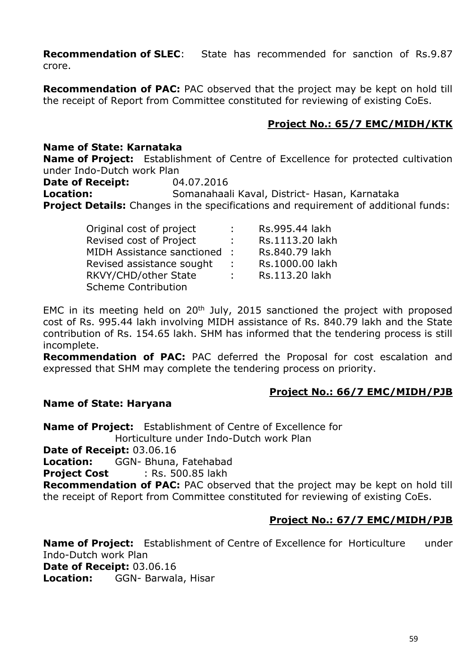**Recommendation of SLEC**: State has recommended for sanction of Rs.9.87 crore.

**Recommendation of PAC:** PAC observed that the project may be kept on hold till the receipt of Report from Committee constituted for reviewing of existing CoEs.

# **Project No.: 65/7 EMC/MIDH/KTK**

## **Name of State: Karnataka**

**Name of Project:** Establishment of Centre of Excellence for protected cultivation under Indo-Dutch work Plan

**Date of Receipt:** 04.07.2016

**Location:** Somanahaali Kaval, District- Hasan, Karnataka **Project Details:** Changes in the specifications and requirement of additional funds:

| Original cost of project   | t.            | Rs.995.44 lakh  |
|----------------------------|---------------|-----------------|
| Revised cost of Project    | ÷.            | Rs.1113.20 lakh |
| MIDH Assistance sanctioned |               | Rs.840.79 lakh  |
| Revised assistance sought  | $\mathcal{L}$ | Rs.1000.00 lakh |
| RKVY/CHD/other State       | t.            | Rs.113.20 lakh  |
| <b>Scheme Contribution</b> |               |                 |

EMC in its meeting held on  $20<sup>th</sup>$  July, 2015 sanctioned the project with proposed cost of Rs. 995.44 lakh involving MIDH assistance of Rs. 840.79 lakh and the State contribution of Rs. 154.65 lakh. SHM has informed that the tendering process is still incomplete.

**Recommendation of PAC:** PAC deferred the Proposal for cost escalation and expressed that SHM may complete the tendering process on priority.

#### **Project No.: 66/7 EMC/MIDH/PJB**

#### **Name of State: Haryana**

**Name of Project:** Establishment of Centre of Excellence for Horticulture under Indo-Dutch work Plan **Date of Receipt:** 03.06.16 **Location:** GGN- Bhuna, Fatehabad **Project Cost** : Rs. 500.85 lakh

**Recommendation of PAC:** PAC observed that the project may be kept on hold till the receipt of Report from Committee constituted for reviewing of existing CoEs.

# **Project No.: 67/7 EMC/MIDH/PJB**

**Name of Project:** Establishment of Centre of Excellence for Horticulture under Indo-Dutch work Plan **Date of Receipt:** 03.06.16 **Location:** GGN- Barwala, Hisar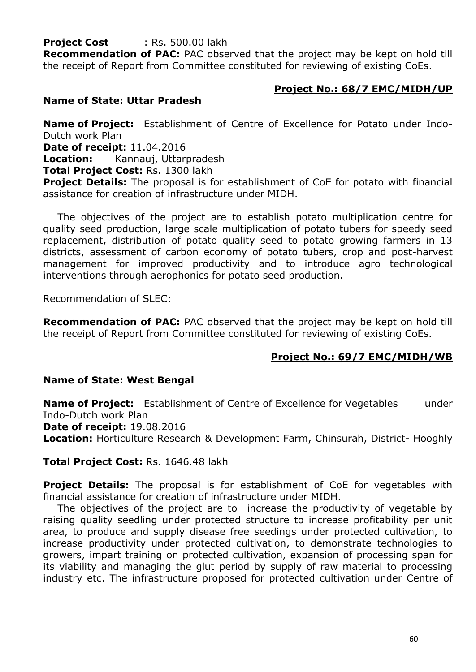**Project Cost** : Rs. 500.00 lakh

**Recommendation of PAC:** PAC observed that the project may be kept on hold till the receipt of Report from Committee constituted for reviewing of existing CoEs.

## **Project No.: 68/7 EMC/MIDH/UP**

## **Name of State: Uttar Pradesh**

**Name of Project:** Establishment of Centre of Excellence for Potato under Indo-Dutch work Plan

**Date of receipt:** 11.04.2016

**Location:** Kannauj, Uttarpradesh

**Total Project Cost:** Rs. 1300 lakh

**Project Details:** The proposal is for establishment of CoE for potato with financial assistance for creation of infrastructure under MIDH.

The objectives of the project are to establish potato multiplication centre for quality seed production, large scale multiplication of potato tubers for speedy seed replacement, distribution of potato quality seed to potato growing farmers in 13 districts, assessment of carbon economy of potato tubers, crop and post-harvest management for improved productivity and to introduce agro technological interventions through aerophonics for potato seed production.

Recommendation of SLEC:

**Recommendation of PAC:** PAC observed that the project may be kept on hold till the receipt of Report from Committee constituted for reviewing of existing CoEs.

# **Project No.: 69/7 EMC/MIDH/WB**

#### **Name of State: West Bengal**

**Name of Project:** Establishment of Centre of Excellence for Vegetables under Indo-Dutch work Plan **Date of receipt:** 19.08.2016 **Location:** Horticulture Research & Development Farm, Chinsurah, District- Hooghly

**Total Project Cost:** Rs. 1646.48 lakh

**Project Details:** The proposal is for establishment of CoE for vegetables with financial assistance for creation of infrastructure under MIDH.

The objectives of the project are to increase the productivity of vegetable by raising quality seedling under protected structure to increase profitability per unit area, to produce and supply disease free seedings under protected cultivation, to increase productivity under protected cultivation, to demonstrate technologies to growers, impart training on protected cultivation, expansion of processing span for its viability and managing the glut period by supply of raw material to processing industry etc. The infrastructure proposed for protected cultivation under Centre of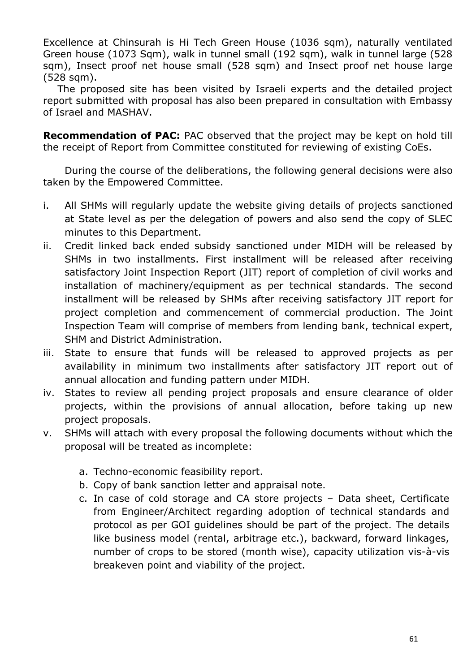Excellence at Chinsurah is Hi Tech Green House (1036 sqm), naturally ventilated Green house (1073 Sqm), walk in tunnel small (192 sqm), walk in tunnel large (528 sqm), Insect proof net house small (528 sqm) and Insect proof net house large (528 sqm).

The proposed site has been visited by Israeli experts and the detailed project report submitted with proposal has also been prepared in consultation with Embassy of Israel and MASHAV.

**Recommendation of PAC:** PAC observed that the project may be kept on hold till the receipt of Report from Committee constituted for reviewing of existing CoEs.

During the course of the deliberations, the following general decisions were also taken by the Empowered Committee.

- i. All SHMs will regularly update the website giving details of projects sanctioned at State level as per the delegation of powers and also send the copy of SLEC minutes to this Department.
- ii. Credit linked back ended subsidy sanctioned under MIDH will be released by SHMs in two installments. First installment will be released after receiving satisfactory Joint Inspection Report (JIT) report of completion of civil works and installation of machinery/equipment as per technical standards. The second installment will be released by SHMs after receiving satisfactory JIT report for project completion and commencement of commercial production. The Joint Inspection Team will comprise of members from lending bank, technical expert, SHM and District Administration.
- iii. State to ensure that funds will be released to approved projects as per availability in minimum two installments after satisfactory JIT report out of annual allocation and funding pattern under MIDH.
- iv. States to review all pending project proposals and ensure clearance of older projects, within the provisions of annual allocation, before taking up new project proposals.
- v. SHMs will attach with every proposal the following documents without which the proposal will be treated as incomplete:
	- a. Techno-economic feasibility report.
	- b. Copy of bank sanction letter and appraisal note.
	- c. In case of cold storage and CA store projects Data sheet, Certificate from Engineer/Architect regarding adoption of technical standards and protocol as per GOI guidelines should be part of the project. The details like business model (rental, arbitrage etc.), backward, forward linkages, number of crops to be stored (month wise), capacity utilization vis-à-vis breakeven point and viability of the project.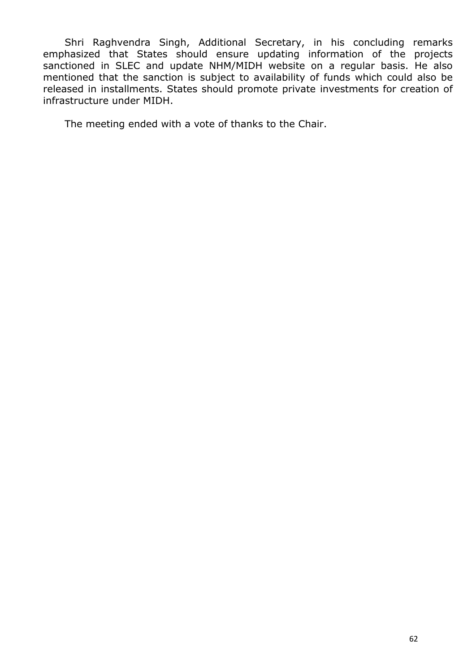Shri Raghvendra Singh, Additional Secretary, in his concluding remarks emphasized that States should ensure updating information of the projects sanctioned in SLEC and update NHM/MIDH website on a regular basis. He also mentioned that the sanction is subject to availability of funds which could also be released in installments. States should promote private investments for creation of infrastructure under MIDH.

The meeting ended with a vote of thanks to the Chair.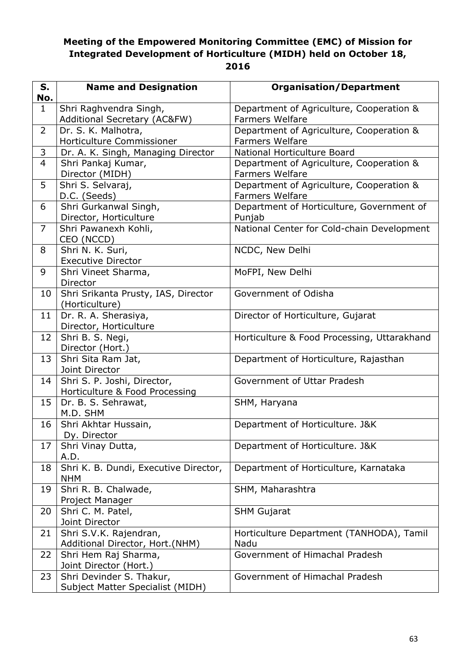# **Meeting of the Empowered Monitoring Committee (EMC) of Mission for Integrated Development of Horticulture (MIDH) held on October 18, 2016**

| S.             | <b>Name and Designation</b>                            | <b>Organisation/Department</b>                                     |
|----------------|--------------------------------------------------------|--------------------------------------------------------------------|
| No.            |                                                        |                                                                    |
| $\mathbf{1}$   | Shri Raghvendra Singh,<br>Additional Secretary (AC&FW) | Department of Agriculture, Cooperation &<br><b>Farmers Welfare</b> |
| $\overline{2}$ | Dr. S. K. Malhotra,                                    | Department of Agriculture, Cooperation &                           |
|                | Horticulture Commissioner                              | <b>Farmers Welfare</b>                                             |
| 3              | Dr. A. K. Singh, Managing Director                     | National Horticulture Board                                        |
| $\overline{4}$ | Shri Pankaj Kumar,                                     | Department of Agriculture, Cooperation &                           |
|                | Director (MIDH)                                        | <b>Farmers Welfare</b>                                             |
| 5              | Shri S. Selvaraj,                                      | Department of Agriculture, Cooperation &                           |
|                | D.C. (Seeds)                                           | <b>Farmers Welfare</b>                                             |
| 6              | Shri Gurkanwal Singh,                                  | Department of Horticulture, Government of                          |
|                | Director, Horticulture                                 | Punjab                                                             |
| $\overline{7}$ | Shri Pawanexh Kohli,                                   | National Center for Cold-chain Development                         |
|                | CEO (NCCD)                                             |                                                                    |
| 8              | Shri N. K. Suri,                                       | NCDC, New Delhi                                                    |
|                | <b>Executive Director</b>                              |                                                                    |
| 9              | Shri Vineet Sharma,                                    | MoFPI, New Delhi                                                   |
|                | Director                                               |                                                                    |
| 10             | Shri Srikanta Prusty, IAS, Director                    | Government of Odisha                                               |
|                | (Horticulture)                                         |                                                                    |
| 11             | Dr. R. A. Sherasiya,                                   | Director of Horticulture, Gujarat                                  |
|                | Director, Horticulture                                 |                                                                    |
| 12             | Shri B. S. Negi,                                       | Horticulture & Food Processing, Uttarakhand                        |
|                | Director (Hort.)                                       |                                                                    |
| 13             | Shri Sita Ram Jat,<br>Joint Director                   | Department of Horticulture, Rajasthan                              |
| 14             | Shri S. P. Joshi, Director,                            | Government of Uttar Pradesh                                        |
|                | Horticulture & Food Processing                         |                                                                    |
| 15             | Dr. B. S. Sehrawat,                                    | SHM, Haryana                                                       |
|                | M.D. SHM                                               |                                                                    |
| 16             | Shri Akhtar Hussain,                                   | Department of Horticulture. J&K                                    |
|                | Dy. Director                                           |                                                                    |
| 17             | Shri Vinay Dutta,                                      | Department of Horticulture. J&K                                    |
|                | A.D.                                                   |                                                                    |
| 18             | Shri K. B. Dundi, Executive Director,                  | Department of Horticulture, Karnataka                              |
|                | <b>NHM</b>                                             |                                                                    |
| 19             | Shri R. B. Chalwade,                                   | SHM, Maharashtra                                                   |
|                | Project Manager                                        |                                                                    |
| 20             | Shri C. M. Patel,                                      | <b>SHM Gujarat</b>                                                 |
|                | Joint Director                                         |                                                                    |
| 21             | Shri S.V.K. Rajendran,                                 | Horticulture Department (TANHODA), Tamil                           |
|                | Additional Director, Hort.(NHM)                        | Nadu                                                               |
| 22             | Shri Hem Raj Sharma,                                   | Government of Himachal Pradesh                                     |
|                | Joint Director (Hort.)                                 |                                                                    |
| 23             | Shri Devinder S. Thakur,                               | Government of Himachal Pradesh                                     |
|                | Subject Matter Specialist (MIDH)                       |                                                                    |